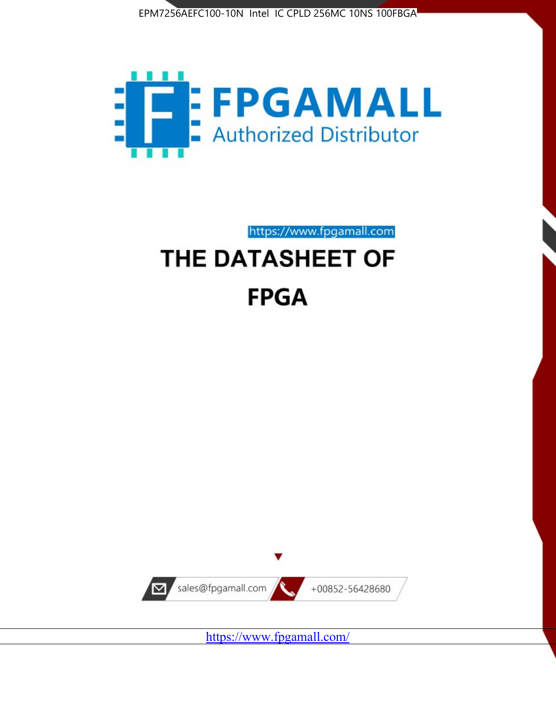



https://www.fpgamall.com

# THE DATASHEET OF **FPGA**



<https://www.fpgamall.com/>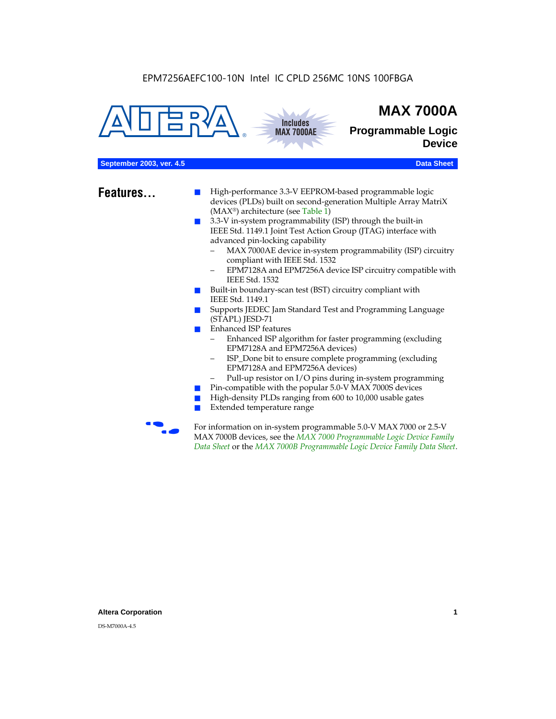



## **MAX 7000A**

**Programmable Logic Device**

#### **September 2003, ver. 4.5 Data Sheet** Construction of the Construction of the Construction of the Construction of the Construction of the Construction of the Construction of the Construction of the Construction of the Cons

- **Features...** High-performance 3.3-V EEPROM-based programmable logic devices (PLDs) built on second-generation Multiple Array MatriX (MAX®) architecture (see Table 1)
	- 3.3-V in-system programmability (ISP) through the built-in IEEE Std. 1149.1 Joint Test Action Group (JTAG) interface with advanced pin-locking capability
		- MAX 7000AE device in-system programmability (ISP) circuitry compliant with IEEE Std. 1532
		- EPM7128A and EPM7256A device ISP circuitry compatible with IEEE Std. 1532
	- Built-in boundary-scan test (BST) circuitry compliant with IEEE Std. 1149.1
	- Supports JEDEC Jam Standard Test and Programming Language (STAPL) JESD-71
	- Enhanced ISP features
		- Enhanced ISP algorithm for faster programming (excluding EPM7128A and EPM7256A devices)
		- ISP\_Done bit to ensure complete programming (excluding EPM7128A and EPM7256A devices)
		- Pull-up resistor on I/O pins during in-system programming
	- Pin-compatible with the popular 5.0-V MAX 7000S devices
	- High-density PLDs ranging from 600 to 10,000 usable gates
	- Extended temperature range

For information on in-system programmable 5.0-V MAX 7000 or 2.5-V MAX 7000B devices, see the *MAX 7000 Programmable Logic Device Family Data Sheet* or the *MAX 7000B Programmable Logic Device Family Data Sheet*.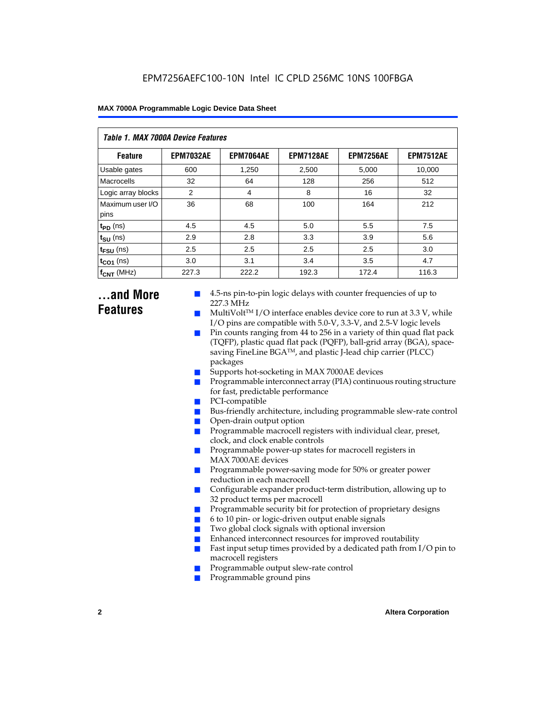| Table 1. MAX 7000A Device Features |                  |                  |                  |                  |                  |  |  |  |
|------------------------------------|------------------|------------------|------------------|------------------|------------------|--|--|--|
| <b>Feature</b>                     | <b>EPM7032AE</b> | <b>EPM7064AE</b> | <b>EPM7128AE</b> | <b>EPM7256AE</b> | <b>EPM7512AE</b> |  |  |  |
| Usable gates                       | 600              | 1,250            | 2,500            | 5,000            | 10,000           |  |  |  |
| Macrocells                         | 32               | 64               | 128              | 256              | 512              |  |  |  |
| Logic array blocks                 | 2                | 4                | 8                | 16               | 32               |  |  |  |
| Maximum user I/O<br>pins           | 36               | 68               | 100              | 164              | 212              |  |  |  |
| $t_{PD}$ (ns)                      | 4.5              | 4.5              | 5.0              | 5.5              | 7.5              |  |  |  |
| $t_{\text{SU}}$ (ns)               | 2.9              | 2.8              | 3.3              | 3.9              | 5.6              |  |  |  |
| $t_{\text{FSU}}$ (ns)              | 2.5              | 2.5              | 2.5              | 2.5              | 3.0              |  |  |  |
| $t_{CO1}$ (ns)                     | 3.0              | 3.1              | 3.4              | 3.5              | 4.7              |  |  |  |
| $f_{\text{CNT}}$ (MHz)             | 227.3            | 222.2            | 192.3            | 172.4            | 116.3            |  |  |  |

### **...and More Features**

- 4.5-ns pin-to-pin logic delays with counter frequencies of up to 227.3 MHz
- $Multivolt<sup>TM</sup> I/O interface enables device core to run at 3.3 V, while$ I/O pins are compatible with 5.0-V, 3.3-V, and 2.5-V logic levels
- Pin counts ranging from 44 to 256 in a variety of thin quad flat pack (TQFP), plastic quad flat pack (PQFP), ball-grid array (BGA), spacesaving FineLine BGA™, and plastic J-lead chip carrier (PLCC) packages
- Supports hot-socketing in MAX 7000AE devices
- Programmable interconnect array (PIA) continuous routing structure for fast, predictable performance
- PCI-compatible
- Bus-friendly architecture, including programmable slew-rate control
- Open-drain output option
- Programmable macrocell registers with individual clear, preset, clock, and clock enable controls
- Programmable power-up states for macrocell registers in MAX 7000AE devices
- Programmable power-saving mode for 50% or greater power reduction in each macrocell
- Configurable expander product-term distribution, allowing up to 32 product terms per macrocell
- Programmable security bit for protection of proprietary designs
- 6 to 10 pin- or logic-driven output enable signals
- Two global clock signals with optional inversion
- Enhanced interconnect resources for improved routability
- Fast input setup times provided by a dedicated path from  $I/O$  pin to macrocell registers
- Programmable output slew-rate control
- Programmable ground pins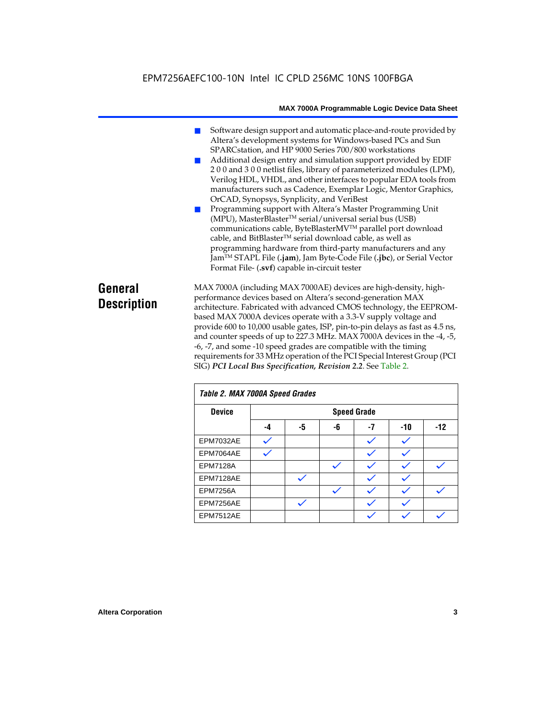- Software design support and automatic place-and-route provided by Altera's development systems for Windows-based PCs and Sun SPARCstation, and HP 9000 Series 700/800 workstations
- Additional design entry and simulation support provided by EDIF 2 0 0 and 3 0 0 netlist files, library of parameterized modules (LPM), Verilog HDL, VHDL, and other interfaces to popular EDA tools from manufacturers such as Cadence, Exemplar Logic, Mentor Graphics, OrCAD, Synopsys, Synplicity, and VeriBest
- Programming support with Altera's Master Programming Unit (MPU), MasterBlaster™ serial/universal serial bus (USB) communications cable, ByteBlasterMVTM parallel port download cable, and BitBlaster™ serial download cable, as well as programming hardware from third-party manufacturers and any JamTM STAPL File (**.jam**), Jam Byte-Code File (**.jbc**), or Serial Vector Format File- (**.svf**) capable in-circuit tester

### **General Description**

MAX 7000A (including MAX 7000AE) devices are high-density, highperformance devices based on Altera's second-generation MAX architecture. Fabricated with advanced CMOS technology, the EEPROMbased MAX 7000A devices operate with a 3.3-V supply voltage and provide 600 to 10,000 usable gates, ISP, pin-to-pin delays as fast as 4.5 ns, and counter speeds of up to 227.3 MHz. MAX 7000A devices in the -4, -5, -6, -7, and some -10 speed grades are compatible with the timing requirements for 33 MHz operation of the PCI Special Interest Group (PCI SIG) *PCI Local Bus Specification, Revision 2.2*. See Table 2.

| Table 2. MAX 7000A Speed Grades |    |                    |    |      |       |       |  |  |  |
|---------------------------------|----|--------------------|----|------|-------|-------|--|--|--|
| <b>Device</b>                   |    | <b>Speed Grade</b> |    |      |       |       |  |  |  |
|                                 | -4 | -5                 | -6 | $-7$ | $-10$ | $-12$ |  |  |  |
| EPM7032AE                       |    |                    |    |      |       |       |  |  |  |
| EPM7064AE                       |    |                    |    |      |       |       |  |  |  |
| <b>EPM7128A</b>                 |    |                    |    |      |       |       |  |  |  |
| EPM7128AE                       |    |                    |    |      |       |       |  |  |  |
| <b>EPM7256A</b>                 |    |                    |    |      |       |       |  |  |  |
| EPM7256AE                       |    |                    |    |      |       |       |  |  |  |
| EPM7512AE                       |    |                    |    |      |       |       |  |  |  |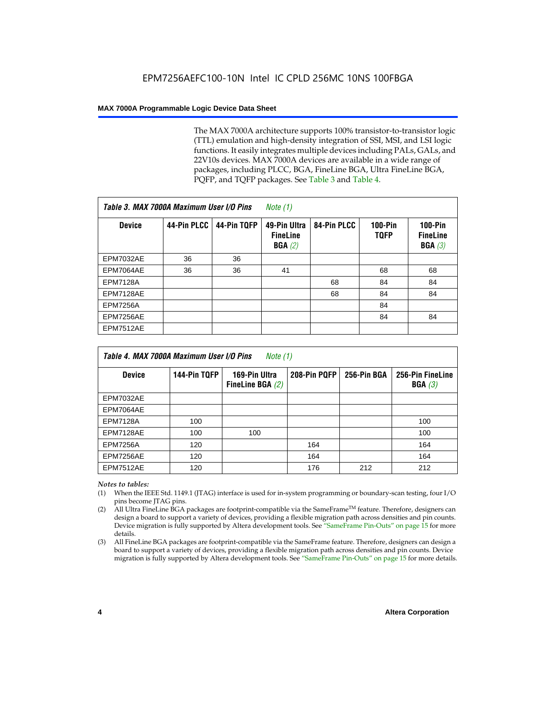The MAX 7000A architecture supports 100% transistor-to-transistor logic (TTL) emulation and high-density integration of SSI, MSI, and LSI logic functions. It easily integrates multiple devices including PALs, GALs, and 22V10s devices. MAX 7000A devices are available in a wide range of packages, including PLCC, BGA, FineLine BGA, Ultra FineLine BGA, PQFP, and TQFP packages. See Table 3 and Table 4.

| Table 3. MAX 7000A Maximum User I/O Pins |             |             | Note $(1)$                                |             |                               |                                           |
|------------------------------------------|-------------|-------------|-------------------------------------------|-------------|-------------------------------|-------------------------------------------|
| <b>Device</b>                            | 44-Pin PLCC | 44-Pin TQFP | 49-Pin Ultra<br><b>FineLine</b><br>BGA(2) | 84-Pin PLCC | <b>100-Pin</b><br><b>TQFP</b> | $100-Pin$<br><b>FineLine</b><br>BGA $(3)$ |
| EPM7032AE                                | 36          | 36          |                                           |             |                               |                                           |
| EPM7064AE                                | 36          | 36          | 41                                        |             | 68                            | 68                                        |
| <b>EPM7128A</b>                          |             |             |                                           | 68          | 84                            | 84                                        |
| EPM7128AE                                |             |             |                                           | 68          | 84                            | 84                                        |
| <b>EPM7256A</b>                          |             |             |                                           |             | 84                            |                                           |
| EPM7256AE                                |             |             |                                           |             | 84                            | 84                                        |
| <b>EPM7512AE</b>                         |             |             |                                           |             |                               |                                           |

| Table 4. MAX 7000A Maximum User I/O Pins<br>Note (1) |              |                                     |              |             |                            |  |  |
|------------------------------------------------------|--------------|-------------------------------------|--------------|-------------|----------------------------|--|--|
| <b>Device</b>                                        | 144-Pin TQFP | 169-Pin Ultra<br>FineLine BGA $(2)$ | 208-Pin PQFP | 256-Pin BGA | 256-Pin FineLine<br>BGA(3) |  |  |
| EPM7032AE                                            |              |                                     |              |             |                            |  |  |
| EPM7064AE                                            |              |                                     |              |             |                            |  |  |
| <b>EPM7128A</b>                                      | 100          |                                     |              |             | 100                        |  |  |
| EPM7128AE                                            | 100          | 100                                 |              |             | 100                        |  |  |
| <b>EPM7256A</b>                                      | 120          |                                     | 164          |             | 164                        |  |  |
| EPM7256AE                                            | 120          |                                     | 164          |             | 164                        |  |  |
| EPM7512AE                                            | 120          |                                     | 176          | 212         | 212                        |  |  |

#### *Notes to tables:*

- (1) When the IEEE Std. 1149.1 (JTAG) interface is used for in-system programming or boundary-scan testing, four I/O pins become JTAG pins.
- (2) All Ultra FineLine BGA packages are footprint-compatible via the SameFrame<sup>TM</sup> feature. Therefore, designers can design a board to support a variety of devices, providing a flexible migration path across densities and pin counts. Device migration is fully supported by Altera development tools. See "SameFrame Pin-Outs" on page 15 for more details.
- (3) All FineLine BGA packages are footprint-compatible via the SameFrame feature. Therefore, designers can design a board to support a variety of devices, providing a flexible migration path across densities and pin counts. Device migration is fully supported by Altera development tools. See "SameFrame Pin-Outs" on page 15 for more details.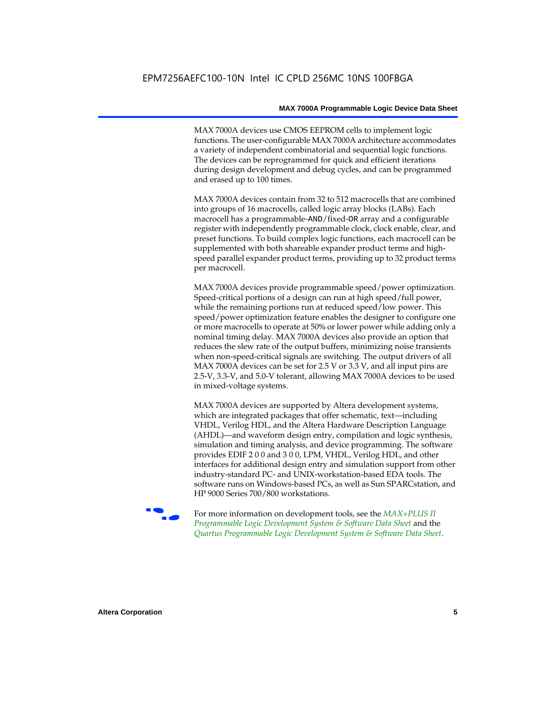MAX 7000A devices use CMOS EEPROM cells to implement logic functions. The user-configurable MAX 7000A architecture accommodates a variety of independent combinatorial and sequential logic functions. The devices can be reprogrammed for quick and efficient iterations during design development and debug cycles, and can be programmed and erased up to 100 times.

MAX 7000A devices contain from 32 to 512 macrocells that are combined into groups of 16 macrocells, called logic array blocks (LABs). Each macrocell has a programmable-AND/fixed-OR array and a configurable register with independently programmable clock, clock enable, clear, and preset functions. To build complex logic functions, each macrocell can be supplemented with both shareable expander product terms and highspeed parallel expander product terms, providing up to 32 product terms per macrocell.

MAX 7000A devices provide programmable speed/power optimization. Speed-critical portions of a design can run at high speed/full power, while the remaining portions run at reduced speed/low power. This speed/power optimization feature enables the designer to configure one or more macrocells to operate at 50% or lower power while adding only a nominal timing delay. MAX 7000A devices also provide an option that reduces the slew rate of the output buffers, minimizing noise transients when non-speed-critical signals are switching. The output drivers of all MAX 7000A devices can be set for 2.5 V or 3.3 V, and all input pins are 2.5-V, 3.3-V, and 5.0-V tolerant, allowing MAX 7000A devices to be used in mixed-voltage systems.

MAX 7000A devices are supported by Altera development systems, which are integrated packages that offer schematic, text—including VHDL, Verilog HDL, and the Altera Hardware Description Language (AHDL)—and waveform design entry, compilation and logic synthesis, simulation and timing analysis, and device programming. The software provides EDIF 2 0 0 and 3 0 0, LPM, VHDL, Verilog HDL, and other interfaces for additional design entry and simulation support from other industry-standard PC- and UNIX-workstation-based EDA tools. The software runs on Windows-based PCs, as well as Sun SPARCstation, and HP 9000 Series 700/800 workstations.

**For more information on development tools, see the** *MAX+PLUS II Programmable Logic Development System & Software Data Sheet* and the *Quartus Programmable Logic Development System & Software Data Sheet*.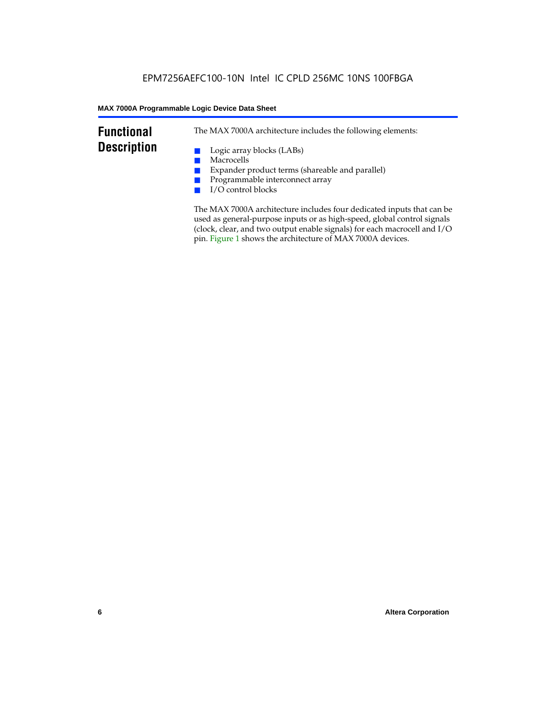### **Functional Description**

The MAX 7000A architecture includes the following elements:

- Logic array blocks (LABs)
- Macrocells
- Expander product terms (shareable and parallel)
- Programmable interconnect array
- I/O control blocks

The MAX 7000A architecture includes four dedicated inputs that can be used as general-purpose inputs or as high-speed, global control signals (clock, clear, and two output enable signals) for each macrocell and I/O pin. Figure 1 shows the architecture of MAX 7000A devices.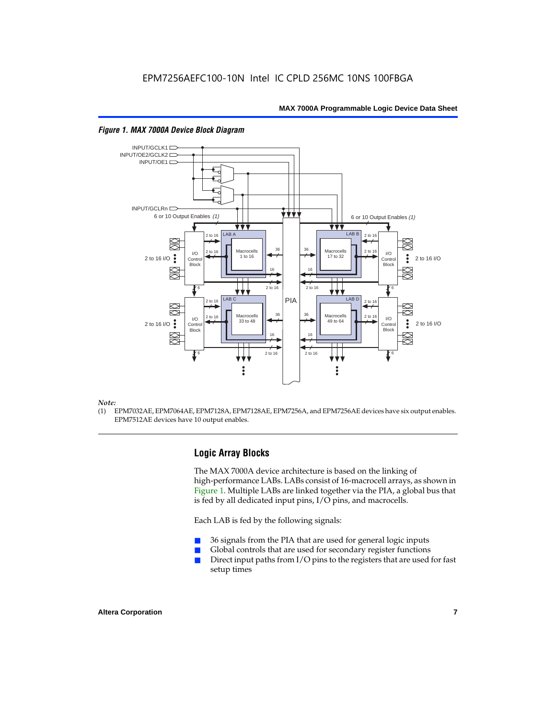

#### *Figure 1. MAX 7000A Device Block Diagram*

#### *Note:*

(1) EPM7032AE, EPM7064AE, EPM7128A, EPM7128AE, EPM7256A, and EPM7256AE devices have six output enables. EPM7512AE devices have 10 output enables.

#### **Logic Array Blocks**

The MAX 7000A device architecture is based on the linking of high-performance LABs. LABs consist of 16-macrocell arrays, as shown in Figure 1. Multiple LABs are linked together via the PIA, a global bus that is fed by all dedicated input pins, I/O pins, and macrocells.

Each LAB is fed by the following signals:

- 36 signals from the PIA that are used for general logic inputs
- Global controls that are used for secondary register functions
- Direct input paths from  $I/O$  pins to the registers that are used for fast setup times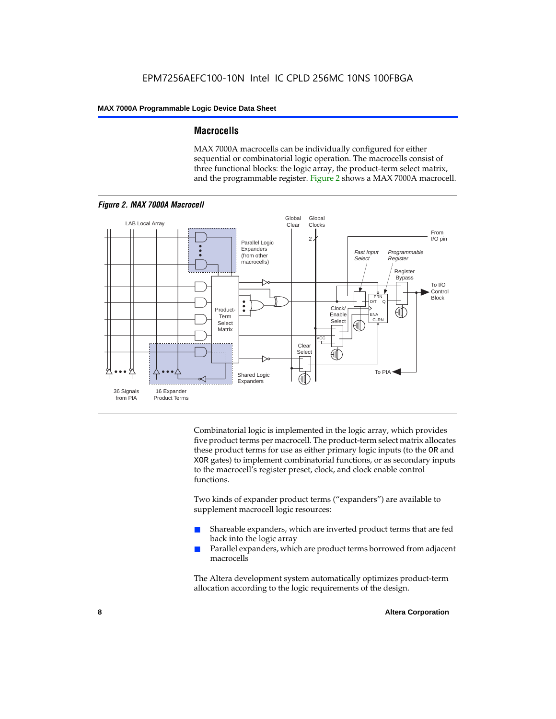#### **Macrocells**

MAX 7000A macrocells can be individually configured for either sequential or combinatorial logic operation. The macrocells consist of three functional blocks: the logic array, the product-term select matrix, and the programmable register. Figure 2 shows a MAX 7000A macrocell.



Combinatorial logic is implemented in the logic array, which provides five product terms per macrocell. The product-term select matrix allocates these product terms for use as either primary logic inputs (to the OR and XOR gates) to implement combinatorial functions, or as secondary inputs to the macrocell's register preset, clock, and clock enable control functions.

Two kinds of expander product terms ("expanders") are available to supplement macrocell logic resources:

- Shareable expanders, which are inverted product terms that are fed back into the logic array
- Parallel expanders, which are product terms borrowed from adjacent macrocells

The Altera development system automatically optimizes product-term allocation according to the logic requirements of the design.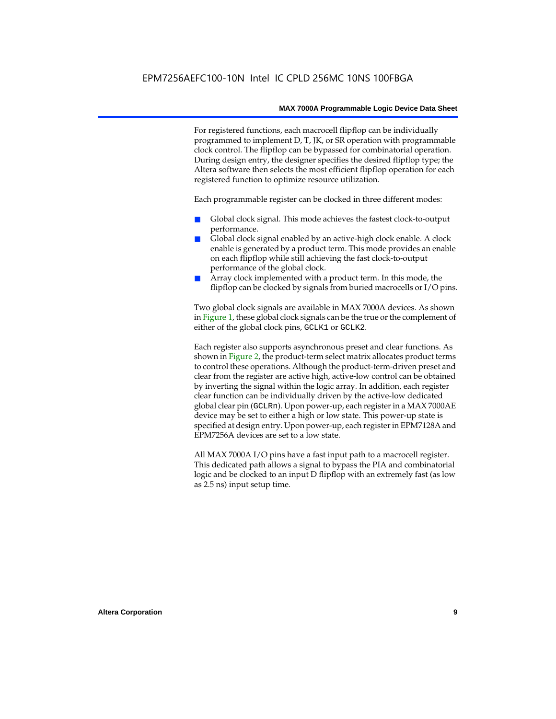For registered functions, each macrocell flipflop can be individually programmed to implement D, T, JK, or SR operation with programmable clock control. The flipflop can be bypassed for combinatorial operation. During design entry, the designer specifies the desired flipflop type; the Altera software then selects the most efficient flipflop operation for each registered function to optimize resource utilization.

Each programmable register can be clocked in three different modes:

- Global clock signal. This mode achieves the fastest clock-to-output performance.
- Global clock signal enabled by an active-high clock enable. A clock enable is generated by a product term. This mode provides an enable on each flipflop while still achieving the fast clock-to-output performance of the global clock.
- Array clock implemented with a product term. In this mode, the flipflop can be clocked by signals from buried macrocells or I/O pins.

Two global clock signals are available in MAX 7000A devices. As shown in Figure 1, these global clock signals can be the true or the complement of either of the global clock pins, GCLK1 or GCLK2.

Each register also supports asynchronous preset and clear functions. As shown in Figure 2, the product-term select matrix allocates product terms to control these operations. Although the product-term-driven preset and clear from the register are active high, active-low control can be obtained by inverting the signal within the logic array. In addition, each register clear function can be individually driven by the active-low dedicated global clear pin (GCLRn). Upon power-up, each register in a MAX 7000AE device may be set to either a high or low state. This power-up state is specified at design entry. Upon power-up, each register in EPM7128A and EPM7256A devices are set to a low state.

All MAX 7000A I/O pins have a fast input path to a macrocell register. This dedicated path allows a signal to bypass the PIA and combinatorial logic and be clocked to an input D flipflop with an extremely fast (as low as 2.5 ns) input setup time.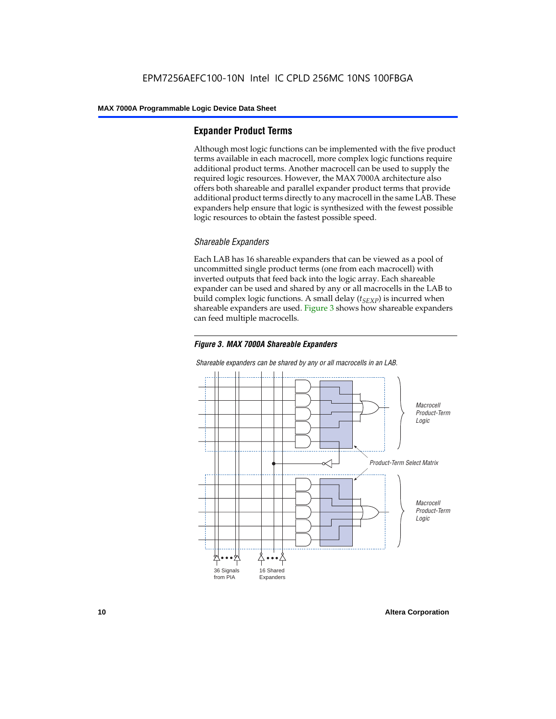#### **Expander Product Terms**

Although most logic functions can be implemented with the five product terms available in each macrocell, more complex logic functions require additional product terms. Another macrocell can be used to supply the required logic resources. However, the MAX 7000A architecture also offers both shareable and parallel expander product terms that provide additional product terms directly to any macrocell in the same LAB. These expanders help ensure that logic is synthesized with the fewest possible logic resources to obtain the fastest possible speed.

#### *Shareable Expanders*

Each LAB has 16 shareable expanders that can be viewed as a pool of uncommitted single product terms (one from each macrocell) with inverted outputs that feed back into the logic array. Each shareable expander can be used and shared by any or all macrocells in the LAB to build complex logic functions. A small delay  $(t_{SFXP})$  is incurred when shareable expanders are used. Figure 3 shows how shareable expanders can feed multiple macrocells.



**Macrocell** Product-Term Logic Product-Term Select Matrix **Macrocell** Product-Term Logic 36 Signals from PIA 16 Shared Expanders

*Shareable expanders can be shared by any or all macrocells in an LAB.*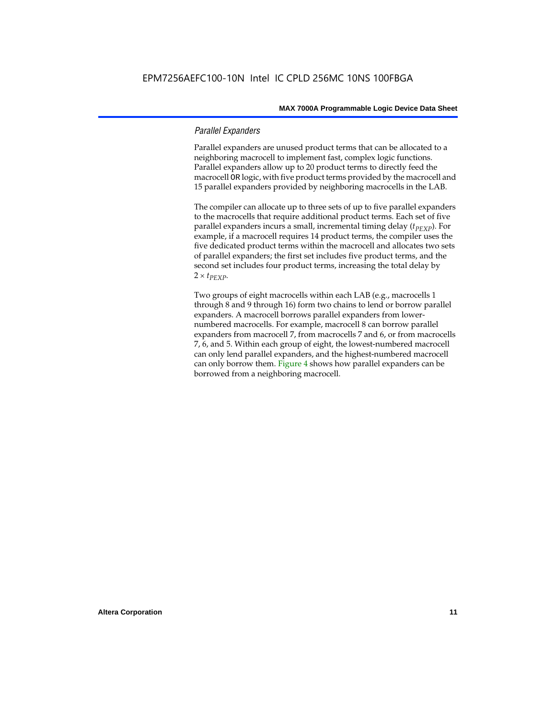#### *Parallel Expanders*

Parallel expanders are unused product terms that can be allocated to a neighboring macrocell to implement fast, complex logic functions. Parallel expanders allow up to 20 product terms to directly feed the macrocell OR logic, with five product terms provided by the macrocell and 15 parallel expanders provided by neighboring macrocells in the LAB.

The compiler can allocate up to three sets of up to five parallel expanders to the macrocells that require additional product terms. Each set of five parallel expanders incurs a small, incremental timing delay (*t<sub>PEXP</sub>*). For example, if a macrocell requires 14 product terms, the compiler uses the five dedicated product terms within the macrocell and allocates two sets of parallel expanders; the first set includes five product terms, and the second set includes four product terms, increasing the total delay by  $2 \times t_{PEXP}$ .

Two groups of eight macrocells within each LAB (e.g., macrocells 1 through 8 and 9 through 16) form two chains to lend or borrow parallel expanders. A macrocell borrows parallel expanders from lowernumbered macrocells. For example, macrocell 8 can borrow parallel expanders from macrocell 7, from macrocells 7 and 6, or from macrocells 7, 6, and 5. Within each group of eight, the lowest-numbered macrocell can only lend parallel expanders, and the highest-numbered macrocell can only borrow them. Figure 4 shows how parallel expanders can be borrowed from a neighboring macrocell.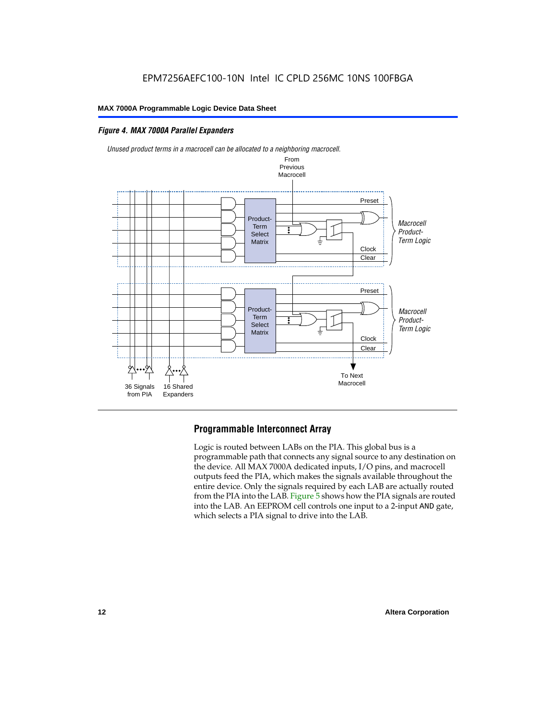#### *Figure 4. MAX 7000A Parallel Expanders*



*Unused product terms in a macrocell can be allocated to a neighboring macrocell.*

#### **Programmable Interconnect Array**

Logic is routed between LABs on the PIA. This global bus is a programmable path that connects any signal source to any destination on the device. All MAX 7000A dedicated inputs, I/O pins, and macrocell outputs feed the PIA, which makes the signals available throughout the entire device. Only the signals required by each LAB are actually routed from the PIA into the LAB. Figure 5 shows how the PIA signals are routed into the LAB. An EEPROM cell controls one input to a 2-input AND gate, which selects a PIA signal to drive into the LAB.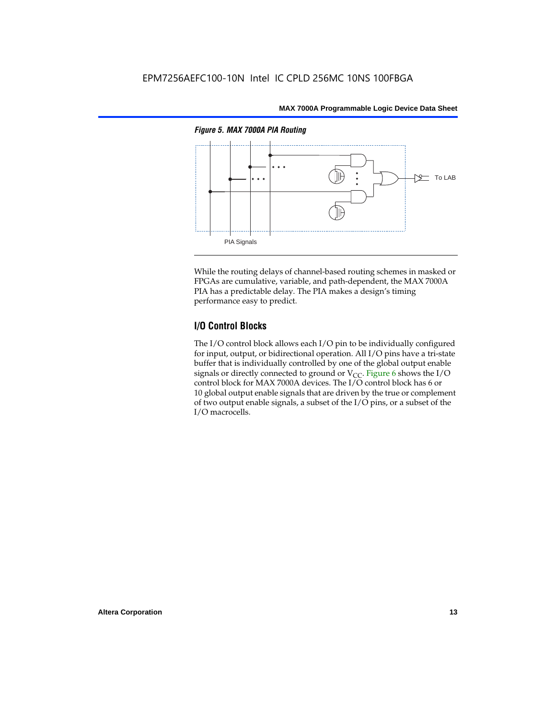

While the routing delays of channel-based routing schemes in masked or FPGAs are cumulative, variable, and path-dependent, the MAX 7000A PIA has a predictable delay. The PIA makes a design's timing performance easy to predict.

#### **I/O Control Blocks**

The I/O control block allows each I/O pin to be individually configured for input, output, or bidirectional operation. All I/O pins have a tri-state buffer that is individually controlled by one of the global output enable signals or directly connected to ground or  $V_{CC}$ . Figure 6 shows the I/O control block for MAX 7000A devices. The I/O control block has 6 or 10 global output enable signals that are driven by the true or complement of two output enable signals, a subset of the I/O pins, or a subset of the I/O macrocells.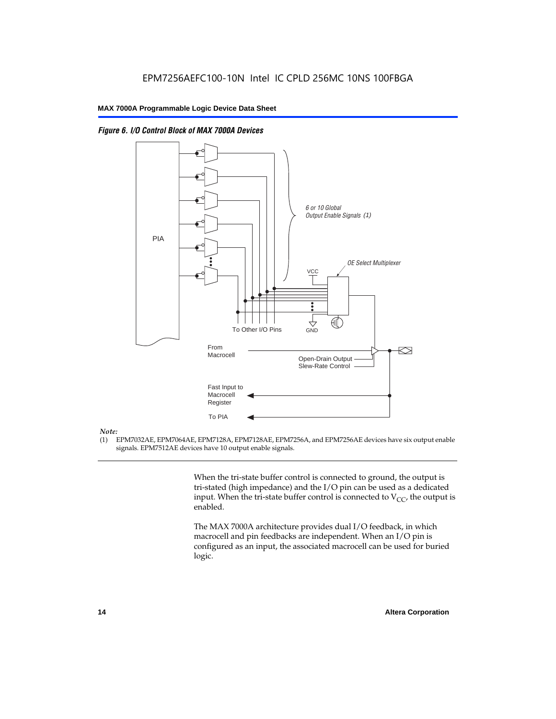



#### *Note:*

(1) EPM7032AE, EPM7064AE, EPM7128A, EPM7128AE, EPM7256A, and EPM7256AE devices have six output enable signals. EPM7512AE devices have 10 output enable signals.

> When the tri-state buffer control is connected to ground, the output is tri-stated (high impedance) and the I/O pin can be used as a dedicated input. When the tri-state buffer control is connected to  $V_{CC}$ , the output is enabled.

The MAX 7000A architecture provides dual I/O feedback, in which macrocell and pin feedbacks are independent. When an I/O pin is configured as an input, the associated macrocell can be used for buried logic.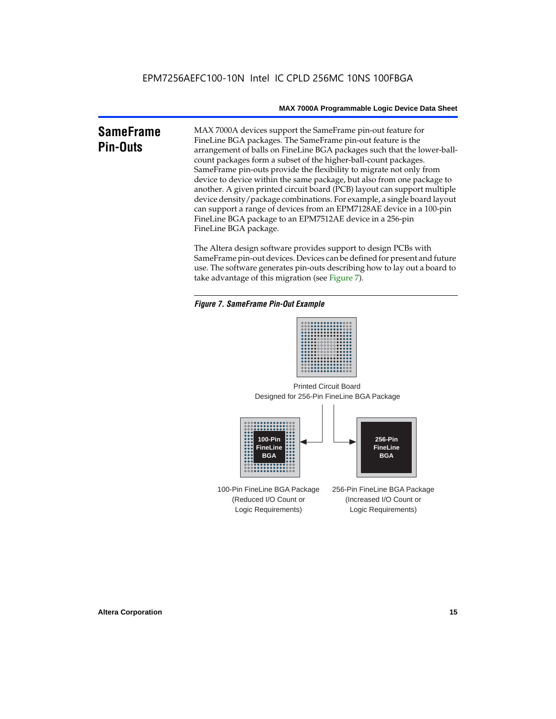### **SameFrame Pin-Outs**

MAX 7000A devices support the SameFrame pin-out feature for FineLine BGA packages. The SameFrame pin-out feature is the arrangement of balls on FineLine BGA packages such that the lower-ballcount packages form a subset of the higher-ball-count packages. SameFrame pin-outs provide the flexibility to migrate not only from device to device within the same package, but also from one package to another. A given printed circuit board (PCB) layout can support multiple device density/package combinations. For example, a single board layout can support a range of devices from an EPM7128AE device in a 100-pin FineLine BGA package to an EPM7512AE device in a 256-pin FineLine BGA package.

The Altera design software provides support to design PCBs with SameFrame pin-out devices. Devices can be defined for present and future use. The software generates pin-outs describing how to lay out a board to take advantage of this migration (see Figure 7).

#### *Figure 7. SameFrame Pin-Out Example*



Designed for 256-Pin FineLine BGA Package Printed Circuit Board



100-Pin FineLine BGA Package (Reduced I/O Count or Logic Requirements) 256-Pin FineLine BGA Package (Increased I/O Count or Logic Requirements)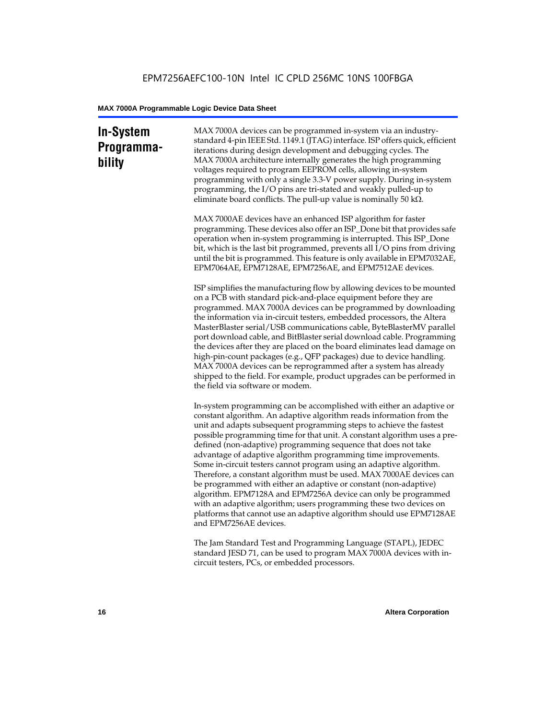### **In-System Programmability**

MAX 7000A devices can be programmed in-system via an industrystandard 4-pin IEEE Std. 1149.1 (JTAG) interface. ISP offers quick, efficient iterations during design development and debugging cycles. The MAX 7000A architecture internally generates the high programming voltages required to program EEPROM cells, allowing in-system programming with only a single 3.3-V power supply. During in-system programming, the I/O pins are tri-stated and weakly pulled-up to eliminate board conflicts. The pull-up value is nominally 50 k $\Omega$ .

MAX 7000AE devices have an enhanced ISP algorithm for faster programming. These devices also offer an ISP\_Done bit that provides safe operation when in-system programming is interrupted. This ISP\_Done bit, which is the last bit programmed, prevents all I/O pins from driving until the bit is programmed. This feature is only available in EPM7032AE, EPM7064AE, EPM7128AE, EPM7256AE, and EPM7512AE devices.

ISP simplifies the manufacturing flow by allowing devices to be mounted on a PCB with standard pick-and-place equipment before they are programmed. MAX 7000A devices can be programmed by downloading the information via in-circuit testers, embedded processors, the Altera MasterBlaster serial/USB communications cable, ByteBlasterMV parallel port download cable, and BitBlaster serial download cable. Programming the devices after they are placed on the board eliminates lead damage on high-pin-count packages (e.g., QFP packages) due to device handling. MAX 7000A devices can be reprogrammed after a system has already shipped to the field. For example, product upgrades can be performed in the field via software or modem.

In-system programming can be accomplished with either an adaptive or constant algorithm. An adaptive algorithm reads information from the unit and adapts subsequent programming steps to achieve the fastest possible programming time for that unit. A constant algorithm uses a predefined (non-adaptive) programming sequence that does not take advantage of adaptive algorithm programming time improvements. Some in-circuit testers cannot program using an adaptive algorithm. Therefore, a constant algorithm must be used. MAX 7000AE devices can be programmed with either an adaptive or constant (non-adaptive) algorithm. EPM7128A and EPM7256A device can only be programmed with an adaptive algorithm; users programming these two devices on platforms that cannot use an adaptive algorithm should use EPM7128AE and EPM7256AE devices.

The Jam Standard Test and Programming Language (STAPL), JEDEC standard JESD 71, can be used to program MAX 7000A devices with incircuit testers, PCs, or embedded processors.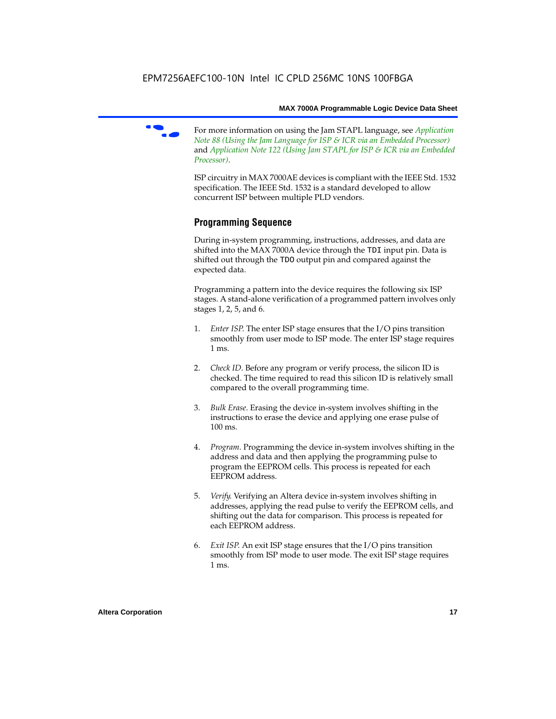f For more information on using the Jam STAPL language, see *Application Note 88 (Using the Jam Language for ISP & ICR via an Embedded Processor)*  and *Application Note 122 (Using Jam STAPL for ISP & ICR via an Embedded Processor)*.

ISP circuitry in MAX 7000AE devices is compliant with the IEEE Std. 1532 specification. The IEEE Std. 1532 is a standard developed to allow concurrent ISP between multiple PLD vendors.

#### **Programming Sequence**

During in-system programming, instructions, addresses, and data are shifted into the MAX 7000A device through the TDI input pin. Data is shifted out through the TDO output pin and compared against the expected data.

Programming a pattern into the device requires the following six ISP stages. A stand-alone verification of a programmed pattern involves only stages 1, 2, 5, and 6.

- 1. *Enter ISP*. The enter ISP stage ensures that the I/O pins transition smoothly from user mode to ISP mode. The enter ISP stage requires 1 ms.
- 2. *Check ID*. Before any program or verify process, the silicon ID is checked. The time required to read this silicon ID is relatively small compared to the overall programming time.
- 3. *Bulk Erase*. Erasing the device in-system involves shifting in the instructions to erase the device and applying one erase pulse of 100 ms.
- 4. *Program*. Programming the device in-system involves shifting in the address and data and then applying the programming pulse to program the EEPROM cells. This process is repeated for each EEPROM address.
- 5. *Verify*. Verifying an Altera device in-system involves shifting in addresses, applying the read pulse to verify the EEPROM cells, and shifting out the data for comparison. This process is repeated for each EEPROM address.
- 6. *Exit ISP*. An exit ISP stage ensures that the I/O pins transition smoothly from ISP mode to user mode. The exit ISP stage requires 1 ms.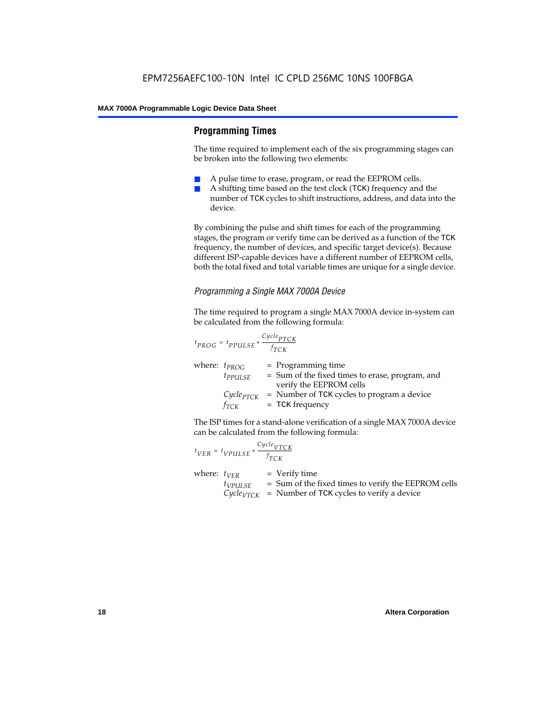#### **Programming Times**

The time required to implement each of the six programming stages can be broken into the following two elements:

- A pulse time to erase, program, or read the EEPROM cells.
- A shifting time based on the test clock (TCK) frequency and the number of TCK cycles to shift instructions, address, and data into the device.

By combining the pulse and shift times for each of the programming stages, the program or verify time can be derived as a function of the TCK frequency, the number of devices, and specific target device(s). Because different ISP-capable devices have a different number of EEPROM cells, both the total fixed and total variable times are unique for a single device.

#### *Programming a Single MAX 7000A Device*

The time required to program a single MAX 7000A device in-system can be calculated from the following formula:

$$
t_{PROG} = t_{PPULSE} + \frac{c_{ycle_{PTCK}}}{f_{TCK}}
$$
  
where:  $t_{PROG}$  = Programming time  
 $t_{PPULSE}$  = Sum of the fixed times to erase, program, and  
verify the EEPROM cells  
 $C_{ycle_{PTCK}}$  = Number of TCK cycles to program a device  
 $f_{TCK}$  = TCK frequency

The ISP times for a stand-alone verification of a single MAX 7000A device can be calculated from the following formula:

| $t_{VER} = t_{VPULSE} + \frac{Cycle_{VTCK}}{f_{TCK}}$ |                                                                                                                                    |
|-------------------------------------------------------|------------------------------------------------------------------------------------------------------------------------------------|
| where: $t_{VFR}$<br>$t_{VPULSE}$                      | $=$ Verify time<br>= Sum of the fixed times to verify the EEPROM cells<br>$Cycle_{VTCK}$ = Number of TCK cycles to verify a device |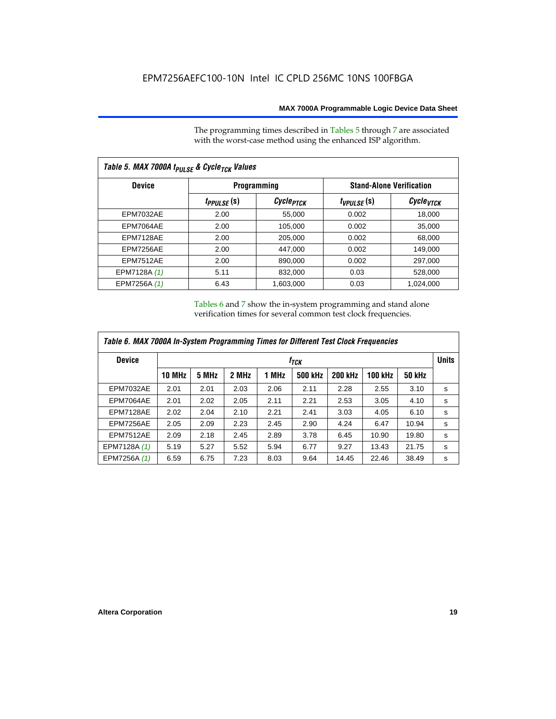The programming times described in Tables 5 through 7 are associated with the worst-case method using the enhanced ISP algorithm.

| Table 5. MAX 7000A t <sub>PULSE</sub> & Cycle <sub>TCK</sub> Values |                 |                       |                                 |                       |  |  |  |  |
|---------------------------------------------------------------------|-----------------|-----------------------|---------------------------------|-----------------------|--|--|--|--|
| <b>Device</b>                                                       |                 | <b>Programming</b>    | <b>Stand-Alone Verification</b> |                       |  |  |  |  |
|                                                                     | $t_{PPULSE}(s)$ | Cycle <sub>PTCK</sub> | $t_{VPULSE}(s)$                 | Cycle <sub>vTCK</sub> |  |  |  |  |
| <b>EPM7032AE</b>                                                    | 2.00            | 55,000                | 0.002                           | 18,000                |  |  |  |  |
| EPM7064AE                                                           | 2.00            | 105,000               | 0.002                           | 35,000                |  |  |  |  |
| EPM7128AE                                                           | 2.00            | 205,000               | 0.002                           | 68,000                |  |  |  |  |
| EPM7256AE                                                           | 2.00            | 447,000               | 0.002                           | 149.000               |  |  |  |  |
| <b>EPM7512AE</b>                                                    | 2.00            | 890,000               | 0.002                           | 297,000               |  |  |  |  |
| EPM7128A (1)                                                        | 5.11            | 832,000               | 0.03                            | 528,000               |  |  |  |  |
| EPM7256A (1)                                                        | 6.43            | 1.603.000             | 0.03                            | 1,024,000             |  |  |  |  |

Tables 6 and 7 show the in-system programming and stand alone verification times for several common test clock frequencies.

| Table 6. MAX 7000A In-System Programming Times for Different Test Clock Frequencies |               |                  |       |       |                |                |                |               |   |
|-------------------------------------------------------------------------------------|---------------|------------------|-------|-------|----------------|----------------|----------------|---------------|---|
| <b>Device</b>                                                                       |               | t <sub>тск</sub> |       |       |                |                |                |               |   |
|                                                                                     | <b>10 MHz</b> | 5 MHz            | 2 MHz | 1 MHz | <b>500 kHz</b> | <b>200 kHz</b> | <b>100 kHz</b> | <b>50 kHz</b> |   |
| <b>EPM7032AE</b>                                                                    | 2.01          | 2.01             | 2.03  | 2.06  | 2.11           | 2.28           | 2.55           | 3.10          | s |
| EPM7064AE                                                                           | 2.01          | 2.02             | 2.05  | 2.11  | 2.21           | 2.53           | 3.05           | 4.10          | s |
| EPM7128AE                                                                           | 2.02          | 2.04             | 2.10  | 2.21  | 2.41           | 3.03           | 4.05           | 6.10          | s |
| EPM7256AE                                                                           | 2.05          | 2.09             | 2.23  | 2.45  | 2.90           | 4.24           | 6.47           | 10.94         | s |
| <b>EPM7512AE</b>                                                                    | 2.09          | 2.18             | 2.45  | 2.89  | 3.78           | 6.45           | 10.90          | 19.80         | s |
| EPM7128A (1)                                                                        | 5.19          | 5.27             | 5.52  | 5.94  | 6.77           | 9.27           | 13.43          | 21.75         | s |
| EPM7256A (1)                                                                        | 6.59          | 6.75             | 7.23  | 8.03  | 9.64           | 14.45          | 22.46          | 38.49         | s |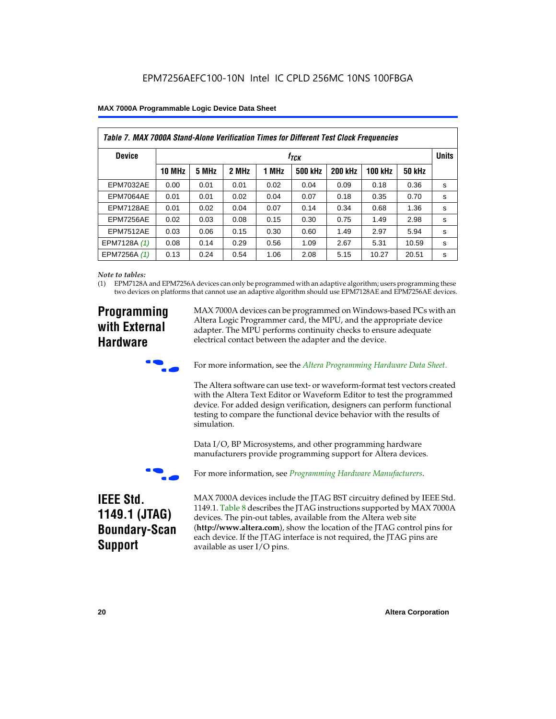| Table 7. MAX 7000A Stand-Alone Verification Times for Different Test Clock Frequencies |               |                           |       |       |                |                |                |               |   |
|----------------------------------------------------------------------------------------|---------------|---------------------------|-------|-------|----------------|----------------|----------------|---------------|---|
| <b>Device</b>                                                                          |               | <b>Units</b><br>$f_{TCK}$ |       |       |                |                |                |               |   |
|                                                                                        | <b>10 MHz</b> | 5 MHz                     | 2 MHz | 1 MHz | <b>500 kHz</b> | <b>200 kHz</b> | <b>100 kHz</b> | <b>50 kHz</b> |   |
| <b>EPM7032AE</b>                                                                       | 0.00          | 0.01                      | 0.01  | 0.02  | 0.04           | 0.09           | 0.18           | 0.36          | s |
| EPM7064AE                                                                              | 0.01          | 0.01                      | 0.02  | 0.04  | 0.07           | 0.18           | 0.35           | 0.70          | s |
| EPM7128AE                                                                              | 0.01          | 0.02                      | 0.04  | 0.07  | 0.14           | 0.34           | 0.68           | 1.36          | s |
| EPM7256AE                                                                              | 0.02          | 0.03                      | 0.08  | 0.15  | 0.30           | 0.75           | 1.49           | 2.98          | s |
| EPM7512AE                                                                              | 0.03          | 0.06                      | 0.15  | 0.30  | 0.60           | 1.49           | 2.97           | 5.94          | s |
| EPM7128A (1)                                                                           | 0.08          | 0.14                      | 0.29  | 0.56  | 1.09           | 2.67           | 5.31           | 10.59         | s |
| EPM7256A (1)                                                                           | 0.13          | 0.24                      | 0.54  | 1.06  | 2.08           | 5.15           | 10.27          | 20.51         | s |

#### *Note to tables:*

(1) EPM7128A and EPM7256A devices can only be programmed with an adaptive algorithm; users programming these two devices on platforms that cannot use an adaptive algorithm should use EPM7128AE and EPM7256AE devices.

### **Programming with External Hardware**

MAX 7000A devices can be programmed on Windows-based PCs with an Altera Logic Programmer card, the MPU, and the appropriate device adapter. The MPU performs continuity checks to ensure adequate electrical contact between the adapter and the device.



For more information, see the *Altera Programming Hardware Data Sheet*.

The Altera software can use text- or waveform-format test vectors created with the Altera Text Editor or Waveform Editor to test the programmed device. For added design verification, designers can perform functional testing to compare the functional device behavior with the results of simulation.

Data I/O, BP Microsystems, and other programming hardware manufacturers provide programming support for Altera devices.



For more information, see *Programming Hardware Manufacturers*.

### **IEEE Std. 1149.1 (JTAG) Boundary-Scan Support**

MAX 7000A devices include the JTAG BST circuitry defined by IEEE Std. 1149.1. Table 8 describes the JTAG instructions supported by MAX 7000A devices. The pin-out tables, available from the Altera web site (**http://www.altera.com**), show the location of the JTAG control pins for each device. If the JTAG interface is not required, the JTAG pins are available as user I/O pins.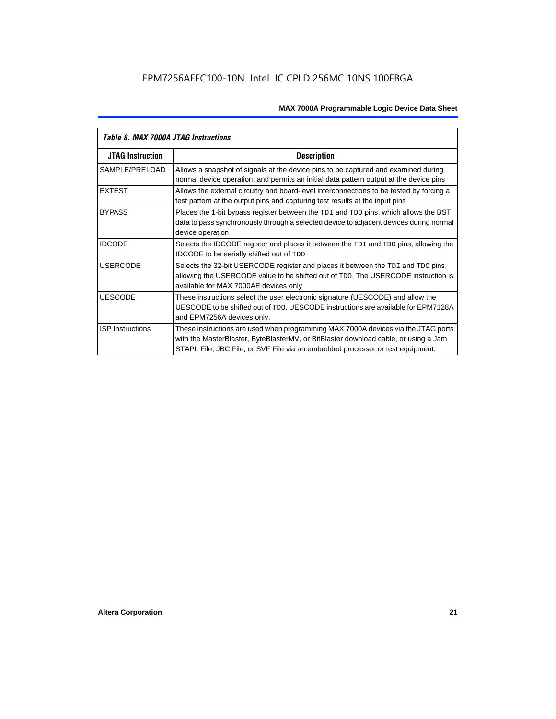| Table 8. MAX 7000A JTAG Instructions |                                                                                                                                                                                                                                                            |  |  |  |  |
|--------------------------------------|------------------------------------------------------------------------------------------------------------------------------------------------------------------------------------------------------------------------------------------------------------|--|--|--|--|
| <b>JTAG Instruction</b>              | <b>Description</b>                                                                                                                                                                                                                                         |  |  |  |  |
| SAMPLE/PRELOAD                       | Allows a snapshot of signals at the device pins to be captured and examined during<br>normal device operation, and permits an initial data pattern output at the device pins                                                                               |  |  |  |  |
| <b>EXTEST</b>                        | Allows the external circuitry and board-level interconnections to be tested by forcing a<br>test pattern at the output pins and capturing test results at the input pins                                                                                   |  |  |  |  |
| <b>BYPASS</b>                        | Places the 1-bit bypass register between the TDI and TDO pins, which allows the BST<br>data to pass synchronously through a selected device to adjacent devices during normal<br>device operation                                                          |  |  |  |  |
| <b>IDCODE</b>                        | Selects the IDCODE register and places it between the TDI and TDO pins, allowing the<br><b>IDCODE</b> to be serially shifted out of TDO                                                                                                                    |  |  |  |  |
| <b>USERCODE</b>                      | Selects the 32-bit USERCODE register and places it between the TDI and TDO pins,<br>allowing the USERCODE value to be shifted out of TDO. The USERCODE instruction is<br>available for MAX 7000AE devices only                                             |  |  |  |  |
| <b>UESCODE</b>                       | These instructions select the user electronic signature (UESCODE) and allow the<br>UESCODE to be shifted out of TDO, UESCODE instructions are available for EPM7128A<br>and EPM7256A devices only.                                                         |  |  |  |  |
| <b>ISP</b> Instructions              | These instructions are used when programming MAX 7000A devices via the JTAG ports<br>with the MasterBlaster, ByteBlasterMV, or BitBlaster download cable, or using a Jam<br>STAPL File, JBC File, or SVF File via an embedded processor or test equipment. |  |  |  |  |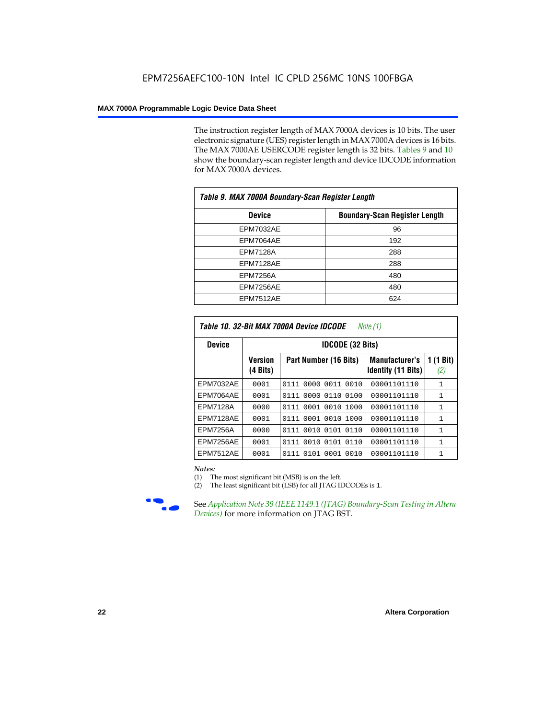The instruction register length of MAX 7000A devices is 10 bits. The user electronic signature (UES) register length in MAX 7000A devices is 16 bits. The MAX 7000AE USERCODE register length is 32 bits. Tables 9 and 10 show the boundary-scan register length and device IDCODE information for MAX 7000A devices.

| Table 9. MAX 7000A Boundary-Scan Register Length |                                      |  |  |  |  |
|--------------------------------------------------|--------------------------------------|--|--|--|--|
| <b>Device</b>                                    | <b>Boundary-Scan Register Length</b> |  |  |  |  |
| <b>EPM7032AE</b>                                 | 96                                   |  |  |  |  |
| EPM7064AE                                        | 192                                  |  |  |  |  |
| <b>EPM7128A</b>                                  | 288                                  |  |  |  |  |
| EPM7128AE                                        | 288                                  |  |  |  |  |
| <b>EPM7256A</b>                                  | 480                                  |  |  |  |  |
| EPM7256AE                                        | 480                                  |  |  |  |  |
| EPM7512AE                                        | 624                                  |  |  |  |  |

| Table 10. 32-Bit MAX 7000A Device IDCODE<br>Note $(1)$ |                            |                           |                                                    |                               |  |  |  |  |  |
|--------------------------------------------------------|----------------------------|---------------------------|----------------------------------------------------|-------------------------------|--|--|--|--|--|
| <b>Device</b>                                          |                            | <b>IDCODE (32 Bits)</b>   |                                                    |                               |  |  |  |  |  |
|                                                        | <b>Version</b><br>(4 Bits) | Part Number (16 Bits)     | <b>Manufacturer's</b><br><b>Identity (11 Bits)</b> | $(1 \text{ Bit})$<br>1<br>(2) |  |  |  |  |  |
| <b>EPM7032AE</b>                                       | 0001                       | 0111 0000 0011 0010       | 00001101110                                        | $\mathbf{1}$                  |  |  |  |  |  |
| <b>EPM7064AE</b>                                       | 0001                       | 0111 0000 0110 0100       | 00001101110                                        | 1                             |  |  |  |  |  |
| <b>EPM7128A</b>                                        | 0000                       | 0111 0001 0010 1000       | 00001101110                                        | $\mathbf{1}$                  |  |  |  |  |  |
| EPM7128AE                                              | 0001                       | 0111 0001 0010 1000       | 00001101110                                        | $\mathbf{1}$                  |  |  |  |  |  |
| <b>EPM7256A</b>                                        | 0000                       | 0010 0101<br>0110<br>0111 | 00001101110                                        | $\mathbf{1}$                  |  |  |  |  |  |
| EPM7256AE                                              | 0001                       | 0010 0101 0110<br>0111    | 00001101110                                        | $\mathbf{1}$                  |  |  |  |  |  |
| <b>EPM7512AE</b>                                       | 0001                       | 0111 0101 0001 0010       | 00001101110                                        | 1                             |  |  |  |  |  |

#### *Notes:*

(1) The most significant bit (MSB) is on the left.

(2) The least significant bit (LSB) for all JTAG IDCODEs is 1.



**f See Application Note 39 (IEEE 1149.1 (JTAG) Boundary-Scan Testing in Altera** *Devices)* for more information on JTAG BST.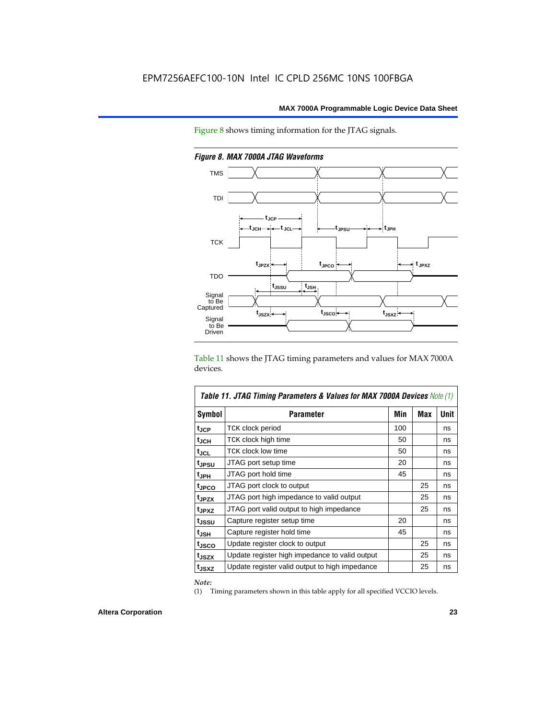



*Figure 8. MAX 7000A JTAG Waveforms*

Table 11 shows the JTAG timing parameters and values for MAX 7000A devices.

| Table 11. JTAG Timing Parameters & Values for MAX 7000A Devices Note (1) |                                                |     |     |      |  |  |  |
|--------------------------------------------------------------------------|------------------------------------------------|-----|-----|------|--|--|--|
| <b>Symbol</b>                                                            | Parameter                                      | Min | Max | Unit |  |  |  |
| t <sub>JCP</sub>                                                         | TCK clock period                               | 100 |     | ns   |  |  |  |
| t <sub>JCH</sub>                                                         | TCK clock high time                            | 50  |     | ns   |  |  |  |
| tjcl                                                                     | <b>TCK clock low time</b>                      | 50  |     | ns   |  |  |  |
| t <sub>JPSU</sub>                                                        | JTAG port setup time                           | 20  |     | ns   |  |  |  |
| t <sub>JPH</sub>                                                         | JTAG port hold time                            | 45  |     | ns   |  |  |  |
| tjpco                                                                    | JTAG port clock to output                      |     | 25  | ns   |  |  |  |
| t <sub>JPZX</sub>                                                        | JTAG port high impedance to valid output       |     | 25  | ns   |  |  |  |
| t <sub>JPXZ</sub>                                                        | JTAG port valid output to high impedance       |     | 25  | ns   |  |  |  |
| tjssu                                                                    | Capture register setup time                    | 20  |     | ns   |  |  |  |
| $t_{JSH}$                                                                | Capture register hold time                     | 45  |     | ns   |  |  |  |
| t <sub>JSCO</sub>                                                        | Update register clock to output                |     | 25  | ns   |  |  |  |
| t <sub>JSZX</sub>                                                        | Update register high impedance to valid output |     | 25  | ns   |  |  |  |
| t <sub>JSXZ</sub>                                                        | Update register valid output to high impedance |     | 25  | ns   |  |  |  |

*Note:*

(1) Timing parameters shown in this table apply for all specified VCCIO levels.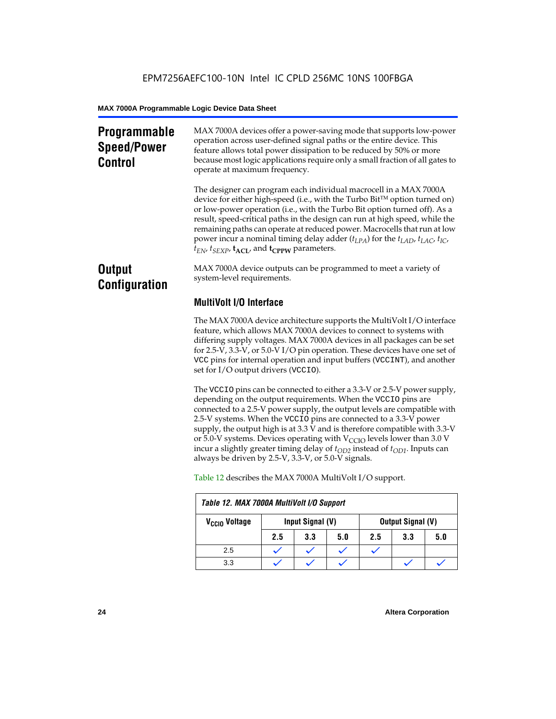### **Programmable Speed/Power Control**

MAX 7000A devices offer a power-saving mode that supports low-power operation across user-defined signal paths or the entire device. This feature allows total power dissipation to be reduced by 50% or more because most logic applications require only a small fraction of all gates to operate at maximum frequency.

The designer can program each individual macrocell in a MAX 7000A device for either high-speed (i.e., with the Turbo  $Bit^{TM}$  option turned on) or low-power operation (i.e., with the Turbo Bit option turned off). As a result, speed-critical paths in the design can run at high speed, while the remaining paths can operate at reduced power. Macrocells that run at low power incur a nominal timing delay adder (*tLPA*) for the *tLAD*, *tLAC*, *tIC*,  $t_{EN}$ ,  $t_{SEXP}$ ,  $t_{ACL}$ , and  $t_{CPPW}$  parameters.

### **Output Configuration**

MAX 7000A device outputs can be programmed to meet a variety of system-level requirements.

### **MultiVolt I/O Interface**

The MAX 7000A device architecture supports the MultiVolt I/O interface feature, which allows MAX 7000A devices to connect to systems with differing supply voltages. MAX 7000A devices in all packages can be set for 2.5-V, 3.3-V, or 5.0-V I/O pin operation. These devices have one set of VCC pins for internal operation and input buffers (VCCINT), and another set for I/O output drivers (VCCIO).

The VCCIO pins can be connected to either a 3.3-V or 2.5-V power supply, depending on the output requirements. When the VCCIO pins are connected to a 2.5-V power supply, the output levels are compatible with 2.5-V systems. When the VCCIO pins are connected to a 3.3-V power supply, the output high is at 3.3 V and is therefore compatible with 3.3-V or 5.0-V systems. Devices operating with  $V_{\text{CCIO}}$  levels lower than 3.0 V incur a slightly greater timing delay of  $t_{OD2}$  instead of  $t_{OD1}$ . Inputs can always be driven by 2.5-V, 3.3-V, or 5.0-V signals.

|                           | Table 12. MAX 7000A MultiVolt I/O Support |                                              |     |     |     |     |  |  |  |  |
|---------------------------|-------------------------------------------|----------------------------------------------|-----|-----|-----|-----|--|--|--|--|
| V <sub>CCIO</sub> Voltage |                                           | Input Signal (V)<br><b>Output Signal (V)</b> |     |     |     |     |  |  |  |  |
|                           | 2.5                                       | 3.3                                          | 5.0 | 2.5 | 3.3 | 5.0 |  |  |  |  |
| 2.5                       |                                           |                                              |     |     |     |     |  |  |  |  |
| 3.3                       |                                           |                                              |     |     |     |     |  |  |  |  |

Table 12 describes the MAX 7000A MultiVolt I/O support.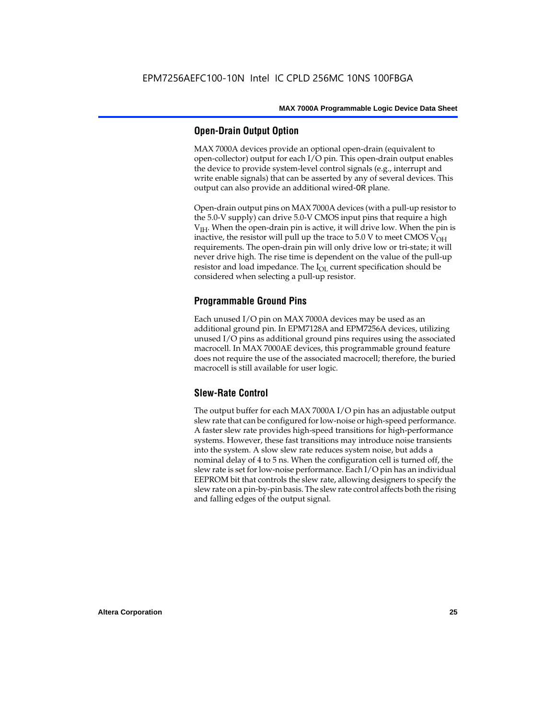#### **Open-Drain Output Option**

MAX 7000A devices provide an optional open-drain (equivalent to open-collector) output for each I/O pin. This open-drain output enables the device to provide system-level control signals (e.g., interrupt and write enable signals) that can be asserted by any of several devices. This output can also provide an additional wired-OR plane.

Open-drain output pins on MAX 7000A devices (with a pull-up resistor to the 5.0-V supply) can drive 5.0-V CMOS input pins that require a high  $V<sub>IH</sub>$ . When the open-drain pin is active, it will drive low. When the pin is inactive, the resistor will pull up the trace to  $5.0$  V to meet CMOS V<sub>OH</sub> requirements. The open-drain pin will only drive low or tri-state; it will never drive high. The rise time is dependent on the value of the pull-up resistor and load impedance. The  $I_{OL}$  current specification should be considered when selecting a pull-up resistor.

#### **Programmable Ground Pins**

Each unused I/O pin on MAX 7000A devices may be used as an additional ground pin. In EPM7128A and EPM7256A devices, utilizing unused I/O pins as additional ground pins requires using the associated macrocell. In MAX 7000AE devices, this programmable ground feature does not require the use of the associated macrocell; therefore, the buried macrocell is still available for user logic.

#### **Slew-Rate Control**

The output buffer for each MAX 7000A I/O pin has an adjustable output slew rate that can be configured for low-noise or high-speed performance. A faster slew rate provides high-speed transitions for high-performance systems. However, these fast transitions may introduce noise transients into the system. A slow slew rate reduces system noise, but adds a nominal delay of 4 to 5 ns. When the configuration cell is turned off, the slew rate is set for low-noise performance. Each I/O pin has an individual EEPROM bit that controls the slew rate, allowing designers to specify the slew rate on a pin-by-pin basis. The slew rate control affects both the rising and falling edges of the output signal.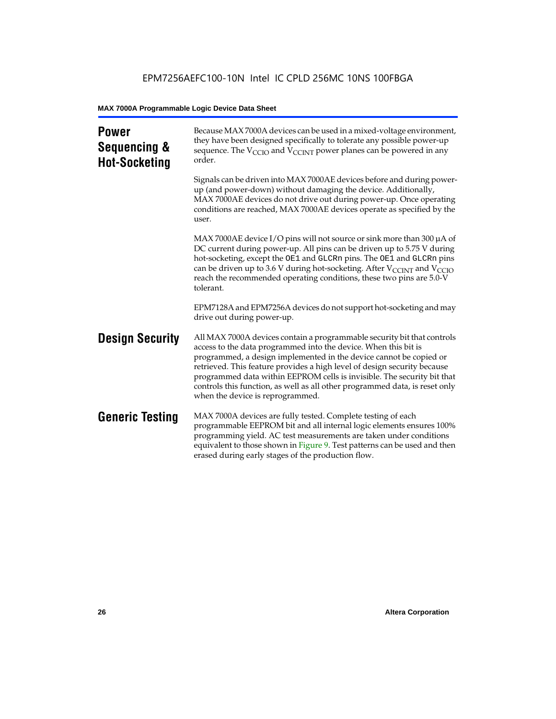| <b>Power</b><br>Sequencing &<br><b>Hot-Socketing</b> | Because MAX 7000A devices can be used in a mixed-voltage environment,<br>they have been designed specifically to tolerate any possible power-up<br>sequence. The $V_{\text{CCIO}}$ and $V_{\text{CCINT}}$ power planes can be powered in any<br>order.                                                                                                                                                                                                                                     |
|------------------------------------------------------|--------------------------------------------------------------------------------------------------------------------------------------------------------------------------------------------------------------------------------------------------------------------------------------------------------------------------------------------------------------------------------------------------------------------------------------------------------------------------------------------|
|                                                      | Signals can be driven into MAX 7000AE devices before and during power-<br>up (and power-down) without damaging the device. Additionally,<br>MAX 7000AE devices do not drive out during power-up. Once operating<br>conditions are reached, MAX 7000AE devices operate as specified by the<br>user.                                                                                                                                                                                         |
|                                                      | MAX 7000AE device I/O pins will not source or sink more than 300 µA of<br>DC current during power-up. All pins can be driven up to 5.75 V during<br>hot-socketing, except the OE1 and GLCRn pins. The OE1 and GLCRn pins<br>can be driven up to 3.6 V during hot-socketing. After $V_{\text{CCINT}}$ and $V_{\text{CCIO}}$<br>reach the recommended operating conditions, these two pins are 5.0-V<br>tolerant.                                                                            |
|                                                      | EPM7128A and EPM7256A devices do not support hot-socketing and may<br>drive out during power-up.                                                                                                                                                                                                                                                                                                                                                                                           |
| <b>Design Security</b>                               | All MAX 7000A devices contain a programmable security bit that controls<br>access to the data programmed into the device. When this bit is<br>programmed, a design implemented in the device cannot be copied or<br>retrieved. This feature provides a high level of design security because<br>programmed data within EEPROM cells is invisible. The security bit that<br>controls this function, as well as all other programmed data, is reset only<br>when the device is reprogrammed. |
| <b>Generic Testing</b>                               | MAX 7000A devices are fully tested. Complete testing of each<br>programmable EEPROM bit and all internal logic elements ensures 100%<br>programming yield. AC test measurements are taken under conditions<br>equivalent to those shown in Figure 9. Test patterns can be used and then<br>erased during early stages of the production flow.                                                                                                                                              |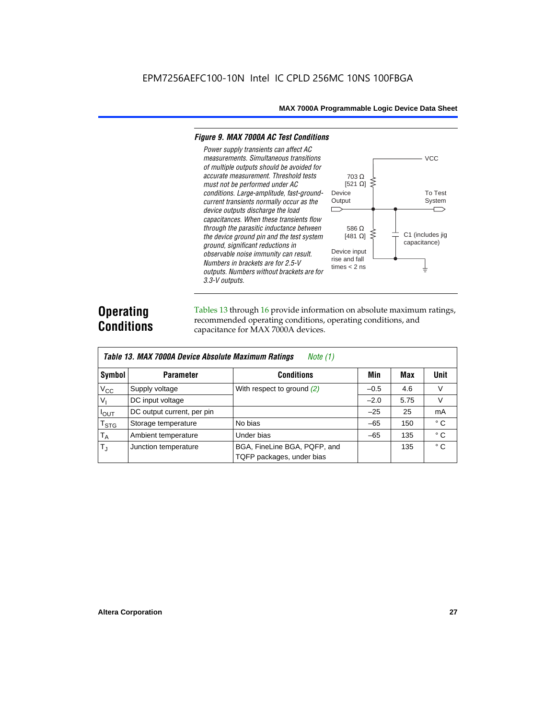#### *Figure 9. MAX 7000A AC Test Conditions*

*3.3-V outputs.*



### **Operating Conditions**

Tables 13 through 16 provide information on absolute maximum ratings, recommended operating conditions, operating conditions, and capacitance for MAX 7000A devices.

|                | Table 13. MAX 7000A Device Absolute Maximum Ratings<br>Note $(1)$ |                                                           |        |      |              |  |  |  |  |  |  |
|----------------|-------------------------------------------------------------------|-----------------------------------------------------------|--------|------|--------------|--|--|--|--|--|--|
| Symbol         | <b>Parameter</b>                                                  | Conditions                                                | Min    | Max  | <b>Unit</b>  |  |  |  |  |  |  |
| $V_{CC}$       | Supply voltage                                                    | With respect to ground $(2)$                              | $-0.5$ | 4.6  | V            |  |  |  |  |  |  |
| V <sub>1</sub> | DC input voltage                                                  |                                                           | $-2.0$ | 5.75 | $\vee$       |  |  |  |  |  |  |
| $I_{OUT}$      | DC output current, per pin                                        |                                                           | $-25$  | 25   | mA           |  |  |  |  |  |  |
| $T_{STG}$      | Storage temperature                                               | No bias                                                   | $-65$  | 150  | $^{\circ}$ C |  |  |  |  |  |  |
| $T_A$          | Ambient temperature                                               | Under bias                                                | $-65$  | 135  | $^{\circ}$ C |  |  |  |  |  |  |
| $T_{\rm J}$    | Junction temperature                                              | BGA, FineLine BGA, PQFP, and<br>TQFP packages, under bias |        | 135  | $^{\circ}$ C |  |  |  |  |  |  |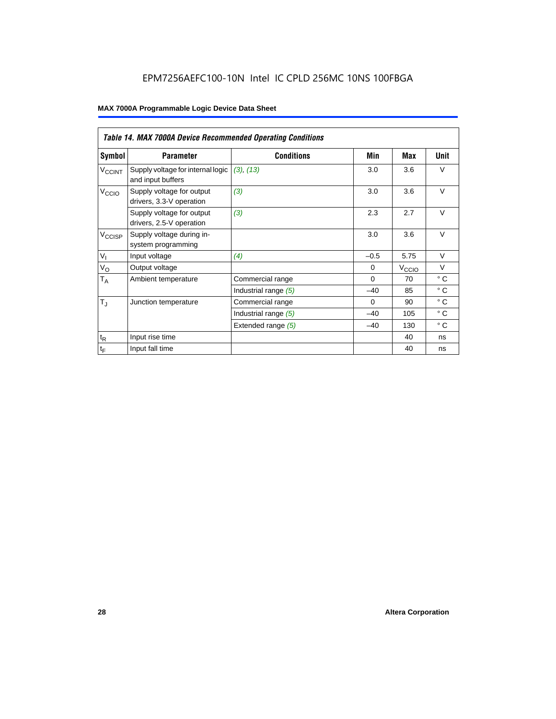|                          | <b>Table 14. MAX 7000A Device Recommended Operating Conditions</b> |                      |          |                   |              |  |  |  |  |  |  |
|--------------------------|--------------------------------------------------------------------|----------------------|----------|-------------------|--------------|--|--|--|--|--|--|
| Symbol                   | <b>Parameter</b>                                                   | <b>Conditions</b>    | Min      | Max               | Unit         |  |  |  |  |  |  |
| <b>V<sub>CCINT</sub></b> | Supply voltage for internal logic<br>and input buffers             | (3), (13)            | 3.0      | 3.6               | $\vee$       |  |  |  |  |  |  |
| V <sub>CCIO</sub>        | Supply voltage for output<br>drivers, 3.3-V operation              | (3)                  | 3.0      | 3.6               | $\vee$       |  |  |  |  |  |  |
|                          | Supply voltage for output<br>drivers, 2.5-V operation              | (3)                  | 2.3      | 2.7               | $\vee$       |  |  |  |  |  |  |
| $V_{\text{CCISP}}$       | Supply voltage during in-<br>system programming                    |                      | 3.0      | 3.6               | $\vee$       |  |  |  |  |  |  |
| $V_{I}$                  | Input voltage                                                      | (4)                  | $-0.5$   | 5.75              | $\vee$       |  |  |  |  |  |  |
| $V_{\rm O}$              | Output voltage                                                     |                      | $\Omega$ | V <sub>CCIO</sub> | $\vee$       |  |  |  |  |  |  |
| $T_A$                    | Ambient temperature                                                | Commercial range     | $\Omega$ | 70                | $^{\circ}$ C |  |  |  |  |  |  |
|                          |                                                                    | Industrial range (5) | $-40$    | 85                | $^{\circ}$ C |  |  |  |  |  |  |
| $T_{\rm J}$              | Junction temperature                                               | Commercial range     | $\Omega$ | 90                | $^{\circ}$ C |  |  |  |  |  |  |
|                          |                                                                    | Industrial range (5) | $-40$    | 105               | $^{\circ}$ C |  |  |  |  |  |  |
|                          |                                                                    | Extended range (5)   | $-40$    | 130               | $^{\circ}$ C |  |  |  |  |  |  |
| $t_{\mathsf{R}}$         | Input rise time                                                    |                      |          | 40                | ns           |  |  |  |  |  |  |
| $t_F$                    | Input fall time                                                    |                      |          | 40                | ns           |  |  |  |  |  |  |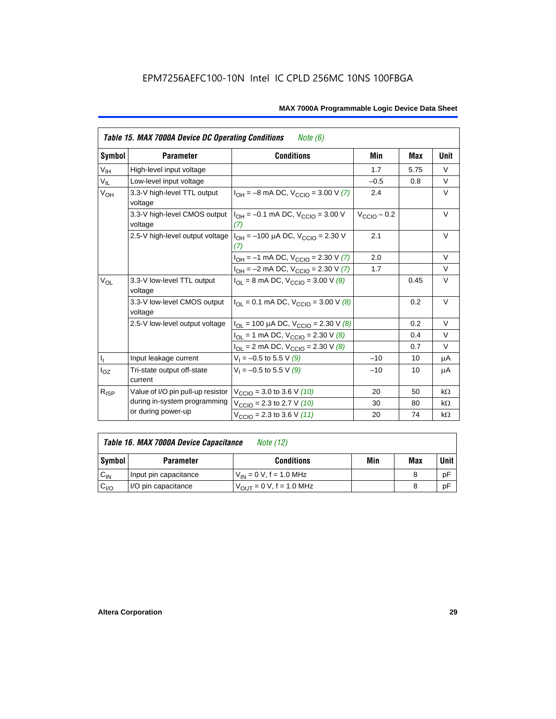|                         | <b>Table 15. MAX 7000A Device DC Operating Conditions</b> | Note (6)                                                                               |                         |      |             |
|-------------------------|-----------------------------------------------------------|----------------------------------------------------------------------------------------|-------------------------|------|-------------|
| Symbol                  | <b>Parameter</b>                                          | <b>Conditions</b>                                                                      | Min                     | Max  | <b>Unit</b> |
| $V_{\text{IH}}$         | High-level input voltage                                  |                                                                                        | 1.7                     | 5.75 | $\vee$      |
| $V_{IL}$                | Low-level input voltage                                   |                                                                                        | $-0.5$                  | 0.8  | V           |
| $V_{OH}$                | 3.3-V high-level TTL output<br>voltage                    | $I_{OH} = -8$ mA DC, $V_{CClO} = 3.00$ V (7)                                           | 2.4                     |      | $\vee$      |
|                         | 3.3-V high-level CMOS output<br>voltage                   | $I_{OH} = -0.1$ mA DC, $V_{CCD} = 3.00$ V<br>(7)                                       | $V_{\text{CCIO}} - 0.2$ |      | V           |
|                         |                                                           | 2.5-V high-level output voltage $ I_{OH} = -100 \mu A DC$ , $V_{CClO} = 2.30 V$<br>(7) | 2.1                     |      | V           |
|                         |                                                           | $I_{OH} = -1$ mA DC, $V_{CCIO} = 2.30$ V (7)                                           | 2.0                     |      | $\vee$      |
|                         |                                                           | $I_{OH} = -2$ mA DC, $V_{CCIO} = 2.30$ V (7)                                           | 1.7                     |      | $\vee$      |
| $V_{OL}$                | 3.3-V low-level TTL output<br>voltage                     | $I_{OL}$ = 8 mA DC, $V_{CCIO}$ = 3.00 V (8)                                            |                         | 0.45 | $\vee$      |
|                         | 3.3-V low-level CMOS output<br>voltage                    | $I_{\text{OI}} = 0.1 \text{ mA DC}$ , $V_{\text{CCIO}} = 3.00 \text{ V}$ (8)           |                         | 0.2  | V           |
|                         | 2.5-V low-level output voltage                            | $I_{OL}$ = 100 µA DC, $V_{CCIO}$ = 2.30 V (8)                                          |                         | 0.2  | $\vee$      |
|                         |                                                           | $I_{OL}$ = 1 mA DC, $V_{CCIO}$ = 2.30 V (8)                                            |                         | 0.4  | $\vee$      |
|                         |                                                           | $I_{OL}$ = 2 mA DC, $V_{CCIO}$ = 2.30 V (8)                                            |                         | 0.7  | V           |
| $\mathsf{I}_\mathrm{I}$ | Input leakage current                                     | $V_1 = -0.5$ to 5.5 V (9)                                                              | $-10$                   | 10   | μA          |
| $I_{OZ}$                | Tri-state output off-state<br>current                     | $V_1 = -0.5$ to 5.5 V (9)                                                              | $-10$                   | 10   | μA          |
| $R_{ISP}$               | Value of I/O pin pull-up resistor                         | $V_{\text{CCIO}} = 3.0$ to 3.6 V (10)                                                  | 20                      | 50   | $k\Omega$   |
|                         | during in-system programming                              | $V_{\text{CCIO}}$ = 2.3 to 2.7 V (10)                                                  | 30                      | 80   | $k\Omega$   |
|                         | or during power-up                                        | $V_{\text{CCIO}} = 2.3$ to 3.6 V (11)                                                  | 20                      | 74   | $k\Omega$   |

| Table 16. MAX 7000A Device Capacitance | Note (12) |
|----------------------------------------|-----------|
|                                        |           |

| Symbol    | <b>Parameter</b>      | <b>Conditions</b>                   | Min | Max | Unit |
|-----------|-----------------------|-------------------------------------|-----|-----|------|
| $C_{IN}$  | Input pin capacitance | $V_{IN} = 0$ V, f = 1.0 MHz         |     |     | рF   |
| $v_{1/0}$ | I/O pin capacitance   | $V_{\text{OUT}} = 0 V, f = 1.0 MHz$ |     |     | рF   |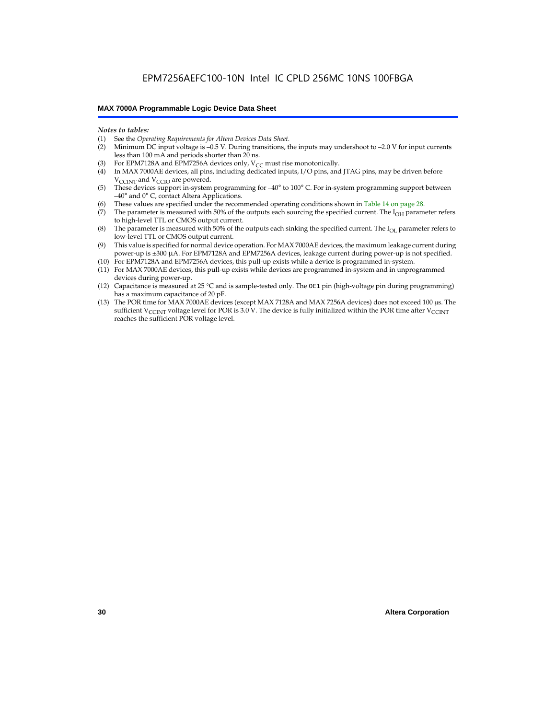#### *Notes to tables:*

- (1) See the *Operating Requirements for Altera Devices Data Sheet.*
- Minimum DC input voltage is –0.5 V. During transitions, the inputs may undershoot to –2.0 V for input currents less than 100 mA and periods shorter than 20 ns.
- (3) For EPM7128A and EPM7256A devices only,  $V_{CC}$  must rise monotonically.
- (4) In MAX 7000AE devices, all pins, including dedicated inputs, I/O pins, and JTAG pins, may be driven before V<sub>CCINT</sub> and V<sub>CCIO</sub> are powered.
- (5) These devices support in-system programming for –40° to 100° C. For in-system programming support between –40° and 0° C, contact Altera Applications.
- (6) These values are specified under the recommended operating conditions shown in Table 14 on page 28.
- (7) The parameter is measured with 50% of the outputs each sourcing the specified current. The  $I_{OH}$  parameter refers to high-level TTL or CMOS output current.
- (8) The parameter is measured with 50% of the outputs each sinking the specified current. The  $I_{OL}$  parameter refers to low-level TTL or CMOS output current.
- (9) This value is specified for normal device operation. For MAX 7000AE devices, the maximum leakage current during power-up is ±300 µA. For EPM7128A and EPM7256A devices, leakage current during power-up is not specified.
- (10) For EPM7128A and EPM7256A devices, this pull-up exists while a device is programmed in-system.
- (11) For MAX 7000AE devices, this pull-up exists while devices are programmed in-system and in unprogrammed devices during power-up.
- (12) Capacitance is measured at 25 °C and is sample-tested only. The OE1 pin (high-voltage pin during programming) has a maximum capacitance of 20 pF.
- (13) The POR time for MAX 7000AE devices (except MAX 7128A and MAX 7256A devices) does not exceed 100 µs. The sufficient V<sub>CCINT</sub> voltage level for POR is 3.0 V. The device is fully initialized within the POR time after V<sub>CCINT</sub> reaches the sufficient POR voltage level.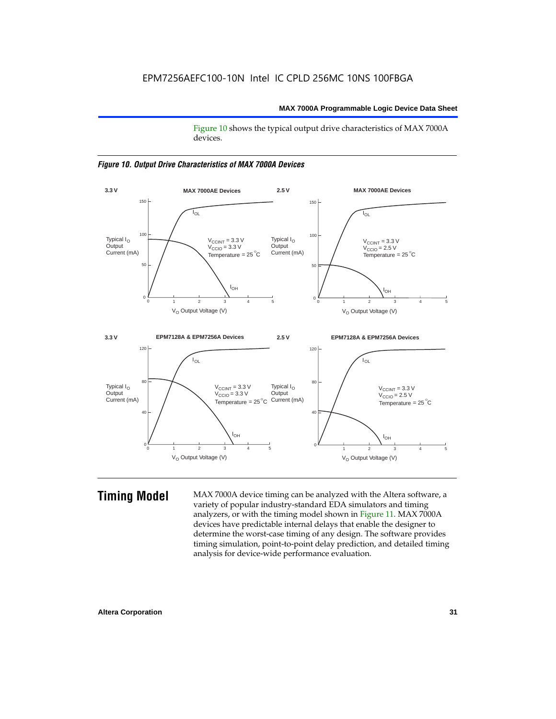Figure 10 shows the typical output drive characteristics of MAX 7000A devices.





**Timing Model** MAX 7000A device timing can be analyzed with the Altera software, a variety of popular industry-standard EDA simulators and timing analyzers, or with the timing model shown in Figure 11. MAX 7000A devices have predictable internal delays that enable the designer to determine the worst-case timing of any design. The software provides timing simulation, point-to-point delay prediction, and detailed timing analysis for device-wide performance evaluation.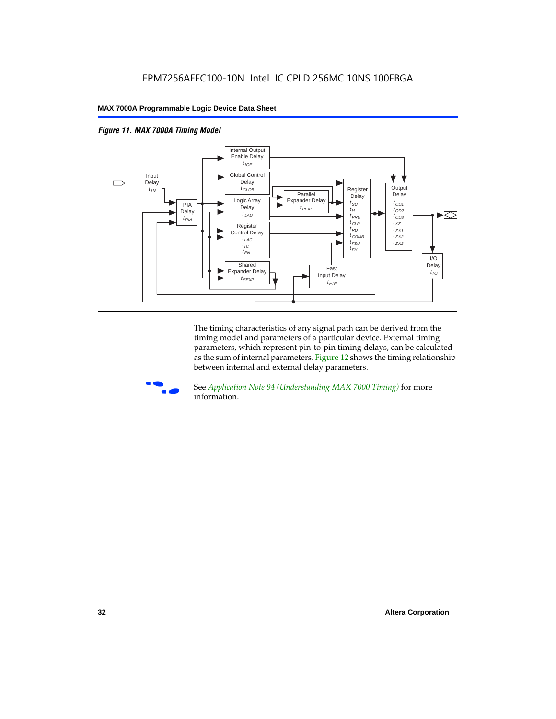



The timing characteristics of any signal path can be derived from the timing model and parameters of a particular device. External timing parameters, which represent pin-to-pin timing delays, can be calculated as the sum of internal parameters. Figure 12 shows the timing relationship between internal and external delay parameters.



f See *Application Note 94 (Understanding MAX 7000 Timing)* for more information.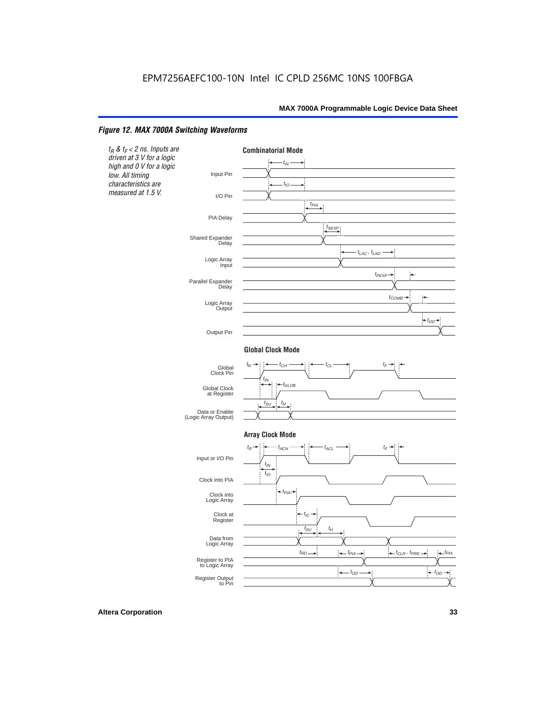#### *Figure 12. MAX 7000A Switching Waveforms*

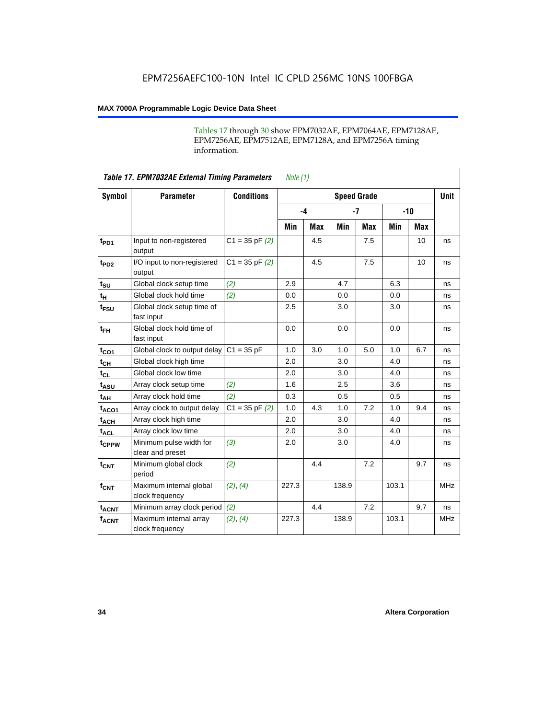Tables 17 through 30 show EPM7032AE, EPM7064AE, EPM7128AE, EPM7256AE, EPM7512AE, EPM7128A, and EPM7256A timing information.

|                  | <b>Table 17. EPM7032AE External Timing Parameters</b><br>Note $(1)$ |                   |       |            |                    |            |       |     |             |  |  |
|------------------|---------------------------------------------------------------------|-------------------|-------|------------|--------------------|------------|-------|-----|-------------|--|--|
| Symbol           | <b>Parameter</b>                                                    | <b>Conditions</b> |       |            | <b>Speed Grade</b> |            |       |     | <b>Unit</b> |  |  |
|                  |                                                                     |                   |       | $-4$       | $-7$               |            | $-10$ |     |             |  |  |
|                  |                                                                     |                   | Min   | <b>Max</b> | Min                | <b>Max</b> | Min   | Max |             |  |  |
| t <sub>PD1</sub> | Input to non-registered<br>output                                   | $C1 = 35 pF(2)$   |       | 4.5        |                    | 7.5        |       | 10  | ns          |  |  |
| t <sub>PD2</sub> | I/O input to non-registered<br>output                               | $C1 = 35 pF(2)$   |       | 4.5        |                    | 7.5        |       | 10  | ns          |  |  |
| $t_{\text{SU}}$  | Global clock setup time                                             | (2)               | 2.9   |            | 4.7                |            | 6.3   |     | ns          |  |  |
| $t_H$            | Global clock hold time                                              | (2)               | 0.0   |            | 0.0                |            | 0.0   |     | ns          |  |  |
| t <sub>FSU</sub> | Global clock setup time of<br>fast input                            |                   | 2.5   |            | 3.0                |            | 3.0   |     | ns          |  |  |
| $t_{FH}$         | Global clock hold time of<br>fast input                             |                   | 0.0   |            | 0.0                |            | 0.0   |     | ns          |  |  |
| $t_{CO1}$        | Global clock to output delay                                        | $C1 = 35 pF$      | 1.0   | 3.0        | 1.0                | 5.0        | 1.0   | 6.7 | ns          |  |  |
| $t_{CH}$         | Global clock high time                                              |                   | 2.0   |            | 3.0                |            | 4.0   |     | ns          |  |  |
| $t_{CL}$         | Global clock low time                                               |                   | 2.0   |            | 3.0                |            | 4.0   |     | ns          |  |  |
| $t_{ASU}$        | Array clock setup time                                              | (2)               | 1.6   |            | 2.5                |            | 3.6   |     | ns          |  |  |
| t <sub>AH</sub>  | Array clock hold time                                               | (2)               | 0.3   |            | 0.5                |            | 0.5   |     | ns          |  |  |
| $t_{ACO1}$       | Array clock to output delay                                         | $C1 = 35 pF(2)$   | 1.0   | 4.3        | 1.0                | 7.2        | 1.0   | 9.4 | ns          |  |  |
| $t_{ACH}$        | Array clock high time                                               |                   | 2.0   |            | 3.0                |            | 4.0   |     | ns          |  |  |
| $t_{ACL}$        | Array clock low time                                                |                   | 2.0   |            | 3.0                |            | 4.0   |     | ns          |  |  |
| tcppw            | Minimum pulse width for<br>clear and preset                         | (3)               | 2.0   |            | 3.0                |            | 4.0   |     | ns          |  |  |
| $t_{\text{CNT}}$ | Minimum global clock<br>period                                      | (2)               |       | 4.4        |                    | 7.2        |       | 9.7 | ns          |  |  |
| $f_{CNT}$        | Maximum internal global<br>clock frequency                          | (2), (4)          | 227.3 |            | 138.9              |            | 103.1 |     | <b>MHz</b>  |  |  |
| $t_{ACNT}$       | Minimum array clock period                                          | (2)               |       | 4.4        |                    | 7.2        |       | 9.7 | ns          |  |  |
| <b>fACNT</b>     | Maximum internal array<br>clock frequency                           | (2), (4)          | 227.3 |            | 138.9              |            | 103.1 |     | <b>MHz</b>  |  |  |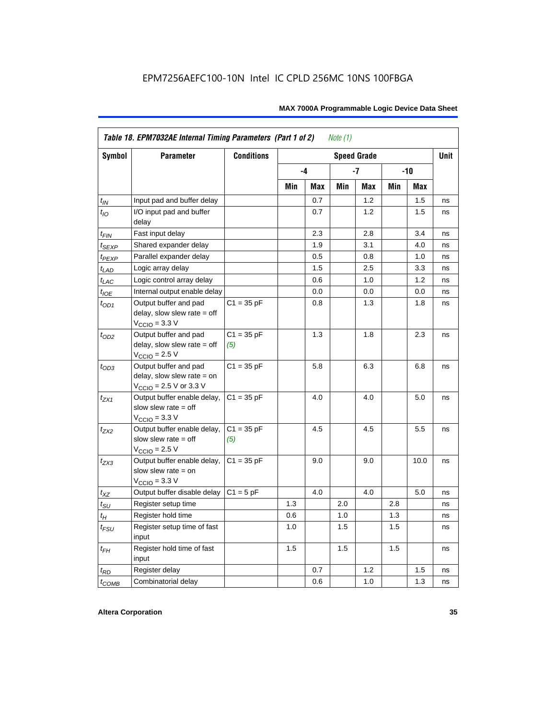|                    | Table 18. EPM7032AE Internal Timing Parameters (Part 1 of 2)<br>Note $(1)$                                   |                     |     |     |     |                    |     |      |             |  |
|--------------------|--------------------------------------------------------------------------------------------------------------|---------------------|-----|-----|-----|--------------------|-----|------|-------------|--|
| Symbol             | <b>Parameter</b>                                                                                             | <b>Conditions</b>   |     |     |     | <b>Speed Grade</b> |     |      | <b>Unit</b> |  |
|                    |                                                                                                              |                     |     | -4  |     | -7                 |     | -10  |             |  |
|                    |                                                                                                              |                     | Min | Max | Min | Max                | Min | Max  |             |  |
| $t_{IN}$           | Input pad and buffer delay                                                                                   |                     |     | 0.7 |     | 1.2                |     | 1.5  | ns          |  |
| $t_{IO}$           | I/O input pad and buffer<br>delay                                                                            |                     |     | 0.7 |     | 1.2                |     | 1.5  | ns          |  |
| $t_{\sf FIN}$      | Fast input delay                                                                                             |                     |     | 2.3 |     | 2.8                |     | 3.4  | ns          |  |
| $t_{SEXP}$         | Shared expander delay                                                                                        |                     |     | 1.9 |     | 3.1                |     | 4.0  | ns          |  |
| $t_{PEXP}$         | Parallel expander delay                                                                                      |                     |     | 0.5 |     | 0.8                |     | 1.0  | ns          |  |
| $t_{LAD}$          | Logic array delay                                                                                            |                     |     | 1.5 |     | 2.5                |     | 3.3  | ns          |  |
| $t_{LAC}$          | Logic control array delay                                                                                    |                     |     | 0.6 |     | 1.0                |     | 1.2  | ns          |  |
| $t_{IOE}$          | Internal output enable delay                                                                                 |                     |     | 0.0 |     | 0.0                |     | 0.0  | ns          |  |
| $t_{OD1}$          | Output buffer and pad<br>delay, slow slew rate $=$ off<br>$V_{\text{CCIO}} = 3.3 \text{ V}$                  | $C1 = 35 pF$        |     | 0.8 |     | 1.3                |     | 1.8  | ns          |  |
| $t_{OD2}$          | Output buffer and pad<br>delay, slow slew rate $=$ off<br>$VCCIO = 2.5 V$                                    | $C1 = 35 pF$<br>(5) |     | 1.3 |     | 1.8                |     | 2.3  | ns          |  |
| $t_{OD3}$          | Output buffer and pad<br>delay, slow slew rate $=$ on<br>$V_{\text{CCIO}} = 2.5 \text{ V or } 3.3 \text{ V}$ | $C1 = 35 pF$        |     | 5.8 |     | 6.3                |     | 6.8  | ns          |  |
| $t_{ZX1}$          | Output buffer enable delay,<br>slow slew rate $=$ off<br>$V_{\text{CCIO}} = 3.3 \text{ V}$                   | $C1 = 35 pF$        |     | 4.0 |     | 4.0                |     | 5.0  | ns          |  |
| t <sub>ZX2</sub>   | Output buffer enable delay,<br>slow slew rate $=$ off<br>$V_{\text{CCIO}}$ = 2.5 V                           | $C1 = 35 pF$<br>(5) |     | 4.5 |     | 4.5                |     | 5.5  | ns          |  |
| $t_{ZX3}$          | Output buffer enable delay,<br>slow slew rate $=$ on<br>$V_{\text{CCIO}} = 3.3 \text{ V}$                    | $C1 = 35 pF$        |     | 9.0 |     | 9.0                |     | 10.0 | ns          |  |
| $t_{XZ}$           | Output buffer disable delay                                                                                  | $C1 = 5pF$          |     | 4.0 |     | 4.0                |     | 5.0  | ns          |  |
| $t_{\text{SU}}$    | Register setup time                                                                                          |                     | 1.3 |     | 2.0 |                    | 2.8 |      | ns          |  |
| $t_H$              | Register hold time                                                                                           |                     | 0.6 |     | 1.0 |                    | 1.3 |      | ns          |  |
| $t_{\mathit{FSU}}$ | Register setup time of fast<br>input                                                                         |                     | 1.0 |     | 1.5 |                    | 1.5 |      | ns          |  |
| $t_{FH}$           | Register hold time of fast<br>input                                                                          |                     | 1.5 |     | 1.5 |                    | 1.5 |      | ns          |  |
| $t_{RD}$           | Register delay                                                                                               |                     |     | 0.7 |     | 1.2                |     | 1.5  | ns          |  |
| $t_{COMB}$         | Combinatorial delay                                                                                          |                     |     | 0.6 |     | 1.0                |     | 1.3  | ns          |  |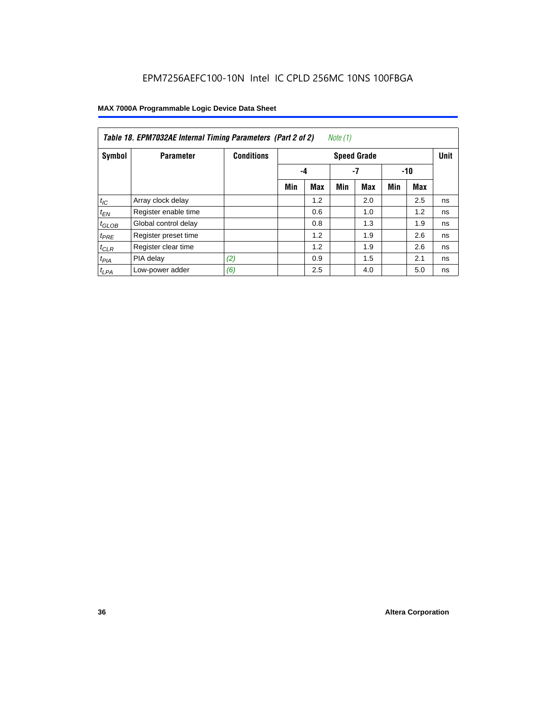|                   | Table 18. EPM7032AE Internal Timing Parameters (Part 2 of 2)<br>Note (1) |                   |                    |     |     |            |     |     |    |  |  |
|-------------------|--------------------------------------------------------------------------|-------------------|--------------------|-----|-----|------------|-----|-----|----|--|--|
| Symbol            | <b>Parameter</b>                                                         | <b>Conditions</b> | <b>Speed Grade</b> |     |     |            |     |     |    |  |  |
|                   |                                                                          |                   |                    | -4  |     | -7         |     | -10 |    |  |  |
|                   |                                                                          |                   | Min                | Max | Min | <b>Max</b> | Min | Max |    |  |  |
| $t_{IC}$          | Array clock delay                                                        |                   |                    | 1.2 |     | 2.0        |     | 2.5 | ns |  |  |
| $t_{EN}$          | Register enable time                                                     |                   |                    | 0.6 |     | 1.0        |     | 1.2 | ns |  |  |
| $t_{\text{GLOB}}$ | Global control delay                                                     |                   |                    | 0.8 |     | 1.3        |     | 1.9 | ns |  |  |
| $t_{PRE}$         | Register preset time                                                     |                   |                    | 1.2 |     | 1.9        |     | 2.6 | ns |  |  |
| $t_{CLR}$         | Register clear time                                                      |                   |                    | 1.2 |     | 1.9        |     | 2.6 | ns |  |  |
| $t_{PIA}$         | PIA delay                                                                | (2)               |                    | 0.9 |     | 1.5        |     | 2.1 | ns |  |  |
| $t_{LPA}$         | Low-power adder                                                          | (6)               |                    | 2.5 |     | 4.0        |     | 5.0 | ns |  |  |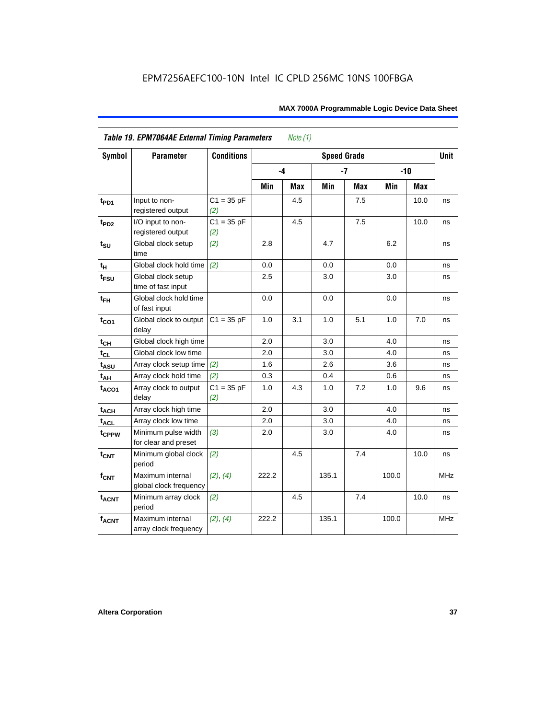| <b>Symbol</b>          | <b>Parameter</b>                            | <b>Conditions</b>   |       |            | <b>Speed Grade</b> |            |       |       | <b>Unit</b> |
|------------------------|---------------------------------------------|---------------------|-------|------------|--------------------|------------|-------|-------|-------------|
|                        |                                             |                     | -4    |            |                    | $-7$       |       | $-10$ |             |
|                        |                                             |                     | Min   | <b>Max</b> | Min                | <b>Max</b> | Min   | Max   |             |
| $t_{PD1}$              | Input to non-<br>registered output          | $C1 = 35 pF$<br>(2) |       | 4.5        |                    | 7.5        |       | 10.0  | ns          |
| t <sub>PD2</sub>       | I/O input to non-<br>registered output      | $C1 = 35 pF$<br>(2) |       | 4.5        |                    | 7.5        |       | 10.0  | ns          |
| $t_{\text{SU}}$        | Global clock setup<br>time                  | (2)                 | 2.8   |            | 4.7                |            | 6.2   |       | ns          |
| $t_H$                  | Global clock hold time                      | (2)                 | 0.0   |            | 0.0                |            | 0.0   |       | ns          |
| t <sub>FSU</sub>       | Global clock setup<br>time of fast input    |                     | 2.5   |            | 3.0                |            | 3.0   |       | ns          |
| $t_{FH}$               | Global clock hold time<br>of fast input     |                     | 0.0   |            | 0.0                |            | 0.0   |       | ns          |
| $t_{CO1}$              | Global clock to output<br>delay             | $C1 = 35 pF$        | 1.0   | 3.1        | 1.0                | 5.1        | 1.0   | 7.0   | ns          |
| $t_{C\underline{H}}$   | Global clock high time                      |                     | 2.0   |            | 3.0                |            | 4.0   |       | ns          |
| $t_{CL}$               | Global clock low time                       |                     | 2.0   |            | 3.0                |            | 4.0   |       | ns          |
| $t_{ASU}$              | Array clock setup time                      | (2)                 | 1.6   |            | 2.6                |            | 3.6   |       | ns          |
| $t_{AH}$               | Array clock hold time                       | (2)                 | 0.3   |            | 0.4                |            | 0.6   |       | ns          |
| t <sub>ACO1</sub>      | Array clock to output<br>delay              | $C1 = 35 pF$<br>(2) | 1.0   | 4.3        | 1.0                | 7.2        | 1.0   | 9.6   | ns          |
| $t_{ACH}$              | Array clock high time                       |                     | 2.0   |            | 3.0                |            | 4.0   |       | ns          |
| <b>t<sub>ACL</sub></b> | Array clock low time                        |                     | 2.0   |            | 3.0                |            | 4.0   |       | ns          |
| tcPPW                  | Minimum pulse width<br>for clear and preset | (3)                 | 2.0   |            | 3.0                |            | 4.0   |       | ns          |
| $t_{\text{CNT}}$       | Minimum global clock<br>period              | (2)                 |       | 4.5        |                    | 7.4        |       | 10.0  | ns          |
| $f_{CNT}$              | Maximum internal<br>global clock frequency  | (2), (4)            | 222.2 |            | 135.1              |            | 100.0 |       | <b>MHz</b>  |
| $t_{ACNT}$             | Minimum array clock<br>period               | (2)                 |       | 4.5        |                    | 7.4        |       | 10.0  | ns          |
| <b>fACNT</b>           | Maximum internal<br>array clock frequency   | (2), (4)            | 222.2 |            | 135.1              |            | 100.0 |       | <b>MHz</b>  |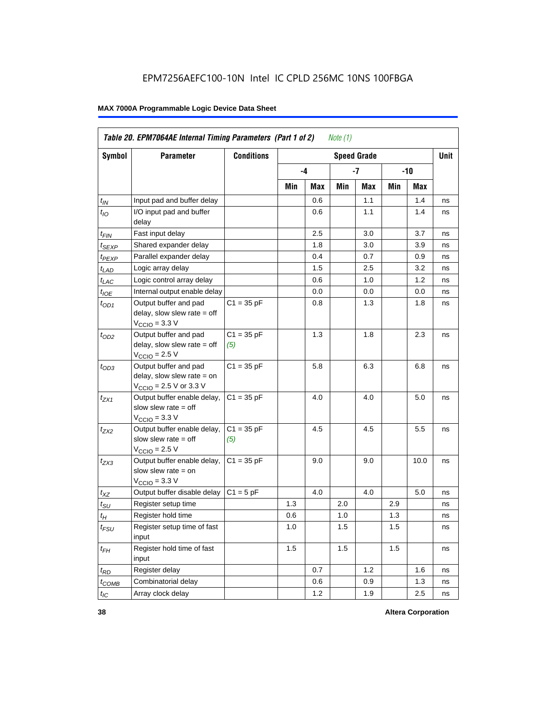|                   | Table 20. EPM7064AE Internal Timing Parameters (Part 1 of 2)                                                 |                     |     |      | Note $(1)$ |                    |     |       |             |
|-------------------|--------------------------------------------------------------------------------------------------------------|---------------------|-----|------|------------|--------------------|-----|-------|-------------|
| <b>Symbol</b>     | <b>Parameter</b>                                                                                             | <b>Conditions</b>   |     |      |            | <b>Speed Grade</b> |     |       | <b>Unit</b> |
|                   |                                                                                                              |                     |     | $-4$ |            | -7                 |     | $-10$ |             |
|                   |                                                                                                              |                     | Min | Max  | Min        | Max                | Min | Max   |             |
| $t_{IN}$          | Input pad and buffer delay                                                                                   |                     |     | 0.6  |            | 1.1                |     | 1.4   | ns          |
| $t_{IO}$          | I/O input pad and buffer<br>delay                                                                            |                     |     | 0.6  |            | 1.1                |     | 1.4   | ns          |
| $t_{FIN}$         | Fast input delay                                                                                             |                     |     | 2.5  |            | 3.0                |     | 3.7   | ns          |
| t <sub>SEXP</sub> | Shared expander delay                                                                                        |                     |     | 1.8  |            | 3.0                |     | 3.9   | ns          |
| t <sub>PEXP</sub> | Parallel expander delay                                                                                      |                     |     | 0.4  |            | 0.7                |     | 0.9   | ns          |
| $t_{LAD}$         | Logic array delay                                                                                            |                     |     | 1.5  |            | 2.5                |     | 3.2   | ns          |
| $t_{LAC}$         | Logic control array delay                                                                                    |                     |     | 0.6  |            | 1.0                |     | 1.2   | ns          |
| $t_{IOE}$         | Internal output enable delay                                                                                 |                     |     | 0.0  |            | 0.0                |     | 0.0   | ns          |
| $t_{OD1}$         | Output buffer and pad<br>delay, slow slew rate $=$ off<br>$V_{\text{CCIO}} = 3.3 \text{ V}$                  | $C1 = 35 pF$        |     | 0.8  |            | 1.3                |     | 1.8   | ns          |
| $t_{OD2}$         | Output buffer and pad<br>delay, slow slew rate $=$ off<br>$V_{\text{CCIO}}$ = 2.5 V                          | $C1 = 35 pF$<br>(5) |     | 1.3  |            | 1.8                |     | 2.3   | ns          |
| $t_{OD3}$         | Output buffer and pad<br>delay, slow slew rate $=$ on<br>$V_{\text{CCIO}} = 2.5 \text{ V or } 3.3 \text{ V}$ | $C1 = 35 pF$        |     | 5.8  |            | 6.3                |     | 6.8   | ns          |
| $t_{ZX1}$         | Output buffer enable delay,<br>slow slew rate $=$ off<br>$V_{\text{CCIO}} = 3.3 \text{ V}$                   | $C1 = 35 pF$        |     | 4.0  |            | 4.0                |     | 5.0   | ns          |
| $t_{ZX2}$         | Output buffer enable delay,<br>slow slew rate $=$ off<br>$V_{\text{CCIO}} = 2.5 V$                           | $C1 = 35 pF$<br>(5) |     | 4.5  |            | 4.5                |     | 5.5   | ns          |
| $t_{ZX3}$         | Output buffer enable delay,<br>slow slew rate $=$ on<br>$V_{\text{CCIO}} = 3.3 \text{ V}$                    | $C1 = 35 pF$        |     | 9.0  |            | 9.0                |     | 10.0  | ns          |
| $t_{XZ}$          | Output buffer disable delay                                                                                  | $C1 = 5pF$          |     | 4.0  |            | 4.0                |     | 5.0   | ns          |
| $t_{\text{SU}}$   | Register setup time                                                                                          |                     | 1.3 |      | 2.0        |                    | 2.9 |       | ns          |
| $t_H$             | Register hold time                                                                                           |                     | 0.6 |      | 1.0        |                    | 1.3 |       | ns          |
| $t_{FSU}$         | Register setup time of fast<br>input                                                                         |                     | 1.0 |      | 1.5        |                    | 1.5 |       | ns          |
| $t_{FH}$          | Register hold time of fast<br>input                                                                          |                     | 1.5 |      | 1.5        |                    | 1.5 |       | ns          |
| $t_{RD}$          | Register delay                                                                                               |                     |     | 0.7  |            | 1.2                |     | 1.6   | ns          |
| $t_{COMB}$        | Combinatorial delay                                                                                          |                     |     | 0.6  |            | 0.9                |     | 1.3   | ns          |
| $t_{IC}$          | Array clock delay                                                                                            |                     |     | 1.2  |            | 1.9                |     | 2.5   | ns          |

**38 Altera Corporation**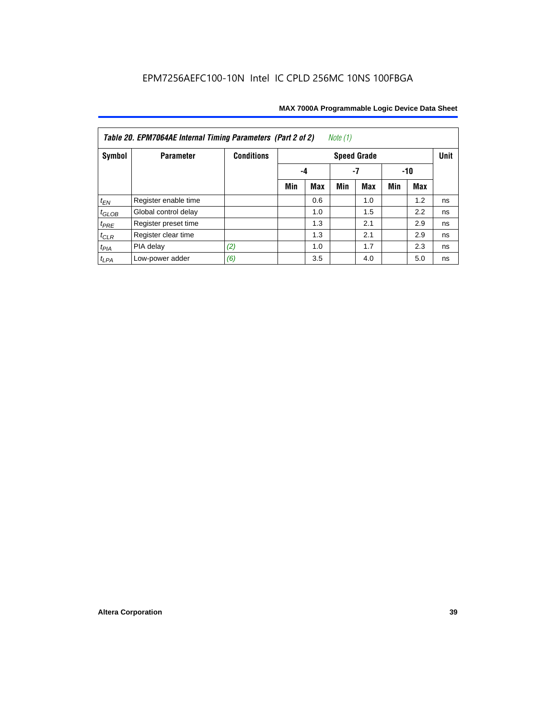| Note $(1)$<br>Table 20. EPM7064AE Internal Timing Parameters (Part 2 of 2) |                      |                   |     |     |     |                    |     |     |             |  |  |
|----------------------------------------------------------------------------|----------------------|-------------------|-----|-----|-----|--------------------|-----|-----|-------------|--|--|
| Symbol                                                                     | <b>Parameter</b>     | <b>Conditions</b> |     |     |     | <b>Speed Grade</b> |     |     | <b>Unit</b> |  |  |
|                                                                            |                      |                   | -4  | -10 |     |                    |     |     |             |  |  |
|                                                                            |                      |                   | Min | Max | Min | <b>Max</b>         | Min | Max |             |  |  |
| $t_{EN}$                                                                   | Register enable time |                   |     | 0.6 |     | 1.0                |     | 1.2 | ns          |  |  |
| $t_{\text{GLOB}}$                                                          | Global control delay |                   |     | 1.0 |     | 1.5                |     | 2.2 | ns          |  |  |
| $t_{PRE}$                                                                  | Register preset time |                   |     | 1.3 |     | 2.1                |     | 2.9 | ns          |  |  |
| $t_{CLR}$                                                                  | Register clear time  |                   |     | 1.3 |     | 2.1                |     | 2.9 | ns          |  |  |
| $t_{PIA}$                                                                  | PIA delay            | (2)               |     | 1.0 |     | 1.7                |     | 2.3 | ns          |  |  |
| $t_{LPA}$                                                                  | Low-power adder      | (6)               |     | 3.5 |     | 4.0                |     | 5.0 | ns          |  |  |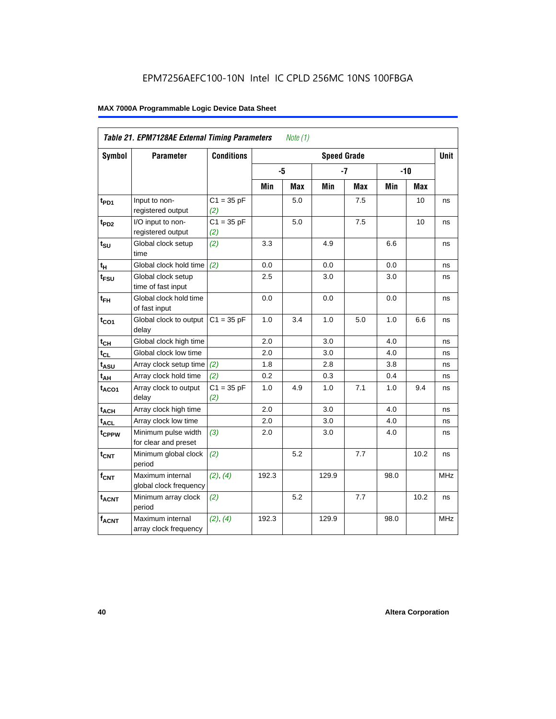|                   | Table 21. EPM7128AE External Timing Parameters |                     |       | Note $(1)$ |                    |            |      |            |             |
|-------------------|------------------------------------------------|---------------------|-------|------------|--------------------|------------|------|------------|-------------|
| Symbol            | <b>Parameter</b>                               | <b>Conditions</b>   |       |            | <b>Speed Grade</b> |            |      |            | <b>Unit</b> |
|                   |                                                |                     | -5    |            |                    | $-7$       |      | $-10$      |             |
|                   |                                                |                     | Min   | <b>Max</b> | Min                | <b>Max</b> | Min  | <b>Max</b> |             |
| t <sub>PD1</sub>  | Input to non-<br>registered output             | $C1 = 35 pF$<br>(2) |       | 5.0        |                    | 7.5        |      | 10         | ns          |
| t <sub>PD2</sub>  | I/O input to non-<br>registered output         | $C1 = 35 pF$<br>(2) |       | 5.0        |                    | 7.5        |      | 10         | ns          |
| $t_{\text{SU}}$   | Global clock setup<br>time                     | (2)                 | 3.3   |            | 4.9                |            | 6.6  |            | ns          |
| $t_H$             | Global clock hold time                         | (2)                 | 0.0   |            | 0.0                |            | 0.0  |            | ns          |
| t <sub>FSU</sub>  | Global clock setup<br>time of fast input       |                     | 2.5   |            | 3.0                |            | 3.0  |            | ns          |
| $t_{FH}$          | Global clock hold time<br>of fast input        |                     | 0.0   |            | 0.0                |            | 0.0  |            | ns          |
| $t_{CO1}$         | Global clock to output<br>delay                | $C1 = 35 pF$        | 1.0   | 3.4        | 1.0                | 5.0        | 1.0  | 6.6        | ns          |
| $t_{CH}$          | Global clock high time                         |                     | 2.0   |            | 3.0                |            | 4.0  |            | ns          |
| $t_{CL}$          | Global clock low time                          |                     | 2.0   |            | 3.0                |            | 4.0  |            | ns          |
| t <sub>ASU</sub>  | Array clock setup time                         | (2)                 | 1.8   |            | 2.8                |            | 3.8  |            | ns          |
| $t_{AH}$          | Array clock hold time                          | (2)                 | 0.2   |            | 0.3                |            | 0.4  |            | ns          |
| $t_{ACO1}$        | Array clock to output<br>delay                 | $C1 = 35 pF$<br>(2) | 1.0   | 4.9        | 1.0                | 7.1        | 1.0  | 9.4        | ns          |
| $t_{ACH}$         | Array clock high time                          |                     | 2.0   |            | 3.0                |            | 4.0  |            | ns          |
| t <sub>ACL</sub>  | Array clock low time                           |                     | 2.0   |            | 3.0                |            | 4.0  |            | ns          |
| t <sub>CPPW</sub> | Minimum pulse width<br>for clear and preset    | (3)                 | 2.0   |            | 3.0                |            | 4.0  |            | ns          |
| $t_{\text{CNT}}$  | Minimum global clock<br>period                 | (2)                 |       | 5.2        |                    | 7.7        |      | 10.2       | ns          |
| $f_{CNT}$         | Maximum internal<br>global clock frequency     | (2), (4)            | 192.3 |            | 129.9              |            | 98.0 |            | <b>MHz</b>  |
| $t_{ACNT}$        | Minimum array clock<br>period                  | (2)                 |       | 5.2        |                    | 7.7        |      | 10.2       | ns          |
| <b>fACNT</b>      | Maximum internal<br>array clock frequency      | (2), (4)            | 192.3 |            | 129.9              |            | 98.0 |            | MHz         |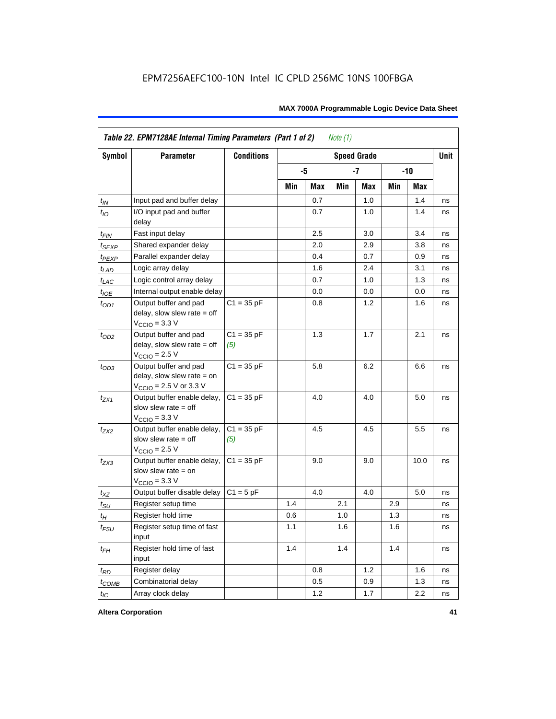|                   | Table 22. EPM7128AE Internal Timing Parameters (Part 1 of 2)                                                 |                     |     |     | Note $(1)$ |                    |     |         |             |
|-------------------|--------------------------------------------------------------------------------------------------------------|---------------------|-----|-----|------------|--------------------|-----|---------|-------------|
| Symbol            | <b>Parameter</b>                                                                                             | <b>Conditions</b>   |     |     |            | <b>Speed Grade</b> |     |         | <b>Unit</b> |
|                   |                                                                                                              |                     |     | -5  |            | -7                 |     | $-10$   |             |
|                   |                                                                                                              |                     | Min | Max | Min        | Max                | Min | Max     |             |
| $t_{IN}$          | Input pad and buffer delay                                                                                   |                     |     | 0.7 |            | 1.0                |     | 1.4     | ns          |
| $t_{IO}$          | I/O input pad and buffer<br>delay                                                                            |                     |     | 0.7 |            | 1.0                |     | 1.4     | ns          |
| $t_{FIN}$         | Fast input delay                                                                                             |                     |     | 2.5 |            | 3.0                |     | 3.4     | ns          |
| t <sub>SEXP</sub> | Shared expander delay                                                                                        |                     |     | 2.0 |            | 2.9                |     | 3.8     | ns          |
| t <sub>PEXP</sub> | Parallel expander delay                                                                                      |                     |     | 0.4 |            | 0.7                |     | 0.9     | ns          |
| $t_{LAD}$         | Logic array delay                                                                                            |                     |     | 1.6 |            | 2.4                |     | 3.1     | ns          |
| $t_{LAC}$         | Logic control array delay                                                                                    |                     |     | 0.7 |            | 1.0                |     | 1.3     | ns          |
| $t_{IOE}$         | Internal output enable delay                                                                                 |                     |     | 0.0 |            | 0.0                |     | 0.0     | ns          |
| $t_{OD1}$         | Output buffer and pad<br>delay, slow slew rate $=$ off<br>$V_{\text{CCIO}} = 3.3 \text{ V}$                  | $C1 = 35 pF$        |     | 0.8 |            | 1.2                |     | 1.6     | ns          |
| $t_{OD2}$         | Output buffer and pad<br>delay, slow slew rate $=$ off<br>$V_{\text{CCIO}}$ = 2.5 V                          | $C1 = 35 pF$<br>(5) |     | 1.3 |            | 1.7                |     | 2.1     | ns          |
| $t_{OD3}$         | Output buffer and pad<br>delay, slow slew rate $=$ on<br>$V_{\text{CCIO}} = 2.5 \text{ V or } 3.3 \text{ V}$ | $C1 = 35 pF$        |     | 5.8 |            | 6.2                |     | 6.6     | ns          |
| $t_{ZX1}$         | Output buffer enable delay,<br>slow slew rate $=$ off<br>$V_{\text{CCIO}} = 3.3 \text{ V}$                   | $C1 = 35 pF$        |     | 4.0 |            | 4.0                |     | 5.0     | ns          |
| $t_{ZX2}$         | Output buffer enable delay,<br>slow slew rate $=$ off<br>$VCCIO = 2.5 V$                                     | $C1 = 35 pF$<br>(5) |     | 4.5 |            | 4.5                |     | 5.5     | ns          |
| $t_{ZX3}$         | Output buffer enable delay,<br>slow slew rate $=$ on<br>$VCCIO = 3.3 V$                                      | $C1 = 35 pF$        |     | 9.0 |            | 9.0                |     | 10.0    | ns          |
| $t_{XZ}$          | Output buffer disable delay                                                                                  | $C1 = 5pF$          |     | 4.0 |            | 4.0                |     | $5.0\,$ | ns          |
| $t_{\text{SU}}$   | Register setup time                                                                                          |                     | 1.4 |     | 2.1        |                    | 2.9 |         | ns          |
| $t_H$             | Register hold time                                                                                           |                     | 0.6 |     | 1.0        |                    | 1.3 |         | ns          |
| $t_{FSU}$         | Register setup time of fast<br>input                                                                         |                     | 1.1 |     | 1.6        |                    | 1.6 |         | ns          |
| $t_{FH}$          | Register hold time of fast<br>input                                                                          |                     | 1.4 |     | 1.4        |                    | 1.4 |         | ns          |
| $t_{RD}$          | Register delay                                                                                               |                     |     | 0.8 |            | 1.2                |     | 1.6     | ns          |
| $t_{COMB}$        | Combinatorial delay                                                                                          |                     |     | 0.5 |            | 0.9                |     | 1.3     | ns          |
| $t_{IC}$          | Array clock delay                                                                                            |                     |     | 1.2 |            | 1.7                |     | 2.2     | ns          |

**Altera Corporation 41**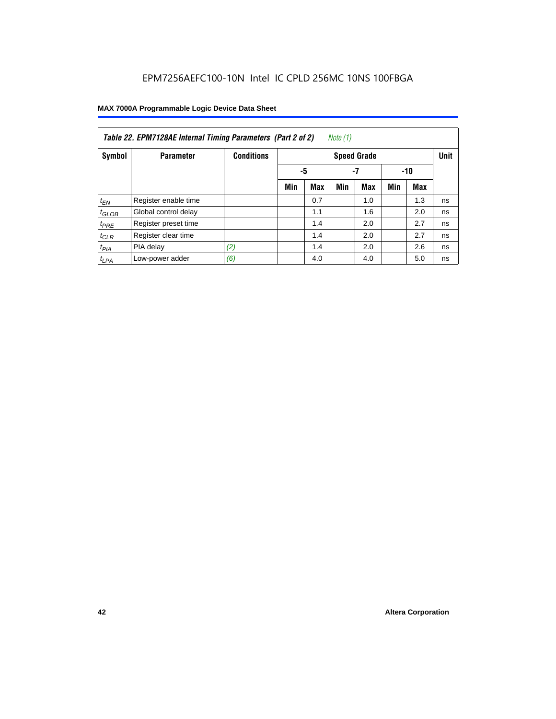| Note (1)<br>Table 22. EPM7128AE Internal Timing Parameters (Part 2 of 2) |                      |                   |     |                   |     |                    |     |            |             |  |  |  |
|--------------------------------------------------------------------------|----------------------|-------------------|-----|-------------------|-----|--------------------|-----|------------|-------------|--|--|--|
| Symbol                                                                   | <b>Parameter</b>     | <b>Conditions</b> |     |                   |     | <b>Speed Grade</b> |     |            | <b>Unit</b> |  |  |  |
|                                                                          |                      |                   |     | -5<br>$-7$<br>-10 |     |                    |     |            |             |  |  |  |
|                                                                          |                      |                   | Min | <b>Max</b>        | Min | <b>Max</b>         | Min | <b>Max</b> |             |  |  |  |
| $t_{EN}$                                                                 | Register enable time |                   |     | 0.7               |     | 1.0                |     | 1.3        | ns          |  |  |  |
| $t_{GLOB}$                                                               | Global control delay |                   |     | 1.1               |     | 1.6                |     | 2.0        | ns          |  |  |  |
| $t_{PRE}$                                                                | Register preset time |                   |     | 1.4               |     | 2.0                |     | 2.7        | ns          |  |  |  |
| $t_{CLR}$                                                                | Register clear time  |                   |     | 1.4               |     | 2.0                |     | 2.7        | ns          |  |  |  |
| t <sub>PIA</sub>                                                         | PIA delay            | (2)               |     | 1.4               |     | 2.0                |     | 2.6        | ns          |  |  |  |
| $t_{LPA}$                                                                | Low-power adder      | (6)               |     | 4.0               |     | 4.0                |     | 5.0        | ns          |  |  |  |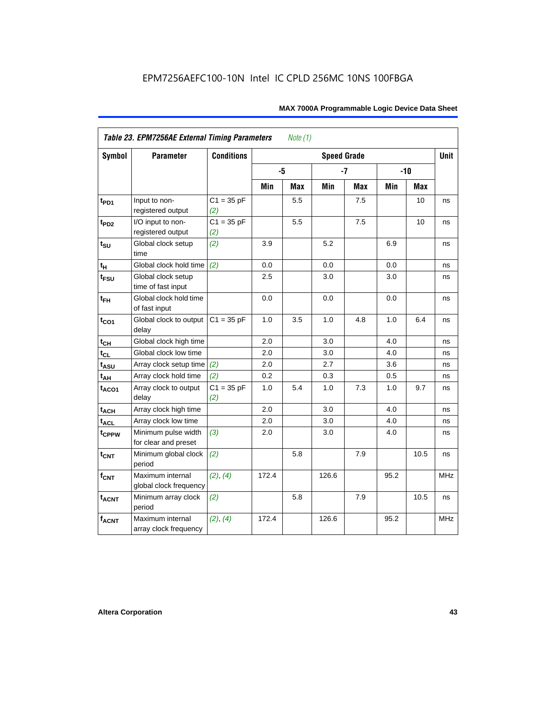| <b>Symbol</b>     | Table 23. EPM7256AE External Timing Parameters<br><b>Parameter</b> | <b>Conditions</b>   | Note $(1)$<br><b>Speed Grade</b> |     |       |            |      |        |             |  |  |
|-------------------|--------------------------------------------------------------------|---------------------|----------------------------------|-----|-------|------------|------|--------|-------------|--|--|
|                   |                                                                    |                     |                                  |     |       |            |      |        | <b>Unit</b> |  |  |
|                   |                                                                    |                     |                                  | -5  |       | $-7$       |      | $-10$  |             |  |  |
|                   |                                                                    |                     | Min                              | Max | Min   | <b>Max</b> | Min  | Max    |             |  |  |
| $t_{PD1}$         | Input to non-<br>registered output                                 | $C1 = 35 pF$<br>(2) |                                  | 5.5 |       | 7.5        |      | 10     | ns          |  |  |
| t <sub>PD2</sub>  | I/O input to non-<br>registered output                             | $C1 = 35 pF$<br>(2) |                                  | 5.5 |       | 7.5        |      | 10     | ns          |  |  |
| $t_{\text{SU}}$   | Global clock setup<br>time                                         | (2)                 | 3.9                              |     | 5.2   |            | 6.9  |        | ns          |  |  |
| tμ                | Global clock hold time                                             | (2)                 | 0.0                              |     | 0.0   |            | 0.0  |        | ns          |  |  |
| $t_{FSU}$         | Global clock setup<br>time of fast input                           |                     | 2.5                              |     | 3.0   |            | 3.0  |        | ns          |  |  |
| $t_{FH}$          | Global clock hold time<br>of fast input                            |                     | 0.0                              |     | 0.0   |            | 0.0  |        | ns          |  |  |
| $t_{CO1}$         | Global clock to output<br>delay                                    | $C1 = 35 pF$        | 1.0                              | 3.5 | 1.0   | 4.8        | 1.0  | 6.4    | ns          |  |  |
| $t_{CH}$          | Global clock high time                                             |                     | 2.0                              |     | 3.0   |            | 4.0  |        | ns          |  |  |
| $t_{CL}$          | Global clock low time                                              |                     | 2.0                              |     | 3.0   |            | 4.0  |        | ns          |  |  |
| $t_{ASU}$         | Array clock setup time                                             | (2)                 | 2.0                              |     | 2.7   |            | 3.6  |        | ns          |  |  |
| $t_{AH}$          | Array clock hold time                                              | (2)                 | 0.2                              |     | 0.3   |            | 0.5  |        | ns          |  |  |
| t <sub>ACO1</sub> | Array clock to output<br>delay                                     | $C1 = 35 pF$<br>(2) | 1.0                              | 5.4 | 1.0   | 7.3        | 1.0  | 9.7    | ns          |  |  |
| $t_{ACH}$         | Array clock high time                                              |                     | 2.0                              |     | 3.0   |            | 4.0  |        | ns          |  |  |
| t <sub>ACL</sub>  | Array clock low time                                               |                     | 2.0                              |     | 3.0   |            | 4.0  |        | ns          |  |  |
| t <sub>CPPW</sub> | Minimum pulse width<br>for clear and preset                        | (3)                 | 2.0                              |     | 3.0   |            | 4.0  |        | ns          |  |  |
| $t_{\text{CNT}}$  | Minimum global clock<br>period                                     | (2)                 |                                  | 5.8 |       | 7.9        |      | $10.5$ | ns          |  |  |
| $f_{CNT}$         | Maximum internal<br>global clock frequency                         | (2), (4)            | 172.4                            |     | 126.6 |            | 95.2 |        | <b>MHz</b>  |  |  |
| $t_{ACNT}$        | Minimum array clock<br>period                                      | (2)                 |                                  | 5.8 |       | 7.9        |      | 10.5   | ns          |  |  |
| <b>fACNT</b>      | Maximum internal<br>array clock frequency                          | (2), (4)            | 172.4                            |     | 126.6 |            | 95.2 |        | <b>MHz</b>  |  |  |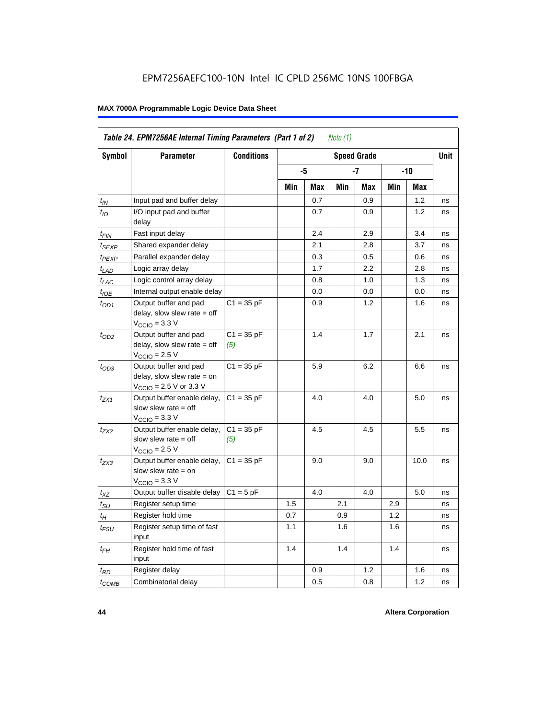| Symbol                      | <b>Parameter</b>                                                                                             | <b>Conditions</b>   |     |     |     | <b>Speed Grade</b> |     |      | <b>Unit</b> |
|-----------------------------|--------------------------------------------------------------------------------------------------------------|---------------------|-----|-----|-----|--------------------|-----|------|-------------|
|                             |                                                                                                              |                     |     | -5  |     | -7                 |     | -10  |             |
|                             |                                                                                                              |                     | Min | Max | Min | Max                | Min | Max  |             |
| $t_{IN}$                    | Input pad and buffer delay                                                                                   |                     |     | 0.7 |     | 0.9                |     | 1.2  | ns          |
| $t_{IO}$                    | I/O input pad and buffer<br>delay                                                                            |                     |     | 0.7 |     | 0.9                |     | 1.2  | ns          |
| t <sub>FIN</sub>            | Fast input delay                                                                                             |                     |     | 2.4 |     | 2.9                |     | 3.4  | ns          |
| $t_{SEXP}$                  | Shared expander delay                                                                                        |                     |     | 2.1 |     | 2.8                |     | 3.7  | ns          |
| t <sub>PEXP</sub>           | Parallel expander delay                                                                                      |                     |     | 0.3 |     | 0.5                |     | 0.6  | ns          |
| $t_{LAD}$                   | Logic array delay                                                                                            |                     |     | 1.7 |     | 2.2                |     | 2.8  | ns          |
| $t_{LAC}$                   | Logic control array delay                                                                                    |                     |     | 0.8 |     | 1.0                |     | 1.3  | ns          |
| $t_{IOE}$                   | Internal output enable delay                                                                                 |                     |     | 0.0 |     | 0.0                |     | 0.0  | ns          |
| $t_{OD1}$                   | Output buffer and pad<br>delay, slow slew rate $=$ off<br>$V_{\text{CCIO}} = 3.3 \text{ V}$                  | $C1 = 35 pF$        |     | 0.9 |     | 1.2                |     | 1.6  | ns          |
| $t_{OD2}$                   | Output buffer and pad<br>delay, slow slew rate $=$ off<br>$V_{\text{CCIO}}$ = 2.5 V                          | $C1 = 35 pF$<br>(5) |     | 1.4 |     | 1.7                |     | 2.1  | ns          |
| $t_{OD3}$                   | Output buffer and pad<br>delay, slow slew rate $=$ on<br>$V_{\text{CCIO}} = 2.5 \text{ V or } 3.3 \text{ V}$ | $C1 = 35 pF$        |     | 5.9 |     | 6.2                |     | 6.6  | ns          |
| t <sub>ZX1</sub>            | Output buffer enable delay,<br>slow slew rate $=$ off<br>$V_{\text{CCIO}} = 3.3 \text{ V}$                   | $C1 = 35 pF$        |     | 4.0 |     | 4.0                |     | 5.0  | ns          |
| t <sub>ZX2</sub>            | Output buffer enable delay,<br>slow slew rate $=$ off<br>$V_{\text{CCIO}} = 2.5 V$                           | $C1 = 35 pF$<br>(5) |     | 4.5 |     | 4.5                |     | 5.5  | ns          |
| $t_{ZX3}$                   | Output buffer enable delay,<br>slow slew rate $=$ on<br>$VCCIO = 3.3 V$                                      | $C1 = 35 pF$        |     | 9.0 |     | 9.0                |     | 10.0 | ns          |
| $t_{XZ}$                    | Output buffer disable delay                                                                                  | $C1 = 5pF$          |     | 4.0 |     | 4.0                |     | 5.0  | ns          |
| $t_{\scriptstyle\text{SU}}$ | Register setup time                                                                                          |                     | 1.5 |     | 2.1 |                    | 2.9 |      | ns          |
| $t_H$                       | Register hold time                                                                                           |                     | 0.7 |     | 0.9 |                    | 1.2 |      | ns          |
| $t_{\it FSU}$               | Register setup time of fast<br>input                                                                         |                     | 1.1 |     | 1.6 |                    | 1.6 |      | ns          |
| $t_{FH}$                    | Register hold time of fast<br>input                                                                          |                     | 1.4 |     | 1.4 |                    | 1.4 |      | ns          |
| $t_{RD}$                    | Register delay                                                                                               |                     |     | 0.9 |     | 1.2                |     | 1.6  | ns          |
| $t_{\text{COMB}}$           | Combinatorial delay                                                                                          |                     |     | 0.5 |     | 0.8                |     | 1.2  | ns          |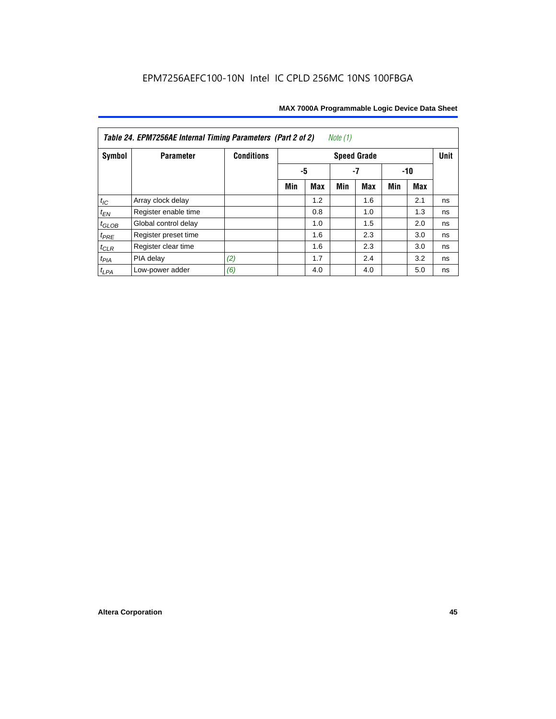| Table 24. EPM7256AE Internal Timing Parameters (Part 2 of 2)<br>Note (1) |                      |                   |                   |            |     |                    |     |     |             |  |  |
|--------------------------------------------------------------------------|----------------------|-------------------|-------------------|------------|-----|--------------------|-----|-----|-------------|--|--|
| Symbol                                                                   | <b>Parameter</b>     | <b>Conditions</b> |                   |            |     | <b>Speed Grade</b> |     |     | <b>Unit</b> |  |  |
|                                                                          |                      |                   | -5<br>-7<br>$-10$ |            |     |                    |     |     |             |  |  |
|                                                                          |                      |                   | Min               | <b>Max</b> | Min | Max                | Min | Max |             |  |  |
| $t_{IC}$                                                                 | Array clock delay    |                   |                   | 1.2        |     | 1.6                |     | 2.1 | ns          |  |  |
| $t_{EN}$                                                                 | Register enable time |                   |                   | 0.8        |     | 1.0                |     | 1.3 | ns          |  |  |
| $t_{\text{GLOB}}$                                                        | Global control delay |                   |                   | 1.0        |     | 1.5                |     | 2.0 | ns          |  |  |
| $t_{PRE}$                                                                | Register preset time |                   |                   | 1.6        |     | 2.3                |     | 3.0 | ns          |  |  |
| $t_{\text{CLR}}$                                                         | Register clear time  |                   |                   | 1.6        |     | 2.3                |     | 3.0 | ns          |  |  |
| $t_{PIA}$                                                                | PIA delay            | (2)               |                   | 1.7        |     | 2.4                |     | 3.2 | ns          |  |  |
| $t_{LPA}$                                                                | Low-power adder      | (6)               |                   | 4.0        |     | 4.0                |     | 5.0 | ns          |  |  |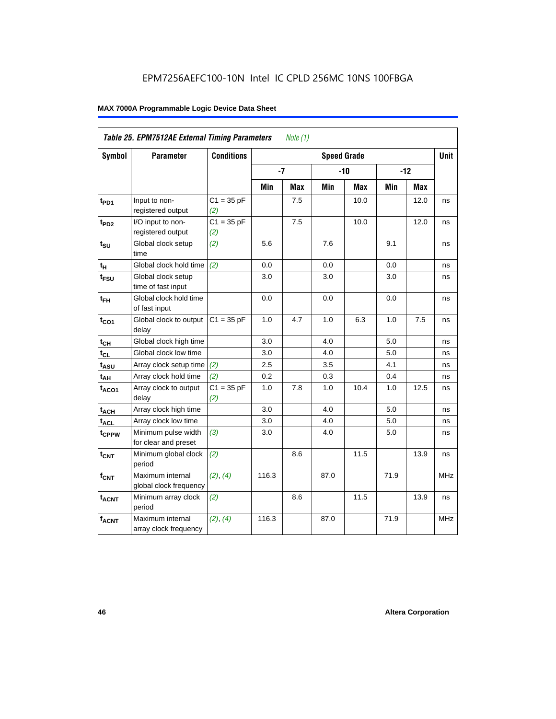|                   | Table 25. EPM7512AE External Timing Parameters |                     |       | Note (1) |                    |       |      |            |            |
|-------------------|------------------------------------------------|---------------------|-------|----------|--------------------|-------|------|------------|------------|
| Symbol            | <b>Parameter</b>                               | <b>Conditions</b>   |       |          | <b>Speed Grade</b> |       |      |            | Unit       |
|                   |                                                |                     | $-7$  |          |                    | $-10$ |      | $-12$      |            |
|                   |                                                |                     | Min   | Max      | Min                | Max   | Min  | <b>Max</b> |            |
| t <sub>PD1</sub>  | Input to non-<br>registered output             | $C1 = 35 pF$<br>(2) |       | 7.5      |                    | 10.0  |      | 12.0       | ns         |
| $t_{PD2}$         | I/O input to non-<br>registered output         | $C1 = 35 pF$<br>(2) |       | 7.5      |                    | 10.0  |      | 12.0       | ns         |
| $t_{\text{SU}}$   | Global clock setup<br>time                     | (2)                 | 5.6   |          | 7.6                |       | 9.1  |            | ns         |
| $t_H$             | Global clock hold time                         | (2)                 | 0.0   |          | 0.0                |       | 0.0  |            | ns         |
| t <sub>FSU</sub>  | Global clock setup<br>time of fast input       |                     | 3.0   |          | 3.0                |       | 3.0  |            | ns         |
| $t_{FH}$          | Global clock hold time<br>of fast input        |                     | 0.0   |          | 0.0                |       | 0.0  |            | ns         |
| $t_{CO1}$         | Global clock to output<br>delay                | $C1 = 35 pF$        | 1.0   | 4.7      | 1.0                | 6.3   | 1.0  | 7.5        | ns         |
| $t_{CH}$          | Global clock high time                         |                     | 3.0   |          | 4.0                |       | 5.0  |            | ns         |
| $t_{CL}$          | Global clock low time                          |                     | 3.0   |          | 4.0                |       | 5.0  |            | ns         |
| $t_{ASU}$         | Array clock setup time                         | (2)                 | 2.5   |          | 3.5                |       | 4.1  |            | ns         |
| $t_{AH}$          | Array clock hold time                          | (2)                 | 0.2   |          | 0.3                |       | 0.4  |            | ns         |
| $t_{ACO1}$        | Array clock to output<br>delay                 | $C1 = 35 pF$<br>(2) | 1.0   | 7.8      | 1.0                | 10.4  | 1.0  | 12.5       | ns         |
| $t_{ACH}$         | Array clock high time                          |                     | 3.0   |          | 4.0                |       | 5.0  |            | ns         |
| $t_{\text{ACL}}$  | Array clock low time                           |                     | 3.0   |          | 4.0                |       | 5.0  |            | ns         |
| t <sub>CPPW</sub> | Minimum pulse width<br>for clear and preset    | (3)                 | 3.0   |          | 4.0                |       | 5.0  |            | ns         |
| t <sub>CNT</sub>  | Minimum global clock<br>period                 | (2)                 |       | 8.6      |                    | 11.5  |      | 13.9       | ns         |
| $f_{CNT}$         | Maximum internal<br>global clock frequency     | (2), (4)            | 116.3 |          | 87.0               |       | 71.9 |            | <b>MHz</b> |
| $t_{ACNT}$        | Minimum array clock<br>period                  | (2)                 |       | 8.6      |                    | 11.5  |      | 13.9       | ns         |
| $f_{ACNT}$        | Maximum internal<br>array clock frequency      | (2), (4)            | 116.3 |          | 87.0               |       | 71.9 |            | <b>MHz</b> |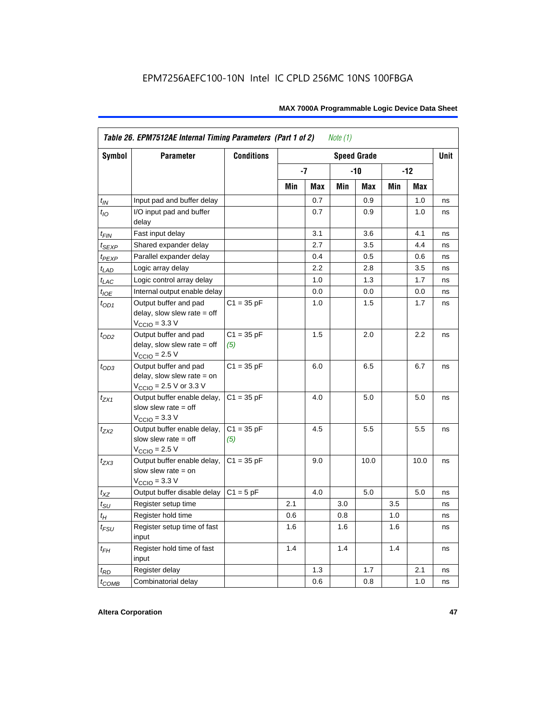|                    | Table 26. EPM7512AE Internal Timing Parameters (Part 1 of 2)                                                 |                     |     |     | Note $(1)$ |                    |     |       |             |
|--------------------|--------------------------------------------------------------------------------------------------------------|---------------------|-----|-----|------------|--------------------|-----|-------|-------------|
| Symbol             | <b>Parameter</b>                                                                                             | <b>Conditions</b>   |     |     |            | <b>Speed Grade</b> |     |       | <b>Unit</b> |
|                    |                                                                                                              |                     |     | -7  |            | -10                |     | $-12$ |             |
|                    |                                                                                                              |                     | Min | Max | Min        | Max                | Min | Max   |             |
| $t_{IN}$           | Input pad and buffer delay                                                                                   |                     |     | 0.7 |            | 0.9                |     | 1.0   | ns          |
| $t_{IO}$           | I/O input pad and buffer<br>delay                                                                            |                     |     | 0.7 |            | 0.9                |     | 1.0   | ns          |
| $t_{\sf FIN}$      | Fast input delay                                                                                             |                     |     | 3.1 |            | 3.6                |     | 4.1   | ns          |
| $t_{SEXP}$         | Shared expander delay                                                                                        |                     |     | 2.7 |            | 3.5                |     | 4.4   | ns          |
| t <sub>PEXP</sub>  | Parallel expander delay                                                                                      |                     |     | 0.4 |            | 0.5                |     | 0.6   | ns          |
| $t_{LAD}$          | Logic array delay                                                                                            |                     |     | 2.2 |            | 2.8                |     | 3.5   | ns          |
| $t_{LAC}$          | Logic control array delay                                                                                    |                     |     | 1.0 |            | 1.3                |     | 1.7   | ns          |
| $t_{IOE}$          | Internal output enable delay                                                                                 |                     |     | 0.0 |            | 0.0                |     | 0.0   | ns          |
| $t_{OD1}$          | Output buffer and pad<br>delay, slow slew rate $=$ off<br>$V_{\text{CCIO}} = 3.3 \text{ V}$                  | $C1 = 35 pF$        |     | 1.0 |            | 1.5                |     | 1.7   | ns          |
| $t_{OD2}$          | Output buffer and pad<br>delay, slow slew rate $=$ off<br>$V_{\text{CCIO}}$ = 2.5 V                          | $C1 = 35 pF$<br>(5) |     | 1.5 |            | 2.0                |     | 2.2   | ns          |
| $t_{OD3}$          | Output buffer and pad<br>delay, slow slew rate $=$ on<br>$V_{\text{CCIO}} = 2.5 \text{ V or } 3.3 \text{ V}$ | $C1 = 35 pF$        |     | 6.0 |            | 6.5                |     | 6.7   | ns          |
| $t_{ZX1}$          | Output buffer enable delay,<br>slow slew rate $=$ off<br>$V_{\text{CCIO}} = 3.3 \text{ V}$                   | $C1 = 35 pF$        |     | 4.0 |            | 5.0                |     | 5.0   | ns          |
| $t_{ZX2}$          | Output buffer enable delay,<br>slow slew rate $=$ off<br>$V_{\text{CCIO}}$ = 2.5 V                           | $C1 = 35 pF$<br>(5) |     | 4.5 |            | 5.5                |     | 5.5   | ns          |
| $t_{ZX3}$          | Output buffer enable delay,<br>slow slew rate $=$ on<br>$V_{\text{CCIO}} = 3.3 \text{ V}$                    | $C1 = 35 pF$        |     | 9.0 |            | 10.0               |     | 10.0  | ns          |
| $t_{\mathsf{XZ}}$  | Output buffer disable delay                                                                                  | $C1 = 5pF$          |     | 4.0 |            | 5.0                |     | 5.0   | ns          |
| $t_{\text{SU}}$    | Register setup time                                                                                          |                     | 2.1 |     | 3.0        |                    | 3.5 |       | ns          |
| $t_H$              | Register hold time                                                                                           |                     | 0.6 |     | 0.8        |                    | 1.0 |       | ns          |
| $t_{\mathit{FSU}}$ | Register setup time of fast<br>input                                                                         |                     | 1.6 |     | 1.6        |                    | 1.6 |       | ns          |
| $t_{FH}$           | Register hold time of fast<br>input                                                                          |                     | 1.4 |     | 1.4        |                    | 1.4 |       | ns          |
| $t_{RD}$           | Register delay                                                                                               |                     |     | 1.3 |            | 1.7                |     | 2.1   | ns          |
| $t_{COMB}$         | Combinatorial delay                                                                                          |                     |     | 0.6 |            | 0.8                |     | 1.0   | ns          |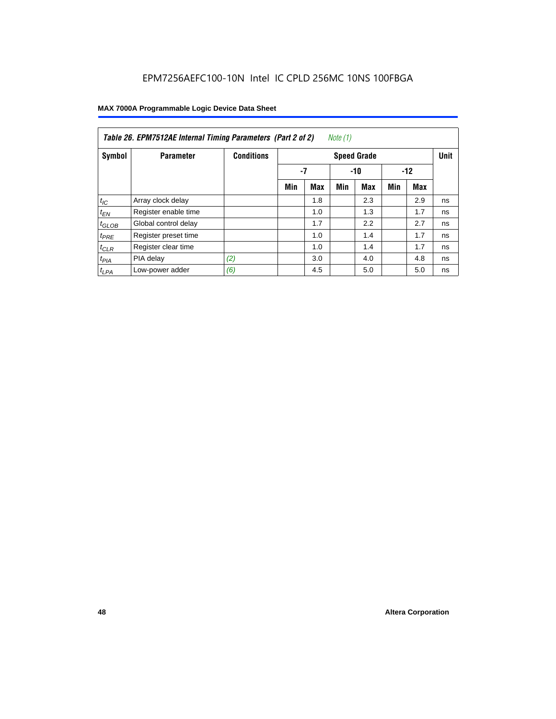| Table 26. EPM7512AE Internal Timing Parameters (Part 2 of 2)<br>Note (1) |                      |                   |                    |            |     |            |     |       |    |  |  |
|--------------------------------------------------------------------------|----------------------|-------------------|--------------------|------------|-----|------------|-----|-------|----|--|--|
| Symbol                                                                   | <b>Parameter</b>     | <b>Conditions</b> | <b>Speed Grade</b> |            |     |            |     |       |    |  |  |
|                                                                          |                      |                   |                    | $-7$       |     | $-10$      |     | $-12$ |    |  |  |
|                                                                          |                      |                   | Min                | <b>Max</b> | Min | <b>Max</b> | Min | Max   |    |  |  |
| $t_{IC}$                                                                 | Array clock delay    |                   |                    | 1.8        |     | 2.3        |     | 2.9   | ns |  |  |
| $t_{EN}$                                                                 | Register enable time |                   |                    | 1.0        |     | 1.3        |     | 1.7   | ns |  |  |
| $t_{GLOB}$                                                               | Global control delay |                   |                    | 1.7        |     | 2.2        |     | 2.7   | ns |  |  |
| $t_{PRE}$                                                                | Register preset time |                   |                    | 1.0        |     | 1.4        |     | 1.7   | ns |  |  |
| $t_{CLR}$                                                                | Register clear time  |                   |                    | 1.0        |     | 1.4        |     | 1.7   | ns |  |  |
| t <sub>PIA</sub>                                                         | PIA delay            | (2)               |                    | 3.0        |     | 4.0        |     | 4.8   | ns |  |  |
| $t_{LPA}$                                                                | Low-power adder      | (6)               |                    | 4.5        |     | 5.0        |     | 5.0   | ns |  |  |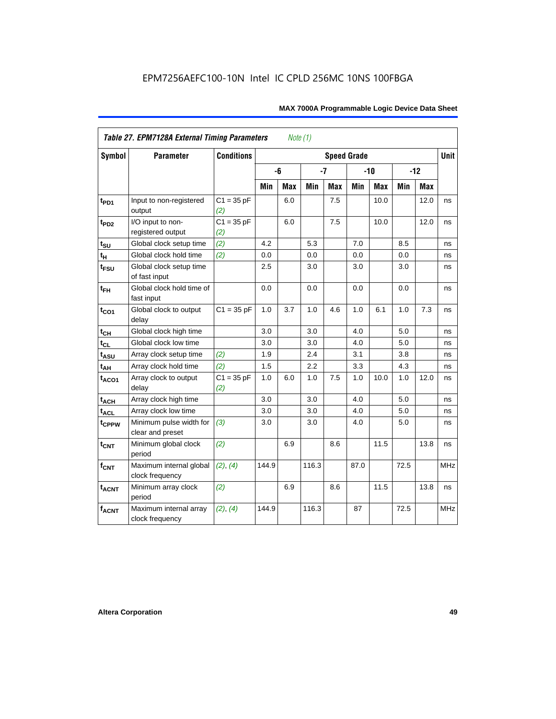| <b>Symbol</b>               | <b>Parameter</b>                            | <b>Conditions</b>   |       |            |       |            | <b>Speed Grade</b> |            |      |       | <b>Unit</b> |
|-----------------------------|---------------------------------------------|---------------------|-------|------------|-------|------------|--------------------|------------|------|-------|-------------|
|                             |                                             |                     |       | -6         |       | $-7$       |                    | $-10$      |      | $-12$ |             |
|                             |                                             |                     | Min   | <b>Max</b> | Min   | <b>Max</b> | Min                | <b>Max</b> | Min  | Max   |             |
| t <sub>PD1</sub>            | Input to non-registered<br>output           | $C1 = 35 pF$<br>(2) |       | 6.0        |       | 7.5        |                    | 10.0       |      | 12.0  | ns          |
| t <sub>PD2</sub>            | I/O input to non-<br>registered output      | $C1 = 35 pF$<br>(2) |       | 6.0        |       | 7.5        |                    | 10.0       |      | 12.0  | ns          |
| $t_{\scriptstyle\text{SU}}$ | Global clock setup time                     | (2)                 | 4.2   |            | 5.3   |            | 7.0                |            | 8.5  |       | ns          |
| $t_H$                       | Global clock hold time                      | (2)                 | 0.0   |            | 0.0   |            | 0.0                |            | 0.0  |       | ns          |
| t <sub>FSU</sub>            | Global clock setup time<br>of fast input    |                     | 2.5   |            | 3.0   |            | 3.0                |            | 3.0  |       | ns          |
| $t_{FH}$                    | Global clock hold time of<br>fast input     |                     | 0.0   |            | 0.0   |            | 0.0                |            | 0.0  |       | ns          |
| $t_{CO1}$                   | Global clock to output<br>delay             | $C1 = 35 pF$        | 1.0   | 3.7        | 1.0   | 4.6        | 1.0                | 6.1        | 1.0  | 7.3   | ns          |
| $t_{CH}$                    | Global clock high time                      |                     | 3.0   |            | 3.0   |            | 4.0                |            | 5.0  |       | ns          |
| $t_{CL}$                    | Global clock low time                       |                     | 3.0   |            | 3.0   |            | 4.0                |            | 5.0  |       | ns          |
| $t_{\sf ASU}$               | Array clock setup time                      | (2)                 | 1.9   |            | 2.4   |            | 3.1                |            | 3.8  |       | ns          |
| t <sub>АН</sub>             | Array clock hold time                       | (2)                 | 1.5   |            | 2.2   |            | 3.3                |            | 4.3  |       | ns          |
| t <sub>ACO1</sub>           | Array clock to output<br>delay              | $C1 = 35 pF$<br>(2) | 1.0   | 6.0        | 1.0   | 7.5        | 1.0                | 10.0       | 1.0  | 12.0  | ns          |
| $t_{\sf ACH}$               | Array clock high time                       |                     | 3.0   |            | 3.0   |            | 4.0                |            | 5.0  |       | ns          |
| t <sub>ACL</sub>            | Array clock low time                        |                     | 3.0   |            | 3.0   |            | 4.0                |            | 5.0  |       | ns          |
| t <sub>CPPW</sub>           | Minimum pulse width for<br>clear and preset | (3)                 | 3.0   |            | 3.0   |            | 4.0                |            | 5.0  |       | ns          |
| $t_{\text{CNT}}$            | Minimum global clock<br>period              | (2)                 |       | 6.9        |       | 8.6        |                    | 11.5       |      | 13.8  | ns          |
| $f_{\text{CNT}}$            | Maximum internal global<br>clock frequency  | (2), (4)            | 144.9 |            | 116.3 |            | 87.0               |            | 72.5 |       | <b>MHz</b>  |
| t <sub>ACNT</sub>           | Minimum array clock<br>period               | (2)                 |       | 6.9        |       | 8.6        |                    | 11.5       |      | 13.8  | ns          |
| <b>fACNT</b>                | Maximum internal array<br>clock frequency   | (2), (4)            | 144.9 |            | 116.3 |            | 87                 |            | 72.5 |       | <b>MHz</b>  |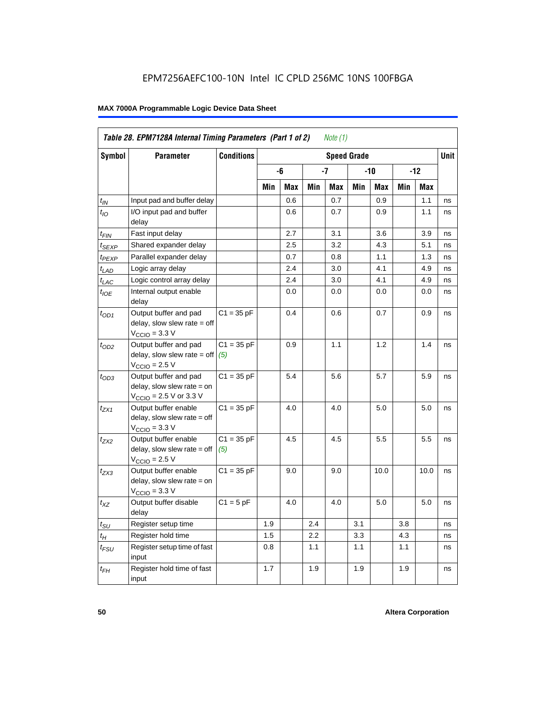|                             | Table 28. EPM7128A Internal Timing Parameters (Part 1 of 2)                                                   |                     |     |            |     | <i>Note</i> $(1)$ |                    |            |     |            |             |
|-----------------------------|---------------------------------------------------------------------------------------------------------------|---------------------|-----|------------|-----|-------------------|--------------------|------------|-----|------------|-------------|
| <b>Symbol</b>               | <b>Parameter</b>                                                                                              | <b>Conditions</b>   |     |            |     |                   | <b>Speed Grade</b> |            |     |            | <b>Unit</b> |
|                             |                                                                                                               |                     |     | -6         |     | -7                |                    | $-10$      |     | $-12$      |             |
|                             |                                                                                                               |                     | Min | <b>Max</b> | Min | <b>Max</b>        | Min                | <b>Max</b> | Min | <b>Max</b> |             |
| $t_{IN}$                    | Input pad and buffer delay                                                                                    |                     |     | 0.6        |     | 0.7               |                    | 0.9        |     | 1.1        | ns          |
| $t_{IO}$                    | I/O input pad and buffer<br>delay                                                                             |                     |     | 0.6        |     | 0.7               |                    | 0.9        |     | 1.1        | ns          |
| $t_{\sf FIN}$               | Fast input delay                                                                                              |                     |     | 2.7        |     | 3.1               |                    | 3.6        |     | 3.9        | ns          |
| t <sub>SEXP</sub>           | Shared expander delay                                                                                         |                     |     | 2.5        |     | 3.2               |                    | 4.3        |     | 5.1        | ns          |
| t <sub>PEXP</sub>           | Parallel expander delay                                                                                       |                     |     | 0.7        |     | 0.8               |                    | 1.1        |     | 1.3        | ns          |
| $t_{LAD}$                   | Logic array delay                                                                                             |                     |     | 2.4        |     | 3.0               |                    | 4.1        |     | 4.9        | ns          |
| t <sub>LAC</sub>            | Logic control array delay                                                                                     |                     |     | 2.4        |     | 3.0               |                    | 4.1        |     | 4.9        | ns          |
| $t_{IOE}$                   | Internal output enable<br>delay                                                                               |                     |     | 0.0        |     | 0.0               |                    | 0.0        |     | 0.0        | ns          |
| $t_{OD1}$                   | Output buffer and pad<br>delay, slow slew rate $=$ off<br>$V_{\text{CCIO}} = 3.3 \text{ V}$                   | $C1 = 35 pF$        |     | 0.4        |     | 0.6               |                    | 0.7        |     | 0.9        | ns          |
| $t_{OD2}$                   | Output buffer and pad<br>$delay$ , slow slew rate = off<br>$VCCIO = 2.5 V$                                    | $C1 = 35 pF$<br>(5) |     | 0.9        |     | 1.1               |                    | 1.2        |     | 1.4        | ns          |
| $t_{OD3}$                   | Output buffer and pad<br>$delay$ , slow slew rate = on<br>$V_{\text{CCIO}} = 2.5 \text{ V or } 3.3 \text{ V}$ | $C1 = 35 pF$        |     | 5.4        |     | 5.6               |                    | 5.7        |     | 5.9        | ns          |
| $t_{ZX1}$                   | Output buffer enable<br>$delay$ , slow slew rate = off<br>$VCCIO = 3.3 V$                                     | $C1 = 35 pF$        |     | 4.0        |     | 4.0               |                    | 5.0        |     | 5.0        | ns          |
| $t_{ZX2}$                   | Output buffer enable<br>delay, slow slew rate $=$ off<br>$VCCIO = 2.5 V$                                      | $C1 = 35 pF$<br>(5) |     | 4.5        |     | 4.5               |                    | 5.5        |     | 5.5        | ns          |
| t <sub>ZX3</sub>            | Output buffer enable<br>delay, slow slew rate $=$ on<br>$V_{\text{CCIO}} = 3.3 \text{ V}$                     | $C1 = 35 pF$        |     | 9.0        |     | 9.0               |                    | 10.0       |     | 10.0       | ns          |
| $t_{XZ}$                    | Output buffer disable<br>delay                                                                                | $C1 = 5pF$          |     | 4.0        |     | 4.0               |                    | 5.0        |     | 5.0        | ns          |
| $t_{\scriptstyle\text{SU}}$ | Register setup time                                                                                           |                     | 1.9 |            | 2.4 |                   | 3.1                |            | 3.8 |            | ns          |
| $t_H$                       | Register hold time                                                                                            |                     | 1.5 |            | 2.2 |                   | 3.3                |            | 4.3 |            | ns          |
| t <sub>FSU</sub>            | Register setup time of fast<br>input                                                                          |                     | 0.8 |            | 1.1 |                   | 1.1                |            | 1.1 |            | ns          |
| $t_{FH}$                    | Register hold time of fast<br>input                                                                           |                     | 1.7 |            | 1.9 |                   | 1.9                |            | 1.9 |            | ns          |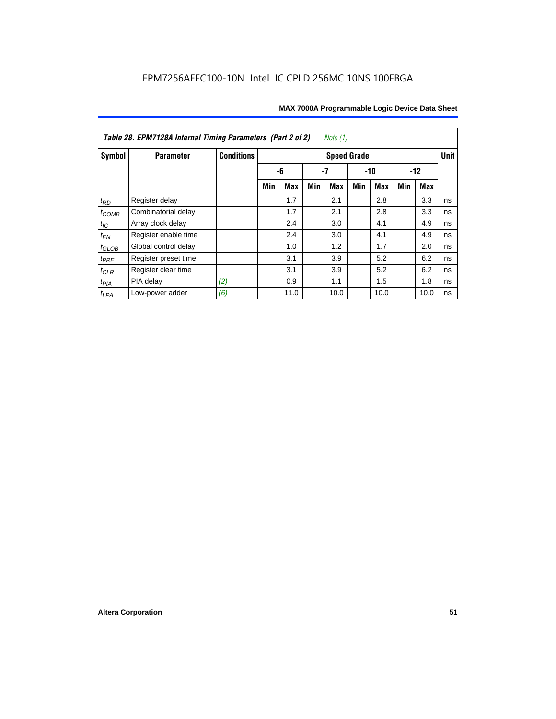| Table 28. EPM7128A Internal Timing Parameters (Part 2 of 2)<br>Note (1) |                      |                   |                    |      |     |            |       |            |     |       |             |
|-------------------------------------------------------------------------|----------------------|-------------------|--------------------|------|-----|------------|-------|------------|-----|-------|-------------|
| Symbol                                                                  | <b>Parameter</b>     | <b>Conditions</b> | <b>Speed Grade</b> |      |     |            |       |            |     |       | <b>Unit</b> |
|                                                                         |                      |                   |                    | -6   | -7  |            | $-10$ |            |     | $-12$ |             |
|                                                                         |                      |                   | Min                | Max  | Min | <b>Max</b> | Min   | <b>Max</b> | Min | Max   |             |
| $t_{RD}$                                                                | Register delay       |                   |                    | 1.7  |     | 2.1        |       | 2.8        |     | 3.3   | ns          |
| $t_{COMB}$                                                              | Combinatorial delay  |                   |                    | 1.7  |     | 2.1        |       | 2.8        |     | 3.3   | ns          |
| $t_{IC}$                                                                | Array clock delay    |                   |                    | 2.4  |     | 3.0        |       | 4.1        |     | 4.9   | ns          |
| $t_{EN}$                                                                | Register enable time |                   |                    | 2.4  |     | 3.0        |       | 4.1        |     | 4.9   | ns          |
| $t_{\text{GLOB}}$                                                       | Global control delay |                   |                    | 1.0  |     | 1.2        |       | 1.7        |     | 2.0   | ns          |
| $t_{PRE}$                                                               | Register preset time |                   |                    | 3.1  |     | 3.9        |       | 5.2        |     | 6.2   | ns          |
| $t_{CLR}$                                                               | Register clear time  |                   |                    | 3.1  |     | 3.9        |       | 5.2        |     | 6.2   | ns          |
| $t_{PIA}$                                                               | PIA delay            | (2)               |                    | 0.9  |     | 1.1        |       | 1.5        |     | 1.8   | ns          |
| $t_{LPA}$                                                               | Low-power adder      | (6)               |                    | 11.0 |     | 10.0       |       | 10.0       |     | 10.0  | ns          |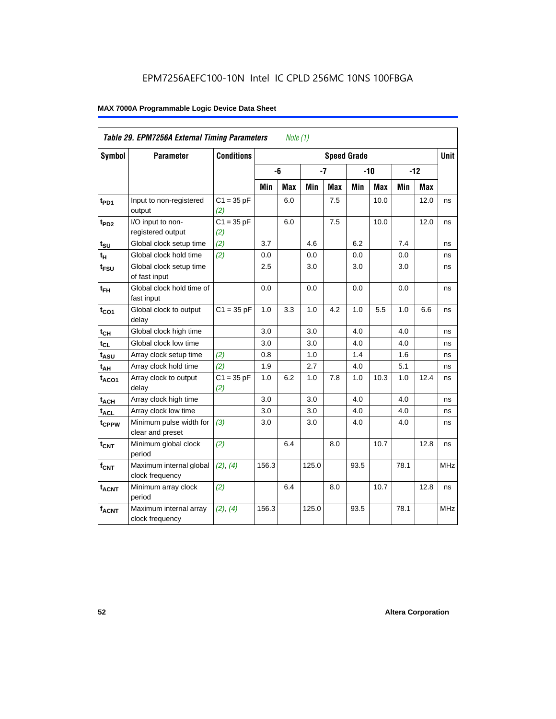| Table 29. EPM7256A External Timing Parameters<br>Note $(1)$ |                                             |                     |                    |            |       |            |       |            |       |            |            |
|-------------------------------------------------------------|---------------------------------------------|---------------------|--------------------|------------|-------|------------|-------|------------|-------|------------|------------|
| Symbol                                                      | <b>Parameter</b>                            | <b>Conditions</b>   | <b>Speed Grade</b> |            |       |            |       |            |       | Unit       |            |
|                                                             |                                             |                     |                    | -6         |       | $-7$       | $-10$ |            | $-12$ |            |            |
|                                                             |                                             |                     | Min                | <b>Max</b> | Min   | <b>Max</b> | Min   | <b>Max</b> | Min   | <b>Max</b> |            |
| $t_{PD1}$                                                   | Input to non-registered<br>output           | $C1 = 35 pF$<br>(2) |                    | 6.0        |       | 7.5        |       | 10.0       |       | 12.0       | ns         |
| t <sub>PD2</sub>                                            | I/O input to non-<br>registered output      | $C1 = 35 pF$<br>(2) |                    | 6.0        |       | 7.5        |       | 10.0       |       | 12.0       | ns         |
| $t_{\text{SU}}$                                             | Global clock setup time                     | (2)                 | 3.7                |            | 4.6   |            | 6.2   |            | 7.4   |            | ns         |
| $t_H$                                                       | Global clock hold time                      | (2)                 | 0.0                |            | 0.0   |            | 0.0   |            | 0.0   |            | ns         |
| t <sub>FSU</sub>                                            | Global clock setup time<br>of fast input    |                     | 2.5                |            | 3.0   |            | 3.0   |            | 3.0   |            | ns         |
| $t_{FH}$                                                    | Global clock hold time of<br>fast input     |                     | 0.0                |            | 0.0   |            | 0.0   |            | 0.0   |            | ns         |
| $t_{CO1}$                                                   | Global clock to output<br>delay             | $C1 = 35 pF$        | 1.0                | 3.3        | 1.0   | 4.2        | 1.0   | 5.5        | 1.0   | 6.6        | ns         |
| $t_{CH}$                                                    | Global clock high time                      |                     | 3.0                |            | 3.0   |            | 4.0   |            | 4.0   |            | ns         |
| $t_{CL}$                                                    | Global clock low time                       |                     | 3.0                |            | 3.0   |            | 4.0   |            | 4.0   |            | ns         |
| t <sub>ASU</sub>                                            | Array clock setup time                      | (2)                 | 0.8                |            | 1.0   |            | 1.4   |            | 1.6   |            | ns         |
| $t_{AH}$                                                    | Array clock hold time                       | (2)                 | 1.9                |            | 2.7   |            | 4.0   |            | 5.1   |            | ns         |
| t <sub>ACO1</sub>                                           | Array clock to output<br>delay              | $C1 = 35 pF$<br>(2) | 1.0                | 6.2        | 1.0   | 7.8        | 1.0   | 10.3       | 1.0   | 12.4       | ns         |
| $t_{ACH}$                                                   | Array clock high time                       |                     | 3.0                |            | 3.0   |            | 4.0   |            | 4.0   |            | ns         |
| t <sub>ACL</sub>                                            | Array clock low time                        |                     | 3.0                |            | 3.0   |            | 4.0   |            | 4.0   |            | ns         |
| tcPPW                                                       | Minimum pulse width for<br>clear and preset | (3)                 | 3.0                |            | 3.0   |            | 4.0   |            | 4.0   |            | ns         |
| $t_{CNT}$                                                   | Minimum global clock<br>period              | (2)                 |                    | 6.4        |       | 8.0        |       | 10.7       |       | 12.8       | ns         |
| $f_{CNT}$                                                   | Maximum internal global<br>clock frequency  | (2), (4)            | 156.3              |            | 125.0 |            | 93.5  |            | 78.1  |            | <b>MHz</b> |
| t <sub>ACNT</sub>                                           | Minimum array clock<br>period               | (2)                 |                    | 6.4        |       | 8.0        |       | 10.7       |       | 12.8       | ns         |
| <b>fACNT</b>                                                | Maximum internal array<br>clock frequency   | (2), (4)            | 156.3              |            | 125.0 |            | 93.5  |            | 78.1  |            | <b>MHz</b> |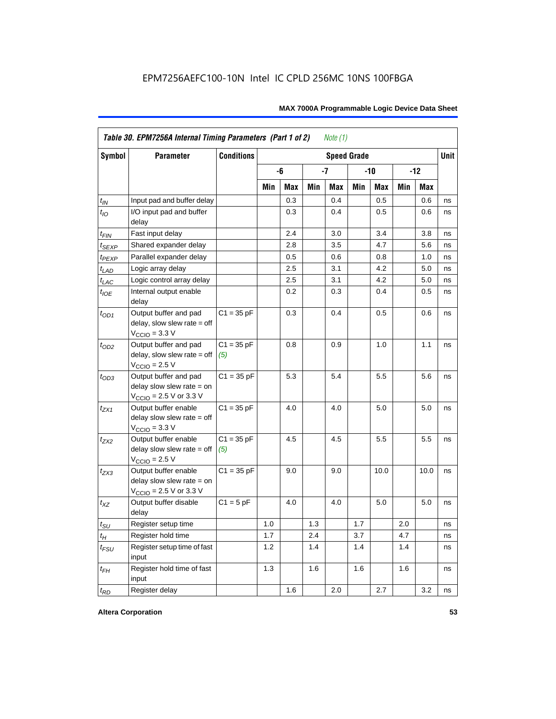| <b>Symbol</b>     | <b>Parameter</b>                                                                                           | <b>Conditions</b>   |     |            |     |            | <b>Speed Grade</b> |      |       |            | <b>Unit</b> |
|-------------------|------------------------------------------------------------------------------------------------------------|---------------------|-----|------------|-----|------------|--------------------|------|-------|------------|-------------|
|                   |                                                                                                            |                     |     | -6<br>$-7$ |     |            | -10                |      | $-12$ |            |             |
|                   |                                                                                                            |                     | Min | Max        | Min | <b>Max</b> | Min                | Max  | Min   | <b>Max</b> |             |
| $t_{\mathit{IN}}$ | Input pad and buffer delay                                                                                 |                     |     | 0.3        |     | 0.4        |                    | 0.5  |       | 0.6        | ns          |
| $t_{IO}$          | I/O input pad and buffer<br>delay                                                                          |                     |     | 0.3        |     | 0.4        |                    | 0.5  |       | 0.6        | ns          |
| t <sub>FIN</sub>  | Fast input delay                                                                                           |                     |     | 2.4        |     | 3.0        |                    | 3.4  |       | 3.8        | ns          |
| <sup>t</sup> SEXP | Shared expander delay                                                                                      |                     |     | 2.8        |     | 3.5        |                    | 4.7  |       | 5.6        | ns          |
| t <sub>PEXP</sub> | Parallel expander delay                                                                                    |                     |     | 0.5        |     | 0.6        |                    | 0.8  |       | 1.0        | ns          |
| $t_{LAD}$         | Logic array delay                                                                                          |                     |     | 2.5        |     | 3.1        |                    | 4.2  |       | 5.0        | ns          |
| $t_{LAC}$         | Logic control array delay                                                                                  |                     |     | 2.5        |     | 3.1        |                    | 4.2  |       | 5.0        | ns          |
| $t_{IOE}$         | Internal output enable<br>delay                                                                            |                     |     | 0.2        |     | 0.3        |                    | 0.4  |       | 0.5        | ns          |
| $t_{OD1}$         | Output buffer and pad<br>delay, slow slew rate $=$ off<br>$V_{\text{CCIO}} = 3.3 \text{ V}$                | $C1 = 35 pF$        |     | 0.3        |     | 0.4        |                    | 0.5  |       | 0.6        | ns          |
| $t_{OD2}$         | Output buffer and pad<br>$delay$ , slow slew rate = off<br>$VCCIO = 2.5 V$                                 | $C1 = 35 pF$<br>(5) |     | 0.8        |     | 0.9        |                    | 1.0  |       | 1.1        | ns          |
| $t_{OD3}$         | Output buffer and pad<br>delay slow slew rate $=$ on<br>$V_{\text{CCIO}}$ = 2.5 V or 3.3 V                 | $C1 = 35 pF$        |     | 5.3        |     | 5.4        |                    | 5.5  |       | 5.6        | ns          |
| tzx1              | Output buffer enable<br>delay slow slew rate $=$ off<br>$VCCIO = 3.3 V$                                    | $C1 = 35 pF$        |     | 4.0        |     | 4.0        |                    | 5.0  |       | 5.0        | ns          |
| $t_{ZX2}$         | Output buffer enable<br>delay slow slew rate $=$ off<br>$VCCIO = 2.5 V$                                    | $C1 = 35 pF$<br>(5) |     | 4.5        |     | 4.5        |                    | 5.5  |       | 5.5        | ns          |
| t <sub>ZX3</sub>  | Output buffer enable<br>delay slow slew rate $=$ on<br>$V_{\text{CCIO}} = 2.5 \text{ V or } 3.3 \text{ V}$ | $C1 = 35 pF$        |     | 9.0        |     | 9.0        |                    | 10.0 |       | 10.0       | ns          |
| $t_{XZ}$          | Output buffer disable<br>delay                                                                             | $C1 = 5$ pF         |     | 4.0        |     | 4.0        |                    | 5.0  |       | 5.0        | ns          |
| $t_{\text{SU}}$   | Register setup time                                                                                        |                     | 1.0 |            | 1.3 |            | 1.7                |      | 2.0   |            | ns          |
| $t_{H}$           | Register hold time                                                                                         |                     | 1.7 |            | 2.4 |            | 3.7                |      | 4.7   |            | ns          |
| $t_{FSU}$         | Register setup time of fast<br>input                                                                       |                     | 1.2 |            | 1.4 |            | 1.4                |      | 1.4   |            | ns          |
| $t_{FH}$          | Register hold time of fast<br>input                                                                        |                     | 1.3 |            | 1.6 |            | 1.6                |      | 1.6   |            | ns          |
| $t_{RD}$          | Register delay                                                                                             |                     |     | 1.6        |     | 2.0        |                    | 2.7  |       | 3.2        | ns          |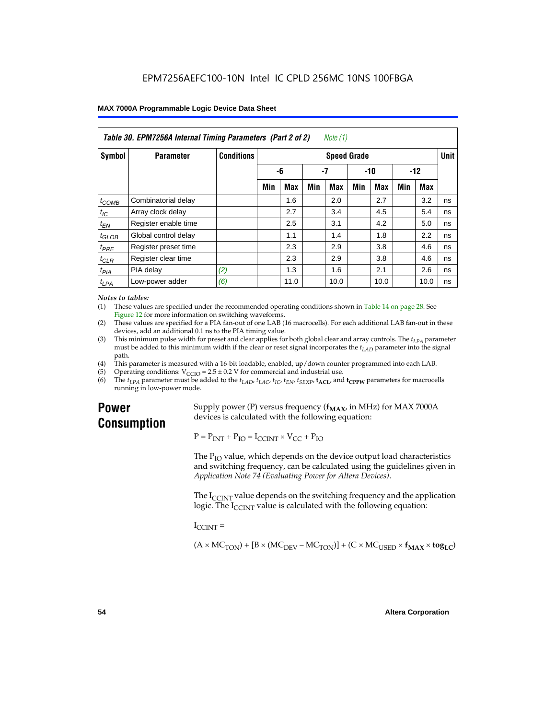| Table 30. EPM7256A Internal Timing Parameters (Part 2 of 2)<br>Note (1) |                      |                   |                    |            |     |      |       |            |       |      |    |
|-------------------------------------------------------------------------|----------------------|-------------------|--------------------|------------|-----|------|-------|------------|-------|------|----|
| <b>Symbol</b>                                                           | <b>Parameter</b>     | <b>Conditions</b> | <b>Speed Grade</b> |            |     |      |       |            |       |      |    |
|                                                                         |                      |                   | -6                 |            | -7  |      | $-10$ |            | $-12$ |      |    |
|                                                                         |                      |                   | Min                | <b>Max</b> | Min | Max  | Min   | <b>Max</b> | Min   | Max  |    |
| $t_{COMB}$                                                              | Combinatorial delay  |                   |                    | 1.6        |     | 2.0  |       | 2.7        |       | 3.2  | ns |
| $t_{IC}$                                                                | Array clock delay    |                   |                    | 2.7        |     | 3.4  |       | 4.5        |       | 5.4  | ns |
| $t_{EN}$                                                                | Register enable time |                   |                    | 2.5        |     | 3.1  |       | 4.2        |       | 5.0  | ns |
| $t_{\text{GLOB}}$                                                       | Global control delay |                   |                    | 1.1        |     | 1.4  |       | 1.8        |       | 2.2  | ns |
| $t_{PRE}$                                                               | Register preset time |                   |                    | 2.3        |     | 2.9  |       | 3.8        |       | 4.6  | ns |
| $t_{CLR}$                                                               | Register clear time  |                   |                    | 2.3        |     | 2.9  |       | 3.8        |       | 4.6  | ns |
| t <sub>PIA</sub>                                                        | PIA delay            | (2)               |                    | 1.3        |     | 1.6  |       | 2.1        |       | 2.6  | ns |
| $t_{LPA}$                                                               | Low-power adder      | (6)               |                    | 11.0       |     | 10.0 |       | 10.0       |       | 10.0 | ns |

#### *Notes to tables:*

(1) These values are specified under the recommended operating conditions shown in Table 14 on page 28. See Figure 12 for more information on switching waveforms.

- (2) These values are specified for a PIA fan-out of one LAB (16 macrocells). For each additional LAB fan-out in these devices, add an additional 0.1 ns to the PIA timing value.
- (3) This minimum pulse width for preset and clear applies for both global clear and array controls. The  $t_{LPA}$  parameter must be added to this minimum width if the clear or reset signal incorporates the  $t_{LAD}$  parameter into the signal path.
- (4) This parameter is measured with a 16-bit loadable, enabled, up/down counter programmed into each LAB.
- (5) Operating conditions:  $V_{\text{CCIO}} = 2.5 \pm 0.2 \text{ V}$  for commercial and industrial use.<br>(6) The  $t_{I/A}$  parameter must be added to the  $t_{I AD}$ ,  $t_{I AC}$ ,  $t_{I C}$ ,  $t_{F N}$ ,  $t_{S F Y P}$ ,  $t_{A C I}$ , and
- The  $t_{LPA}$  parameter must be added to the  $t_{LAD}$ ,  $t_{LAC}$ ,  $t_{IC}$ ,  $t_{EN}$ ,  $t_{SEXP}$ ,  $t_{ACL}$  and  $t_{CPPW}$  parameters for macrocells running in low-power mode.

## **Power Consumption**

Supply power (P) versus frequency  $(f_{MAX}$ , in MHz) for MAX 7000A devices is calculated with the following equation:

 $P = P_{INT} + P_{IO} = I_{CCINT} \times V_{CC} + P_{IO}$ 

The  $P_{IO}$  value, which depends on the device output load characteristics and switching frequency, can be calculated using the guidelines given in *Application Note 74 (Evaluating Power for Altera Devices)*.

The  $I_{\text{CUNT}}$  value depends on the switching frequency and the application logic. The  $I_{\text{CCINT}}$  value is calculated with the following equation:

 $I_{\text{CCMT}} =$ 

 $(A \times MC_{TON}) + [B \times (MC_{DEV} - MC_{TON})] + (C \times MC_{LISED} \times f_{MAX} \times tog_{LC})$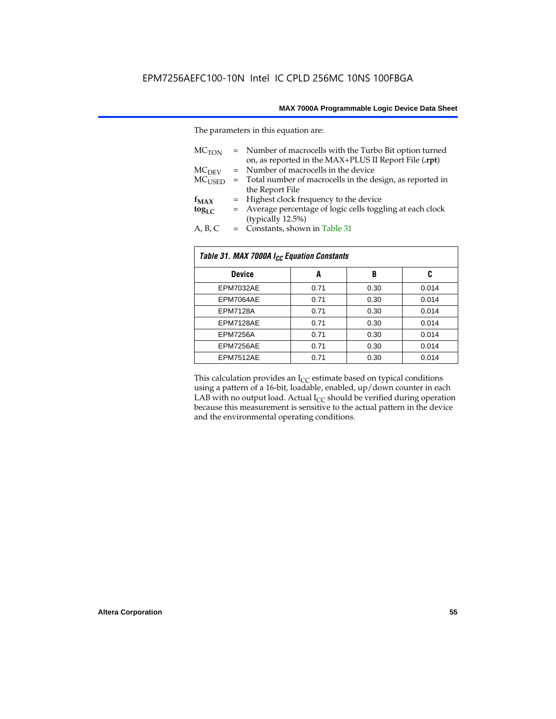The parameters in this equation are:

| MC <sub>TON</sub> | = Number of macrocells with the Turbo Bit option turned<br>on, as reported in the MAX+PLUS II Report File (.rpt) |
|-------------------|------------------------------------------------------------------------------------------------------------------|
| MC <sub>DFV</sub> | = Number of macrocells in the device                                                                             |
| $MC_{LISED}$      | = Total number of macrocells in the design, as reported in                                                       |
|                   | the Report File                                                                                                  |
| $f_{MAX}$         | = Highest clock frequency to the device                                                                          |
| $tog_{LC}$        | = Average percentage of logic cells toggling at each clock                                                       |
|                   | (typically 12.5%)                                                                                                |
| A, B, C           | = Constants, shown in Table 31                                                                                   |

| Table 31. MAX 7000A I <sub>CC</sub> Equation Constants |      |      |       |  |  |
|--------------------------------------------------------|------|------|-------|--|--|
| <b>Device</b>                                          | A    | B    | C     |  |  |
| EPM7032AE                                              | 0.71 | 0.30 | 0.014 |  |  |
| EPM7064AE                                              | 0.71 | 0.30 | 0.014 |  |  |
| <b>EPM7128A</b>                                        | 0.71 | 0.30 | 0.014 |  |  |
| EPM7128AE                                              | 0.71 | 0.30 | 0.014 |  |  |
| <b>EPM7256A</b>                                        | 0.71 | 0.30 | 0.014 |  |  |
| EPM7256AE                                              | 0.71 | 0.30 | 0.014 |  |  |
| EPM7512AE                                              | 0.71 | 0.30 | 0.014 |  |  |

This calculation provides an  $I_{CC}$  estimate based on typical conditions using a pattern of a 16-bit, loadable, enabled, up/down counter in each LAB with no output load. Actual  $I_{CC}$  should be verified during operation because this measurement is sensitive to the actual pattern in the device and the environmental operating conditions.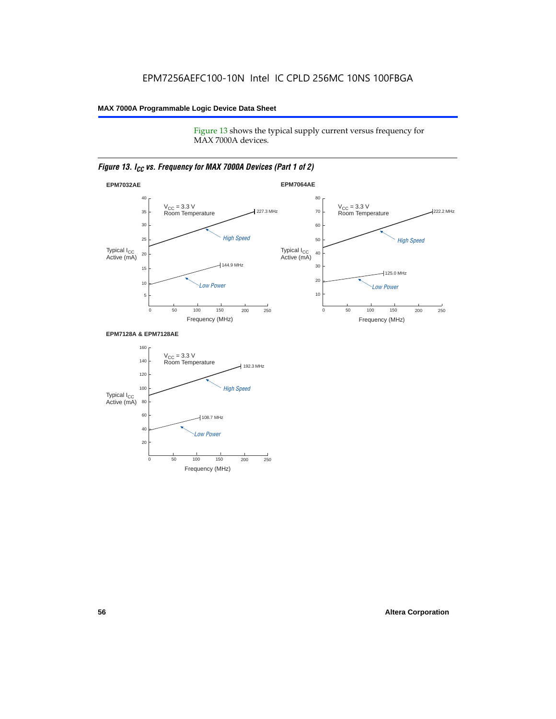Figure 13 shows the typical supply current versus frequency for MAX 7000A devices.

#### *Figure 13. I<sub>CC</sub> vs. Frequency for MAX 7000A Devices (Part 1 of 2)*



#### **EPM7128A & EPM7128AE**

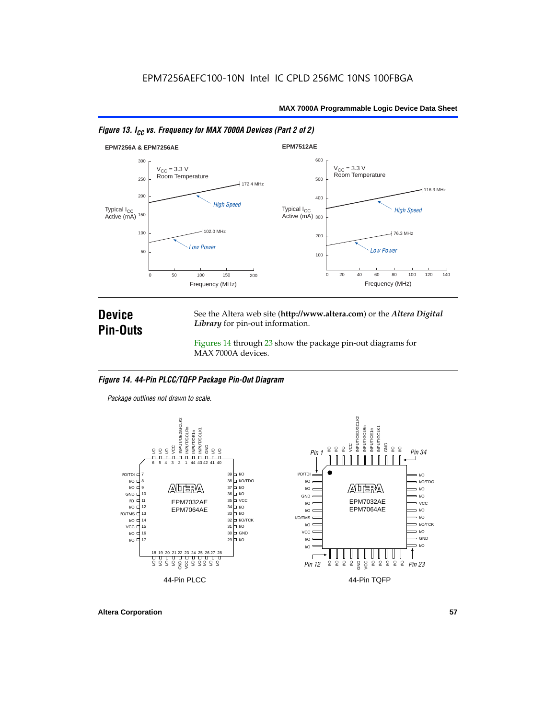



### **Device Pin-Outs**

See the Altera web site (**http://www.altera.com**) or the *Altera Digital Library* for pin-out information.

Figures 14 through 23 show the package pin-out diagrams for MAX 7000A devices.

#### *Figure 14. 44-Pin PLCC/TQFP Package Pin-Out Diagram*

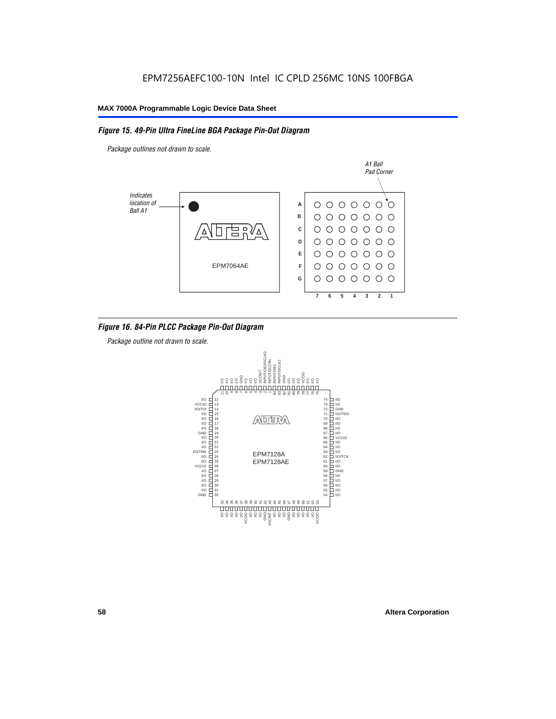#### *Figure 15. 49-Pin Ultra FineLine BGA Package Pin-Out Diagram*

*Package outlines not drawn to scale.*



#### *Figure 16. 84-Pin PLCC Package Pin-Out Diagram*

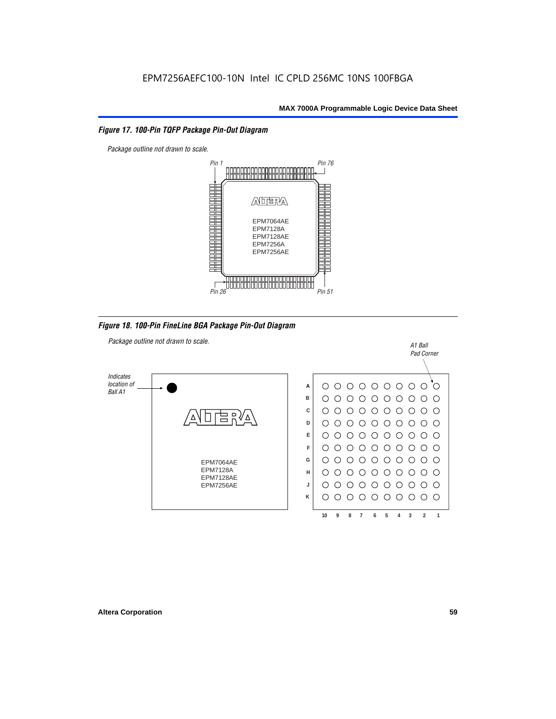#### *Figure 17. 100-Pin TQFP Package Pin-Out Diagram*



*Figure 18. 100-Pin FineLine BGA Package Pin-Out Diagram*

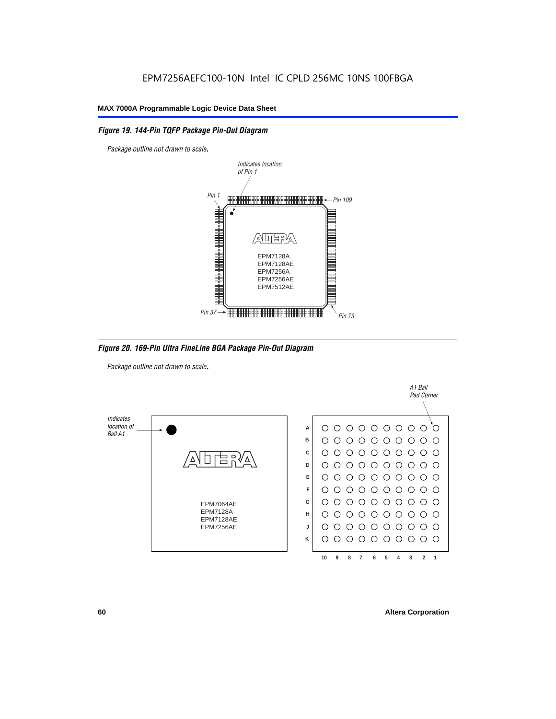#### *Figure 19. 144-Pin TQFP Package Pin-Out Diagram*

*Package outline not drawn to scale*.



*Figure 20. 169-Pin Ultra FineLine BGA Package Pin-Out Diagram*

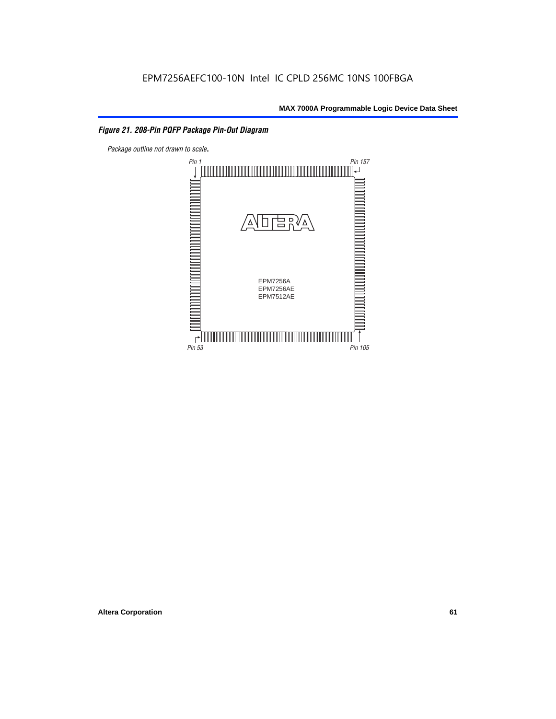#### *Figure 21. 208-Pin PQFP Package Pin-Out Diagram*

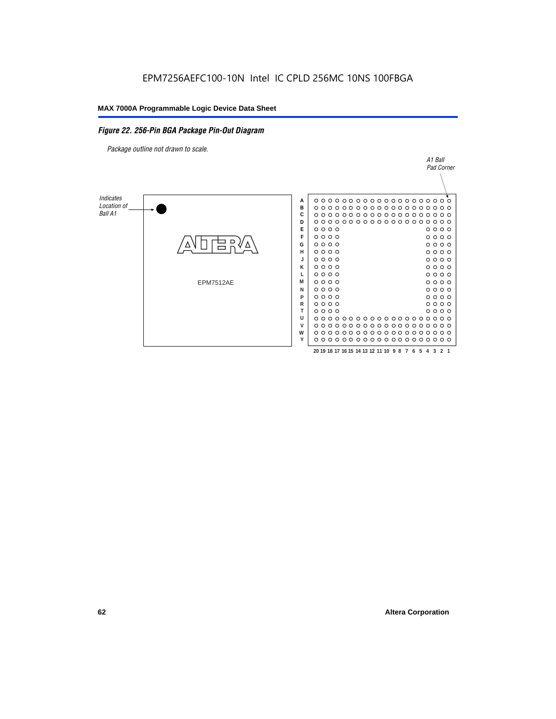#### *Figure 22. 256-Pin BGA Package Pin-Out Diagram*

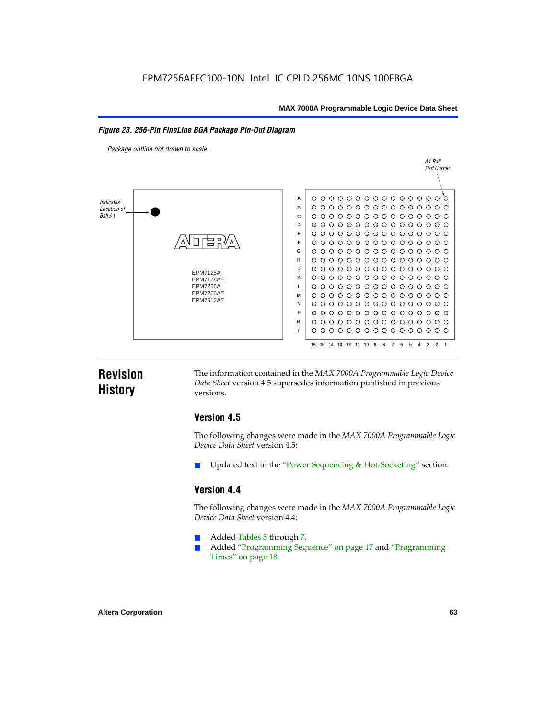#### *Figure 23. 256-Pin FineLine BGA Package Pin-Out Diagram*

*Package outline not drawn to scale*.



### **Revision History**

The information contained in the *MAX 7000A Programmable Logic Device Data Sheet* version 4.5 supersedes information published in previous versions.

#### **Version 4.5**

The following changes were made in the *MAX 7000A Programmable Logic Device Data Sheet* version 4.5:

Updated text in the "Power Sequencing & Hot-Socketing" section.

#### **Version 4.4**

The following changes were made in the *MAX 7000A Programmable Logic Device Data Sheet* version 4.4:

- Added Tables 5 through 7.
	- Added "Programming Sequence" on page 17 and "Programming Times" on page 18.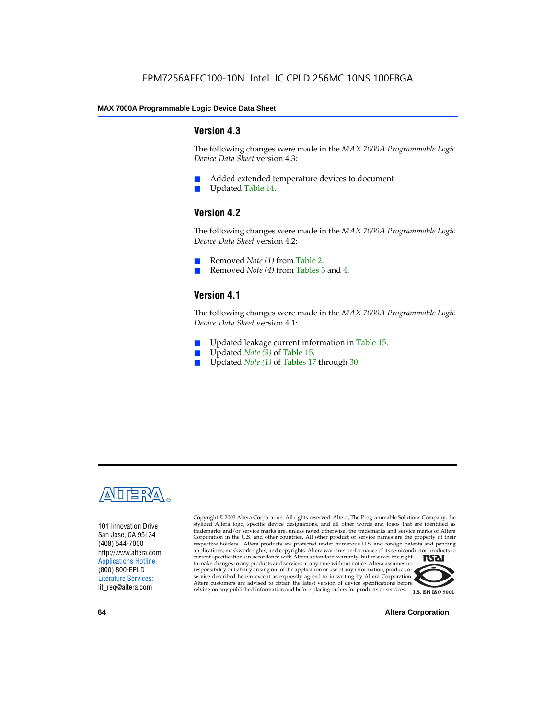#### **Version 4.3**

The following changes were made in the *MAX 7000A Programmable Logic Device Data Sheet* version 4.3:

- Added extended temperature devices to document
- Updated Table 14.

#### **Version 4.2**

The following changes were made in the *MAX 7000A Programmable Logic Device Data Sheet* version 4.2:

- Removed *Note (1)* from Table 2.
- Removed *Note (4)* from Tables 3 and 4.

### **Version 4.1**

The following changes were made in the *MAX 7000A Programmable Logic Device Data Sheet* version 4.1:

- Updated leakage current information in Table 15.
- Updated *Note (9)* of Table 15.
- Updated *Note* (1) of Tables 17 through 30.



101 Innovation Drive San Jose, CA 95134 (408) 544-7000 http://www.altera.com Applications Hotline: (800) 800-EPLD Literature Services: lit\_req@altera.com

Copyright © 2003 Altera Corporation. All rights reserved. Altera, The Programmable Solutions Company, the stylized Altera logo, specific device designations, and all other words and logos that are identified as trademarks and/or service marks are, unless noted otherwise, the trademarks and service marks of Altera Corporation in the U.S. and other countries. All other product or service names are the property of their respective holders. Altera products are protected under numerous U.S. and foreign patents and pending applications, maskwork rights, and copyrights. Altera warrants performance of its semiconductor products to current specifications in accordance with Altera's standard warranty, but reserves the right **TSAI** to make changes to any products and services at any time without notice. Altera assumes no responsibility or liability arising out of the application or use of any information, product, or service described herein except as expressly agreed to in writing by Altera Corporation. Altera customers are advised to obtain the latest version of device specifications before relying on any published information and before placing orders for products or services.



**64 Altera Corporation**